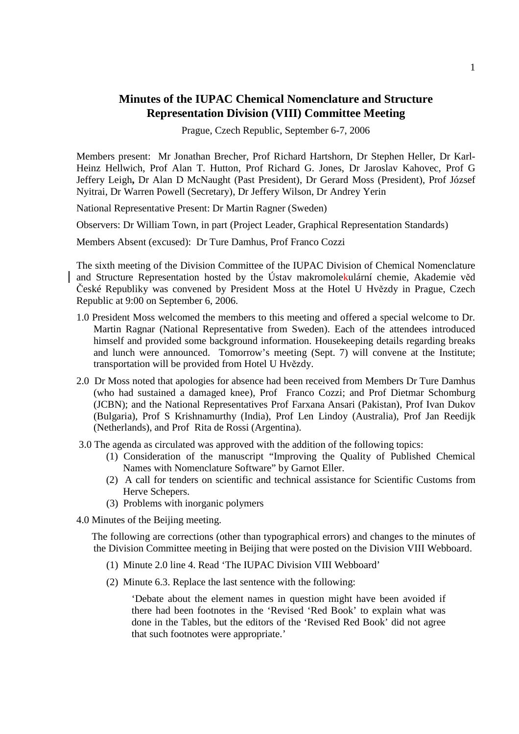# **Minutes of the IUPAC Chemical Nomenclature and Structure Representation Division (VIII) Committee Meeting**

Prague, Czech Republic, September 6-7, 2006

Members present: Mr Jonathan Brecher, Prof Richard Hartshorn, Dr Stephen Heller, Dr Karl-Heinz Hellwich, Prof Alan T. Hutton, Prof Richard G. Jones, Dr Jaroslav Kahovec, Prof G Jeffery Leigh**,** Dr Alan D McNaught (Past President), Dr Gerard Moss (President), Prof József Nyitrai, Dr Warren Powell (Secretary), Dr Jeffery Wilson, Dr Andrey Yerin

National Representative Present: Dr Martin Ragner (Sweden)

Observers: Dr William Town, in part (Project Leader, Graphical Representation Standards)

Members Absent (excused): Dr Ture Damhus, Prof Franco Cozzi

The sixth meeting of the Division Committee of the IUPAC Division of Chemical Nomenclature and Structure Representation hosted by the Ústav makromolekulární chemie, Akademie věd České Republiky was convened by President Moss at the Hotel U Hvězdy in Prague, Czech Republic at 9:00 on September 6, 2006.

- 1.0 President Moss welcomed the members to this meeting and offered a special welcome to Dr. Martin Ragnar (National Representative from Sweden). Each of the attendees introduced himself and provided some background information. Housekeeping details regarding breaks and lunch were announced. Tomorrow's meeting (Sept. 7) will convene at the Institute; transportation will be provided from Hotel U Hvězdy.
- 2.0 Dr Moss noted that apologies for absence had been received from Members Dr Ture Damhus (who had sustained a damaged knee), Prof Franco Cozzi; and Prof Dietmar Schomburg (JCBN); and the National Representatives Prof Farxana Ansari (Pakistan), Prof Ivan Dukov (Bulgaria), Prof S Krishnamurthy (India), Prof Len Lindoy (Australia), Prof Jan Reedijk (Netherlands), and Prof Rita de Rossi (Argentina).
- 3.0 The agenda as circulated was approved with the addition of the following topics:
	- (1) Consideration of the manuscript "Improving the Quality of Published Chemical Names with Nomenclature Software" by Garnot Eller.
	- (2) A call for tenders on scientific and technical assistance for Scientific Customs from Herve Schepers.
	- (3) Problems with inorganic polymers
- 4.0 Minutes of the Beijing meeting.

The following are corrections (other than typographical errors) and changes to the minutes of the Division Committee meeting in Beijing that were posted on the Division VIII Webboard.

- (1) Minute 2.0 line 4. Read 'The IUPAC Division VIII Webboard'
- (2) Minute 6.3. Replace the last sentence with the following:

'Debate about the element names in question might have been avoided if there had been footnotes in the 'Revised 'Red Book' to explain what was done in the Tables, but the editors of the 'Revised Red Book' did not agree that such footnotes were appropriate.'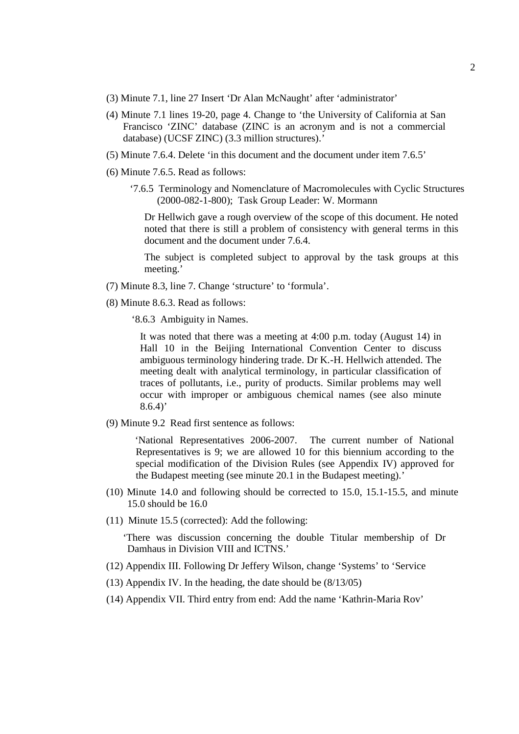- (3) Minute 7.1, line 27 Insert 'Dr Alan McNaught' after 'administrator'
- (4) Minute 7.1 lines 19-20, page 4. Change to 'the University of California at San Francisco 'ZINC' database (ZINC is an acronym and is not a commercial database) (UCSF ZINC) (3.3 million structures).'
- (5) Minute 7.6.4. Delete 'in this document and the document under item 7.6.5'
- (6) Minute 7.6.5. Read as follows:
	- '7.6.5 Terminology and Nomenclature of Macromolecules with Cyclic Structures (2000-082-1-800); Task Group Leader: W. Mormann

Dr Hellwich gave a rough overview of the scope of this document. He noted noted that there is still a problem of consistency with general terms in this document and the document under 7.6.4.

The subject is completed subject to approval by the task groups at this meeting.'

- (7) Minute 8.3, line 7. Change 'structure' to 'formula'.
- (8) Minute 8.6.3. Read as follows:
	- '8.6.3 Ambiguity in Names.

It was noted that there was a meeting at 4:00 p.m. today (August 14) in Hall 10 in the Beijing International Convention Center to discuss ambiguous terminology hindering trade. Dr K.-H. Hellwich attended. The meeting dealt with analytical terminology, in particular classification of traces of pollutants, i.e., purity of products. Similar problems may well occur with improper or ambiguous chemical names (see also minute  $8.6.4$ <sup>\*</sup>

(9) Minute 9.2 Read first sentence as follows:

'National Representatives 2006-2007. The current number of National Representatives is 9; we are allowed 10 for this biennium according to the special modification of the Division Rules (see Appendix IV) approved for the Budapest meeting (see minute 20.1 in the Budapest meeting).'

- (10) Minute 14.0 and following should be corrected to 15.0, 15.1-15.5, and minute 15.0 should be 16.0
- (11) Minute 15.5 (corrected): Add the following:

'There was discussion concerning the double Titular membership of Dr Damhaus in Division VIII and ICTNS.'

- (12) Appendix III. Following Dr Jeffery Wilson, change 'Systems' to 'Service
- (13) Appendix IV. In the heading, the date should be (8/13/05)
- (14) Appendix VII. Third entry from end: Add the name 'Kathrin-Maria Rov'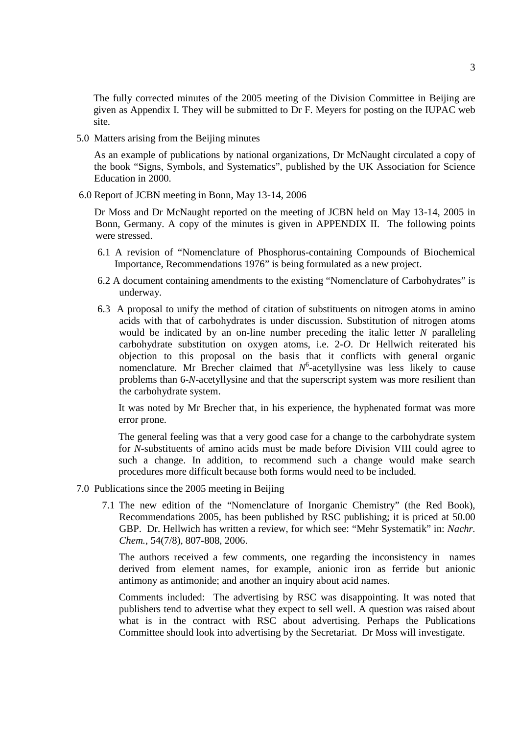The fully corrected minutes of the 2005 meeting of the Division Committee in Beijing are given as Appendix I. They will be submitted to Dr F. Meyers for posting on the IUPAC web site.

5.0 Matters arising from the Beijing minutes

As an example of publications by national organizations, Dr McNaught circulated a copy of the book "Signs, Symbols, and Systematics", published by the UK Association for Science Education in 2000.

6.0 Report of JCBN meeting in Bonn, May 13-14, 2006

Dr Moss and Dr McNaught reported on the meeting of JCBN held on May 13-14, 2005 in Bonn, Germany. A copy of the minutes is given in APPENDIX II. The following points were stressed.

- 6.1 A revision of "Nomenclature of Phosphorus-containing Compounds of Biochemical Importance, Recommendations 1976" is being formulated as a new project.
- 6.2 A document containing amendments to the existing "Nomenclature of Carbohydrates" is underway.
- 6.3 A proposal to unify the method of citation of substituents on nitrogen atoms in amino acids with that of carbohydrates is under discussion. Substitution of nitrogen atoms would be indicated by an on-line number preceding the italic letter *N* paralleling carbohydrate substitution on oxygen atoms, i.e. 2-*O*. Dr Hellwich reiterated his objection to this proposal on the basis that it conflicts with general organic nomenclature. Mr Brecher claimed that  $N^6$ -acetyllysine was less likely to cause problems than 6-*N*-acetyllysine and that the superscript system was more resilient than the carbohydrate system.

It was noted by Mr Brecher that, in his experience, the hyphenated format was more error prone.

The general feeling was that a very good case for a change to the carbohydrate system for *N*-substituents of amino acids must be made before Division VIII could agree to such a change. In addition, to recommend such a change would make search procedures more difficult because both forms would need to be included.

- 7.0 Publications since the 2005 meeting in Beijing
	- 7.1 The new edition of the "Nomenclature of Inorganic Chemistry" (the Red Book), Recommendations 2005, has been published by RSC publishing; it is priced at 50.00 GBP. Dr. Hellwich has written a review, for which see: "Mehr Systematik" in: *Nachr. Chem.*, 54(7/8), 807-808, 2006.

The authors received a few comments, one regarding the inconsistency in names derived from element names, for example, anionic iron as ferride but anionic antimony as antimonide; and another an inquiry about acid names.

Comments included: The advertising by RSC was disappointing. It was noted that publishers tend to advertise what they expect to sell well. A question was raised about what is in the contract with RSC about advertising. Perhaps the Publications Committee should look into advertising by the Secretariat. Dr Moss will investigate.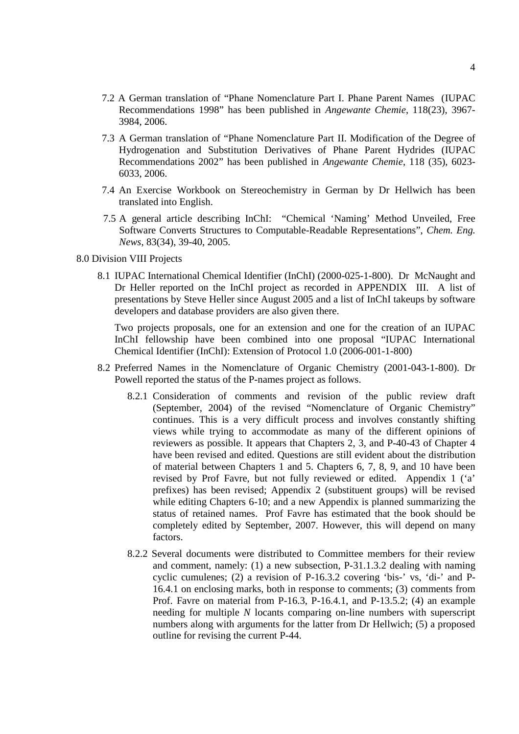- 7.2 A German translation of "Phane Nomenclature Part I. Phane Parent Names (IUPAC Recommendations 1998" has been published in *Angewante Chemie*, 118(23), 3967- 3984, 2006.
- 7.3 A German translation of "Phane Nomenclature Part II. Modification of the Degree of Hydrogenation and Substitution Derivatives of Phane Parent Hydrides (IUPAC Recommendations 2002" has been published in *Angewante Chemie*, 118 (35), 6023- 6033, 2006.
- 7.4 An Exercise Workbook on Stereochemistry in German by Dr Hellwich has been translated into English.
- 7.5 A general article describing InChI: "Chemical 'Naming' Method Unveiled, Free Software Converts Structures to Computable-Readable Representations", *Chem. Eng. News*, 83(34), 39-40, 2005.
- 8.0 Division VIII Projects
	- 8.1 IUPAC International Chemical Identifier (InChI) (2000-025-1-800). Dr McNaught and Dr Heller reported on the InChI project as recorded in APPENDIX III. A list of presentations by Steve Heller since August 2005 and a list of InChI takeups by software developers and database providers are also given there.

Two projects proposals, one for an extension and one for the creation of an IUPAC InChI fellowship have been combined into one proposal "IUPAC International Chemical Identifier (InChI): Extension of Protocol 1.0 (2006-001-1-800)

- 8.2 Preferred Names in the Nomenclature of Organic Chemistry (2001-043-1-800). Dr Powell reported the status of the P-names project as follows.
	- 8.2.1 Consideration of comments and revision of the public review draft (September, 2004) of the revised "Nomenclature of Organic Chemistry" continues. This is a very difficult process and involves constantly shifting views while trying to accommodate as many of the different opinions of reviewers as possible. It appears that Chapters 2, 3, and P-40-43 of Chapter 4 have been revised and edited. Questions are still evident about the distribution of material between Chapters 1 and 5. Chapters 6, 7, 8, 9, and 10 have been revised by Prof Favre, but not fully reviewed or edited. Appendix 1 ('a' prefixes) has been revised; Appendix 2 (substituent groups) will be revised while editing Chapters 6-10; and a new Appendix is planned summarizing the status of retained names. Prof Favre has estimated that the book should be completely edited by September, 2007. However, this will depend on many factors.
	- 8.2.2 Several documents were distributed to Committee members for their review and comment, namely: (1) a new subsection, P-31.1.3.2 dealing with naming cyclic cumulenes; (2) a revision of P-16.3.2 covering 'bis-' vs, 'di-' and P-16.4.1 on enclosing marks, both in response to comments; (3) comments from Prof. Favre on material from P-16.3, P-16.4.1, and P-13.5.2; (4) an example needing for multiple *N* locants comparing on-line numbers with superscript numbers along with arguments for the latter from Dr Hellwich; (5) a proposed outline for revising the current P-44.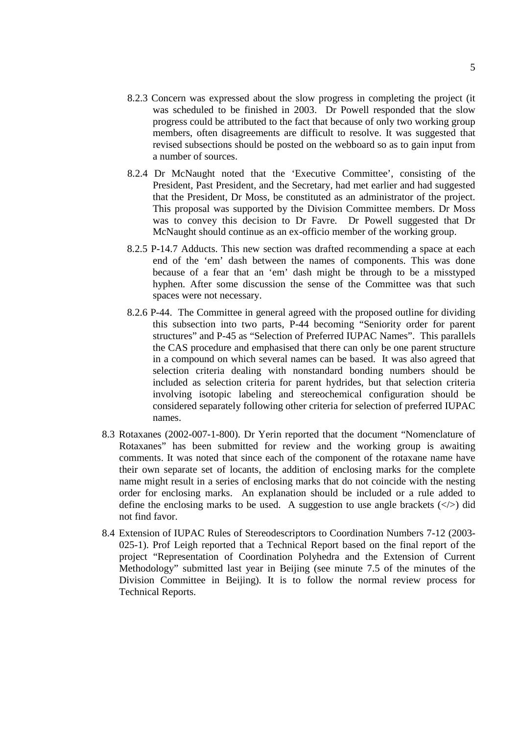- 8.2.3 Concern was expressed about the slow progress in completing the project (it was scheduled to be finished in 2003. Dr Powell responded that the slow progress could be attributed to the fact that because of only two working group members, often disagreements are difficult to resolve. It was suggested that revised subsections should be posted on the webboard so as to gain input from a number of sources.
- 8.2.4 Dr McNaught noted that the 'Executive Committee', consisting of the President, Past President, and the Secretary, had met earlier and had suggested that the President, Dr Moss, be constituted as an administrator of the project. This proposal was supported by the Division Committee members. Dr Moss was to convey this decision to Dr Favre. Dr Powell suggested that Dr McNaught should continue as an ex-officio member of the working group.
- 8.2.5 P-14.7 Adducts. This new section was drafted recommending a space at each end of the 'em' dash between the names of components. This was done because of a fear that an 'em' dash might be through to be a misstyped hyphen. After some discussion the sense of the Committee was that such spaces were not necessary.
- 8.2.6 P-44. The Committee in general agreed with the proposed outline for dividing this subsection into two parts, P-44 becoming "Seniority order for parent structures" and P-45 as "Selection of Preferred IUPAC Names". This parallels the CAS procedure and emphasised that there can only be one parent structure in a compound on which several names can be based. It was also agreed that selection criteria dealing with nonstandard bonding numbers should be included as selection criteria for parent hydrides, but that selection criteria involving isotopic labeling and stereochemical configuration should be considered separately following other criteria for selection of preferred IUPAC names.
- 8.3 Rotaxanes (2002-007-1-800). Dr Yerin reported that the document "Nomenclature of Rotaxanes" has been submitted for review and the working group is awaiting comments. It was noted that since each of the component of the rotaxane name have their own separate set of locants, the addition of enclosing marks for the complete name might result in a series of enclosing marks that do not coincide with the nesting order for enclosing marks. An explanation should be included or a rule added to define the enclosing marks to be used. A suggestion to use angle brackets  $(\langle \rangle)$  did not find favor.
- 8.4 Extension of IUPAC Rules of Stereodescriptors to Coordination Numbers 7-12 (2003- 025-1). Prof Leigh reported that a Technical Report based on the final report of the project "Representation of Coordination Polyhedra and the Extension of Current Methodology" submitted last year in Beijing (see minute 7.5 of the minutes of the Division Committee in Beijing). It is to follow the normal review process for Technical Reports.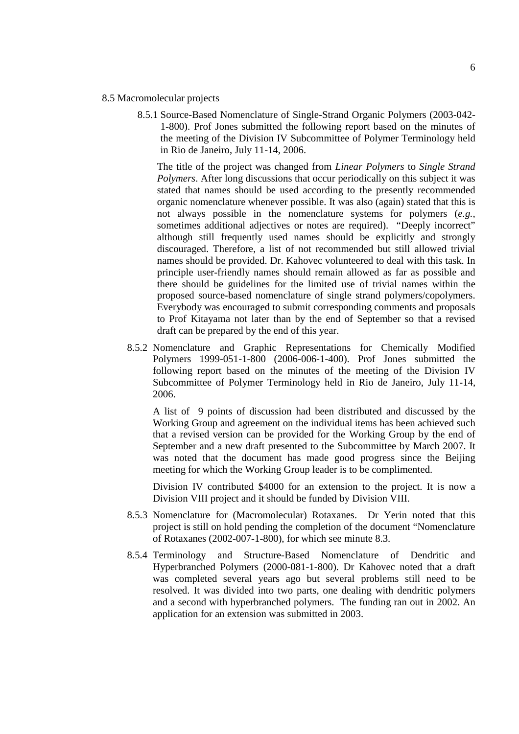#### 8.5 Macromolecular projects

8.5.1 Source-Based Nomenclature of Single-Strand Organic Polymers (2003-042- 1-800). Prof Jones submitted the following report based on the minutes of the meeting of the Division IV Subcommittee of Polymer Terminology held in Rio de Janeiro, July 11-14, 2006.

The title of the project was changed from *Linear Polymers* to *Single Strand Polymers*. After long discussions that occur periodically on this subject it was stated that names should be used according to the presently recommended organic nomenclature whenever possible. It was also (again) stated that this is not always possible in the nomenclature systems for polymers (*e.g.,* sometimes additional adjectives or notes are required). "Deeply incorrect" although still frequently used names should be explicitly and strongly discouraged. Therefore, a list of not recommended but still allowed trivial names should be provided. Dr. Kahovec volunteered to deal with this task. In principle user-friendly names should remain allowed as far as possible and there should be guidelines for the limited use of trivial names within the proposed source-based nomenclature of single strand polymers/copolymers. Everybody was encouraged to submit corresponding comments and proposals to Prof Kitayama not later than by the end of September so that a revised draft can be prepared by the end of this year.

8.5.2 Nomenclature and Graphic Representations for Chemically Modified Polymers 1999-051-1-800 (2006-006-1-400). Prof Jones submitted the following report based on the minutes of the meeting of the Division IV Subcommittee of Polymer Terminology held in Rio de Janeiro, July 11-14, 2006.

A list of 9 points of discussion had been distributed and discussed by the Working Group and agreement on the individual items has been achieved such that a revised version can be provided for the Working Group by the end of September and a new draft presented to the Subcommittee by March 2007. It was noted that the document has made good progress since the Beijing meeting for which the Working Group leader is to be complimented.

Division IV contributed \$4000 for an extension to the project. It is now a Division VIII project and it should be funded by Division VIII.

- 8.5.3 Nomenclature for (Macromolecular) Rotaxanes. Dr Yerin noted that this project is still on hold pending the completion of the document "Nomenclature of Rotaxanes (2002-007-1-800), for which see minute 8.3.
- 8.5.4 Terminology and Structure-Based Nomenclature of Dendritic and Hyperbranched Polymers (2000-081-1-800). Dr Kahovec noted that a draft was completed several years ago but several problems still need to be resolved. It was divided into two parts, one dealing with dendritic polymers and a second with hyperbranched polymers. The funding ran out in 2002. An application for an extension was submitted in 2003.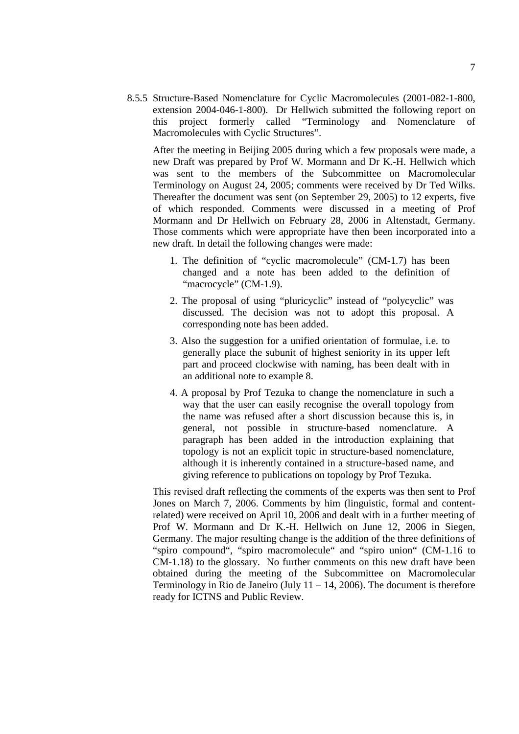8.5.5 Structure-Based Nomenclature for Cyclic Macromolecules (2001-082-1-800, extension 2004-046-1-800). Dr Hellwich submitted the following report on this project formerly called "Terminology and Nomenclature of Macromolecules with Cyclic Structures".

After the meeting in Beijing 2005 during which a few proposals were made, a new Draft was prepared by Prof W. Mormann and Dr K.-H. Hellwich which was sent to the members of the Subcommittee on Macromolecular Terminology on August 24, 2005; comments were received by Dr Ted Wilks. Thereafter the document was sent (on September 29, 2005) to 12 experts, five of which responded. Comments were discussed in a meeting of Prof Mormann and Dr Hellwich on February 28, 2006 in Altenstadt, Germany. Those comments which were appropriate have then been incorporated into a new draft. In detail the following changes were made:

- 1. The definition of "cyclic macromolecule" (CM-1.7) has been changed and a note has been added to the definition of "macrocycle" (CM-1.9).
- 2. The proposal of using "pluricyclic" instead of "polycyclic" was discussed. The decision was not to adopt this proposal. A corresponding note has been added.
- 3. Also the suggestion for a unified orientation of formulae, i.e. to generally place the subunit of highest seniority in its upper left part and proceed clockwise with naming, has been dealt with in an additional note to example 8.
- 4. A proposal by Prof Tezuka to change the nomenclature in such a way that the user can easily recognise the overall topology from the name was refused after a short discussion because this is, in general, not possible in structure-based nomenclature. A paragraph has been added in the introduction explaining that topology is not an explicit topic in structure-based nomenclature, although it is inherently contained in a structure-based name, and giving reference to publications on topology by Prof Tezuka.

This revised draft reflecting the comments of the experts was then sent to Prof Jones on March 7, 2006. Comments by him (linguistic, formal and contentrelated) were received on April 10, 2006 and dealt with in a further meeting of Prof W. Mormann and Dr K.-H. Hellwich on June 12, 2006 in Siegen, Germany. The major resulting change is the addition of the three definitions of "spiro compound", "spiro macromolecule" and "spiro union" (CM-1.16 to CM-1.18) to the glossary. No further comments on this new draft have been obtained during the meeting of the Subcommittee on Macromolecular Terminology in Rio de Janeiro (July 11 – 14, 2006). The document is therefore ready for ICTNS and Public Review.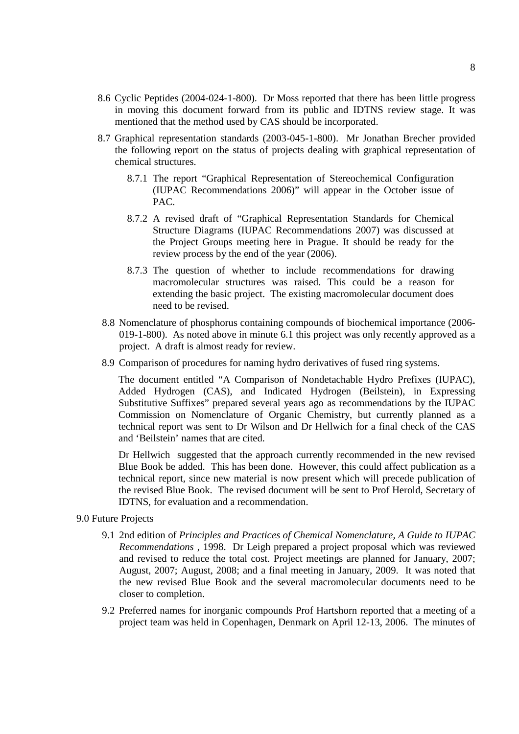- 8.6 Cyclic Peptides (2004-024-1-800). Dr Moss reported that there has been little progress in moving this document forward from its public and IDTNS review stage. It was mentioned that the method used by CAS should be incorporated.
- 8.7 Graphical representation standards (2003-045-1-800). Mr Jonathan Brecher provided the following report on the status of projects dealing with graphical representation of chemical structures.
	- 8.7.1 The report "Graphical Representation of Stereochemical Configuration (IUPAC Recommendations 2006)" will appear in the October issue of PAC.
	- 8.7.2 A revised draft of "Graphical Representation Standards for Chemical Structure Diagrams (IUPAC Recommendations 2007) was discussed at the Project Groups meeting here in Prague. It should be ready for the review process by the end of the year (2006).
	- 8.7.3 The question of whether to include recommendations for drawing macromolecular structures was raised. This could be a reason for extending the basic project. The existing macromolecular document does need to be revised.
	- 8.8 Nomenclature of phosphorus containing compounds of biochemical importance (2006- 019-1-800). As noted above in minute 6.1 this project was only recently approved as a project. A draft is almost ready for review.
- 8.9 Comparison of procedures for naming hydro derivatives of fused ring systems.

The document entitled "A Comparison of Nondetachable Hydro Prefixes (IUPAC), Added Hydrogen (CAS), and Indicated Hydrogen (Beilstein), in Expressing Substitutive Suffixes" prepared several years ago as recommendations by the IUPAC Commission on Nomenclature of Organic Chemistry, but currently planned as a technical report was sent to Dr Wilson and Dr Hellwich for a final check of the CAS and 'Beilstein' names that are cited.

Dr Hellwich suggested that the approach currently recommended in the new revised Blue Book be added. This has been done. However, this could affect publication as a technical report, since new material is now present which will precede publication of the revised Blue Book. The revised document will be sent to Prof Herold, Secretary of IDTNS, for evaluation and a recommendation.

- 9.0 Future Projects
	- 9.1 2nd edition of *Principles and Practices of Chemical Nomenclature, A Guide to IUPAC Recommendations* , 1998. Dr Leigh prepared a project proposal which was reviewed and revised to reduce the total cost. Project meetings are planned for January, 2007; August, 2007; August, 2008; and a final meeting in January, 2009. It was noted that the new revised Blue Book and the several macromolecular documents need to be closer to completion.
	- 9.2 Preferred names for inorganic compounds Prof Hartshorn reported that a meeting of a project team was held in Copenhagen, Denmark on April 12-13, 2006. The minutes of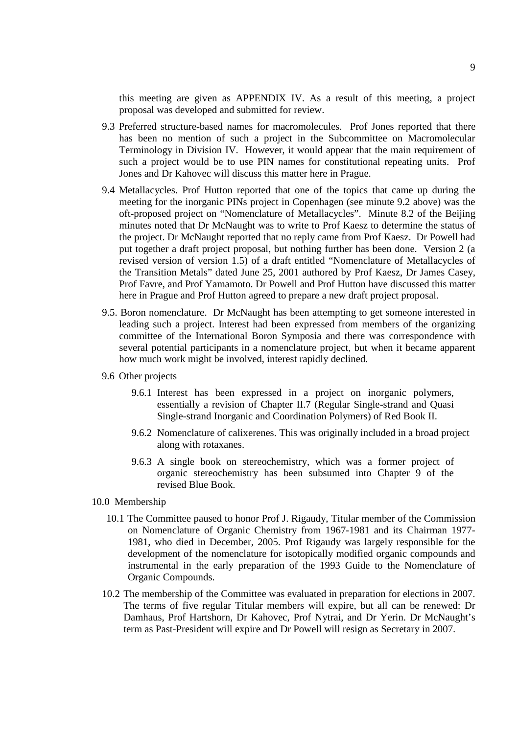this meeting are given as APPENDIX IV. As a result of this meeting, a project proposal was developed and submitted for review.

- 9.3 Preferred structure-based names for macromolecules. Prof Jones reported that there has been no mention of such a project in the Subcommittee on Macromolecular Terminology in Division IV. However, it would appear that the main requirement of such a project would be to use PIN names for constitutional repeating units. Prof Jones and Dr Kahovec will discuss this matter here in Prague.
- 9.4 Metallacycles. Prof Hutton reported that one of the topics that came up during the meeting for the inorganic PINs project in Copenhagen (see minute 9.2 above) was the oft-proposed project on "Nomenclature of Metallacycles". Minute 8.2 of the Beijing minutes noted that Dr McNaught was to write to Prof Kaesz to determine the status of the project. Dr McNaught reported that no reply came from Prof Kaesz. Dr Powell had put together a draft project proposal, but nothing further has been done. Version 2 (a revised version of version 1.5) of a draft entitled "Nomenclature of Metallacycles of the Transition Metals" dated June 25, 2001 authored by Prof Kaesz, Dr James Casey, Prof Favre, and Prof Yamamoto. Dr Powell and Prof Hutton have discussed this matter here in Prague and Prof Hutton agreed to prepare a new draft project proposal.
- 9.5. Boron nomenclature. Dr McNaught has been attempting to get someone interested in leading such a project. Interest had been expressed from members of the organizing committee of the International Boron Symposia and there was correspondence with several potential participants in a nomenclature project, but when it became apparent how much work might be involved, interest rapidly declined.
- 9.6 Other projects
	- 9.6.1 Interest has been expressed in a project on inorganic polymers, essentially a revision of Chapter II.7 (Regular Single-strand and Quasi Single-strand Inorganic and Coordination Polymers) of Red Book II.
	- 9.6.2 Nomenclature of calixerenes. This was originally included in a broad project along with rotaxanes.
	- 9.6.3 A single book on stereochemistry, which was a former project of organic stereochemistry has been subsumed into Chapter 9 of the revised Blue Book.
- 10.0 Membership
	- 10.1 The Committee paused to honor Prof J. Rigaudy, Titular member of the Commission on Nomenclature of Organic Chemistry from 1967-1981 and its Chairman 1977- 1981, who died in December, 2005. Prof Rigaudy was largely responsible for the development of the nomenclature for isotopically modified organic compounds and instrumental in the early preparation of the 1993 Guide to the Nomenclature of Organic Compounds.
	- 10.2 The membership of the Committee was evaluated in preparation for elections in 2007. The terms of five regular Titular members will expire, but all can be renewed: Dr Damhaus, Prof Hartshorn, Dr Kahovec, Prof Nytrai, and Dr Yerin. Dr McNaught's term as Past-President will expire and Dr Powell will resign as Secretary in 2007.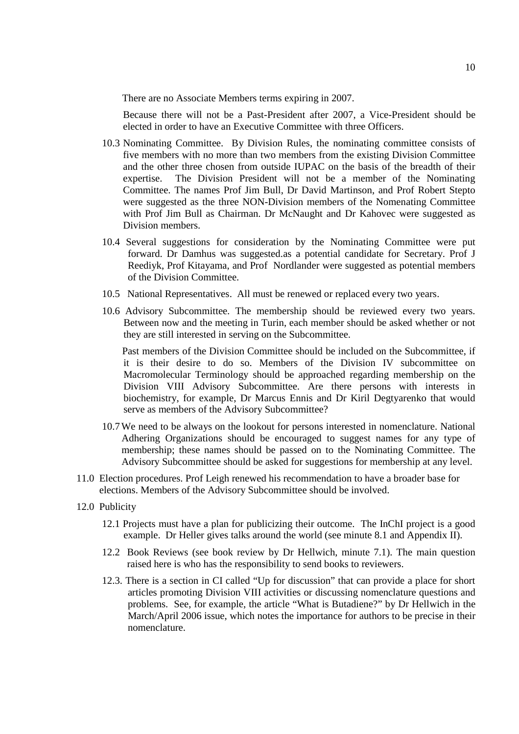There are no Associate Members terms expiring in 2007.

Because there will not be a Past-President after 2007, a Vice-President should be elected in order to have an Executive Committee with three Officers.

- 10.3 Nominating Committee. By Division Rules, the nominating committee consists of five members with no more than two members from the existing Division Committee and the other three chosen from outside IUPAC on the basis of the breadth of their expertise. The Division President will not be a member of the Nominating Committee. The names Prof Jim Bull, Dr David Martinson, and Prof Robert Stepto were suggested as the three NON-Division members of the Nomenating Committee with Prof Jim Bull as Chairman. Dr McNaught and Dr Kahovec were suggested as Division members.
- 10.4 Several suggestions for consideration by the Nominating Committee were put forward. Dr Damhus was suggested.as a potential candidate for Secretary. Prof J Reediyk, Prof Kitayama, and Prof Nordlander were suggested as potential members of the Division Committee.
- 10.5 National Representatives. All must be renewed or replaced every two years.
- 10.6 Advisory Subcommittee. The membership should be reviewed every two years. Between now and the meeting in Turin, each member should be asked whether or not they are still interested in serving on the Subcommittee.

Past members of the Division Committee should be included on the Subcommittee, if it is their desire to do so. Members of the Division IV subcommittee on Macromolecular Terminology should be approached regarding membership on the Division VIII Advisory Subcommittee. Are there persons with interests in biochemistry, for example, Dr Marcus Ennis and Dr Kiril Degtyarenko that would serve as members of the Advisory Subcommittee?

- 10.7We need to be always on the lookout for persons interested in nomenclature. National Adhering Organizations should be encouraged to suggest names for any type of membership; these names should be passed on to the Nominating Committee. The Advisory Subcommittee should be asked for suggestions for membership at any level.
- 11.0 Election procedures. Prof Leigh renewed his recommendation to have a broader base for elections. Members of the Advisory Subcommittee should be involved.
- 12.0 Publicity
	- 12.1 Projects must have a plan for publicizing their outcome. The InChI project is a good example. Dr Heller gives talks around the world (see minute 8.1 and Appendix II).
	- 12.2 Book Reviews (see book review by Dr Hellwich, minute 7.1). The main question raised here is who has the responsibility to send books to reviewers.
	- 12.3. There is a section in CI called "Up for discussion" that can provide a place for short articles promoting Division VIII activities or discussing nomenclature questions and problems. See, for example, the article "What is Butadiene?" by Dr Hellwich in the March/April 2006 issue, which notes the importance for authors to be precise in their nomenclature.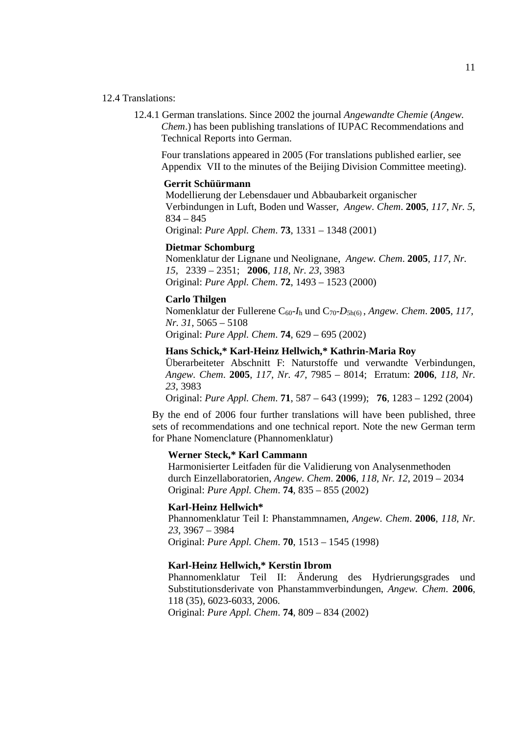#### 12.4 Translations:

12.4.1 German translations. Since 2002 the journal *Angewandte Chemie* (*Angew. Chem*.) has been publishing translations of IUPAC Recommendations and Technical Reports into German.

Four translations appeared in 2005 (For translations published earlier, see Appendix VII to the minutes of the Beijing Division Committee meeting).

#### **Gerrit Schüürmann**

Modellierung der Lebensdauer und Abbaubarkeit organischer Verbindungen in Luft, Boden und Wasser, *Angew. Chem*. **2005**, *117, Nr. 5*, 834 – 845

Original: *Pure Appl. Chem*. **73**, 1331 – 1348 (2001)

#### **Dietmar Schomburg**

Nomenklatur der Lignane und Neolignane, *Angew. Chem*. **2005**, *117, Nr. 15*, 2339 – 2351; **2006**, *118, Nr. 23*, 3983 Original: *Pure Appl. Chem*. **72**, 1493 – 1523 (2000)

#### **Carlo Thilgen**

Nomenklatur der Fullerene C60-*I*<sup>h</sup> und C70-*D*5h(6) , *Angew. Chem*. **2005**, *117, Nr. 31*, 5065 – 5108 Original: *Pure Appl. Chem*. **74**, 629 – 695 (2002)

#### **Hans Schick,\* Karl-Heinz Hellwich,\* Kathrin-Maria Roy**

Überarbeiteter Abschnitt F: Naturstoffe und verwandte Verbindungen, *Angew. Chem*. **2005**, *117, Nr. 47*, 7985 – 8014; Erratum: **2006**, *118, Nr. 23*, 3983

Original: *Pure Appl. Chem*. **71**, 587 – 643 (1999); **76**, 1283 – 1292 (2004)

By the end of 2006 four further translations will have been published, three sets of recommendations and one technical report. Note the new German term for Phane Nomenclature (Phannomenklatur)

#### **Werner Steck,\* Karl Cammann**

Harmonisierter Leitfaden für die Validierung von Analysenmethoden durch Einzellaboratorien, *Angew. Chem*. **2006**, *118, Nr. 12*, 2019 – 2034 Original: *Pure Appl. Chem*. **74**, 835 – 855 (2002)

#### **Karl-Heinz Hellwich\***

Phannomenklatur Teil I: Phanstammnamen, *Angew. Chem*. **2006**, *118, Nr. 23*, 3967 – 3984 Original: *Pure Appl. Chem*. **70**, 1513 – 1545 (1998)

#### **Karl-Heinz Hellwich,\* Kerstin Ibrom**

Phannomenklatur Teil II: Änderung des Hydrierungsgrades und Substitutionsderivate von Phanstammverbindungen, *Angew. Chem*. **2006**, 118 (35), 6023-6033, 2006. Original: *Pure Appl. Chem*. **74**, 809 – 834 (2002)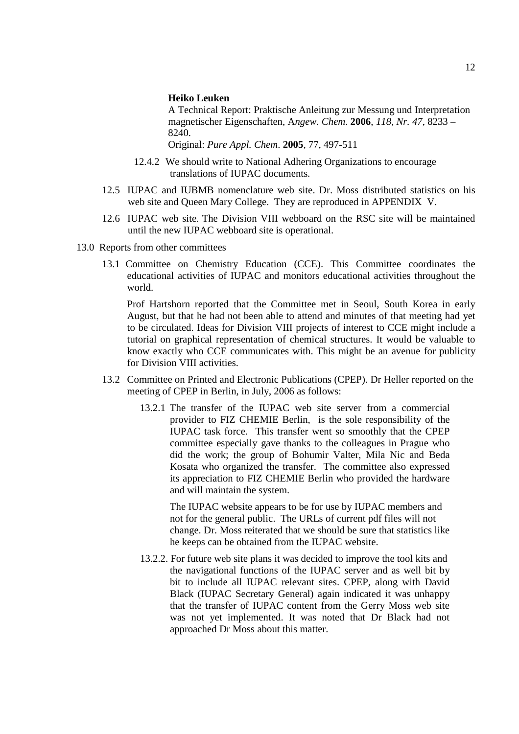#### **Heiko Leuken**

A Technical Report: Praktische Anleitung zur Messung und Interpretation magnetischer Eigenschaften, A*ngew. Chem*. **2006**, *118, Nr. 47*, 8233 – 8240.

Original: *Pure Appl. Chem*. **2005**, 77, 497-511

- 12.4.2 We should write to National Adhering Organizations to encourage translations of IUPAC documents.
- 12.5 IUPAC and IUBMB nomenclature web site. Dr. Moss distributed statistics on his web site and Queen Mary College. They are reproduced in APPENDIX V.
- 12.6 IUPAC web site. The Division VIII webboard on the RSC site will be maintained until the new IUPAC webboard site is operational.
- 13.0 Reports from other committees
	- 13.1 Committee on Chemistry Education (CCE). This Committee coordinates the educational activities of IUPAC and monitors educational activities throughout the world.

Prof Hartshorn reported that the Committee met in Seoul, South Korea in early August, but that he had not been able to attend and minutes of that meeting had yet to be circulated. Ideas for Division VIII projects of interest to CCE might include a tutorial on graphical representation of chemical structures. It would be valuable to know exactly who CCE communicates with. This might be an avenue for publicity for Division VIII activities.

- 13.2 Committee on Printed and Electronic Publications (CPEP). Dr Heller reported on the meeting of CPEP in Berlin, in July, 2006 as follows:
	- 13.2.1 The transfer of the IUPAC web site server from a commercial provider to FIZ CHEMIE Berlin, is the sole responsibility of the IUPAC task force. This transfer went so smoothly that the CPEP committee especially gave thanks to the colleagues in Prague who did the work; the group of Bohumir Valter, Mila Nic and Beda Kosata who organized the transfer. The committee also expressed its appreciation to FIZ CHEMIE Berlin who provided the hardware and will maintain the system.

The IUPAC website appears to be for use by IUPAC members and not for the general public. The URLs of current pdf files will not change. Dr. Moss reiterated that we should be sure that statistics like he keeps can be obtained from the IUPAC website.

13.2.2. For future web site plans it was decided to improve the tool kits and the navigational functions of the IUPAC server and as well bit by bit to include all IUPAC relevant sites. CPEP, along with David Black (IUPAC Secretary General) again indicated it was unhappy that the transfer of IUPAC content from the Gerry Moss web site was not yet implemented. It was noted that Dr Black had not approached Dr Moss about this matter.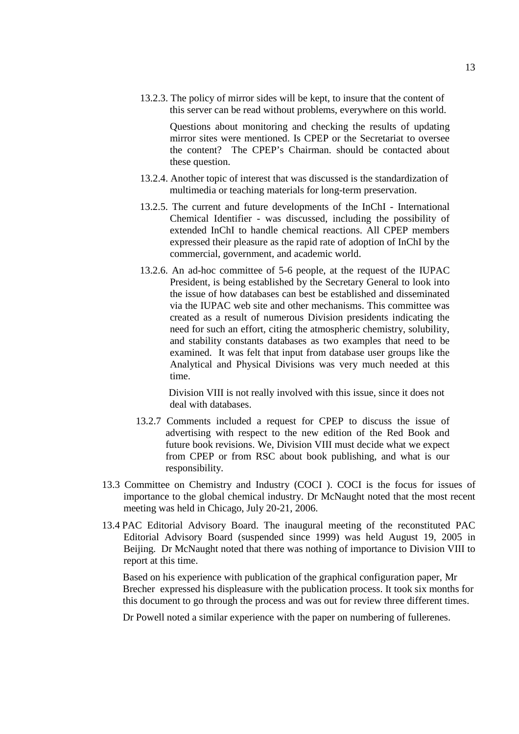13.2.3. The policy of mirror sides will be kept, to insure that the content of this server can be read without problems, everywhere on this world.

Questions about monitoring and checking the results of updating mirror sites were mentioned. Is CPEP or the Secretariat to oversee the content? The CPEP's Chairman. should be contacted about these question.

- 13.2.4. Another topic of interest that was discussed is the standardization of multimedia or teaching materials for long-term preservation.
- 13.2.5. The current and future developments of the InChI International Chemical Identifier - was discussed, including the possibility of extended InChI to handle chemical reactions. All CPEP members expressed their pleasure as the rapid rate of adoption of InChI by the commercial, government, and academic world.
- 13.2.6. An ad-hoc committee of 5-6 people, at the request of the IUPAC President, is being established by the Secretary General to look into the issue of how databases can best be established and disseminated via the IUPAC web site and other mechanisms. This committee was created as a result of numerous Division presidents indicating the need for such an effort, citing the atmospheric chemistry, solubility, and stability constants databases as two examples that need to be examined. It was felt that input from database user groups like the Analytical and Physical Divisions was very much needed at this time.

Division VIII is not really involved with this issue, since it does not deal with databases.

- 13.2.7 Comments included a request for CPEP to discuss the issue of advertising with respect to the new edition of the Red Book and future book revisions. We, Division VIII must decide what we expect from CPEP or from RSC about book publishing, and what is our responsibility.
- 13.3 Committee on Chemistry and Industry (COCI ). COCI is the focus for issues of importance to the global chemical industry. Dr McNaught noted that the most recent meeting was held in Chicago, July 20-21, 2006.
- 13.4 PAC Editorial Advisory Board. The inaugural meeting of the reconstituted PAC Editorial Advisory Board (suspended since 1999) was held August 19, 2005 in Beijing. Dr McNaught noted that there was nothing of importance to Division VIII to report at this time.

Based on his experience with publication of the graphical configuration paper, Mr Brecher expressed his displeasure with the publication process. It took six months for this document to go through the process and was out for review three different times.

Dr Powell noted a similar experience with the paper on numbering of fullerenes.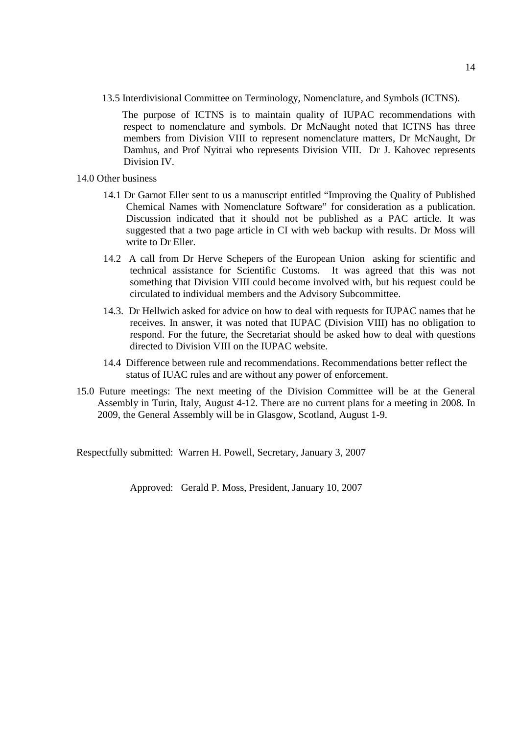13.5 Interdivisional Committee on Terminology, Nomenclature, and Symbols (ICTNS).

The purpose of ICTNS is to maintain quality of IUPAC recommendations with respect to nomenclature and symbols. Dr McNaught noted that ICTNS has three members from Division VIII to represent nomenclature matters, Dr McNaught, Dr Damhus, and Prof Nyitrai who represents Division VIII. Dr J. Kahovec represents Division IV.

- 14.0 Other business
	- 14.1 Dr Garnot Eller sent to us a manuscript entitled "Improving the Quality of Published Chemical Names with Nomenclature Software" for consideration as a publication. Discussion indicated that it should not be published as a PAC article. It was suggested that a two page article in CI with web backup with results. Dr Moss will write to Dr Eller.
	- 14.2 A call from Dr Herve Schepers of the European Union asking for scientific and technical assistance for Scientific Customs. It was agreed that this was not something that Division VIII could become involved with, but his request could be circulated to individual members and the Advisory Subcommittee.
	- 14.3. Dr Hellwich asked for advice on how to deal with requests for IUPAC names that he receives. In answer, it was noted that IUPAC (Division VIII) has no obligation to respond. For the future, the Secretariat should be asked how to deal with questions directed to Division VIII on the IUPAC website.
	- 14.4 Difference between rule and recommendations. Recommendations better reflect the status of IUAC rules and are without any power of enforcement.
- 15.0 Future meetings: The next meeting of the Division Committee will be at the General Assembly in Turin, Italy, August 4-12. There are no current plans for a meeting in 2008. In 2009, the General Assembly will be in Glasgow, Scotland, August 1-9.

Respectfully submitted: Warren H. Powell, Secretary, January 3, 2007

Approved: Gerald P. Moss, President, January 10, 2007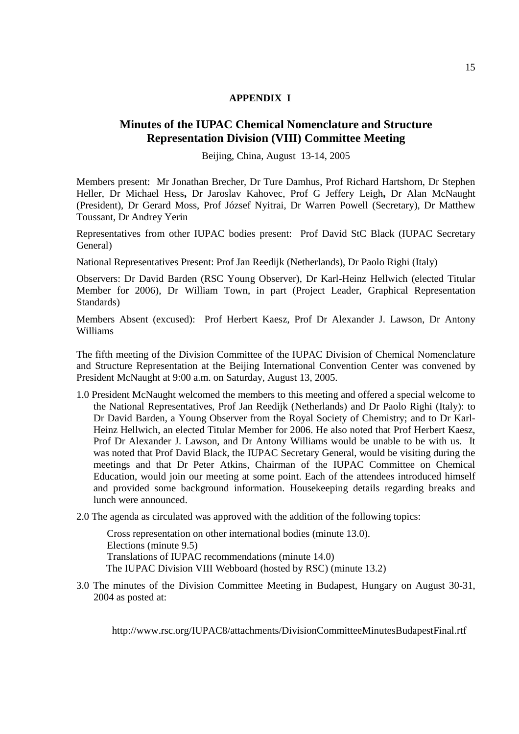## **APPENDIX I**

# **Minutes of the IUPAC Chemical Nomenclature and Structure Representation Division (VIII) Committee Meeting**

Beijing, China, August 13-14, 2005

Members present: Mr Jonathan Brecher, Dr Ture Damhus, Prof Richard Hartshorn, Dr Stephen Heller, Dr Michael Hess**,** Dr Jaroslav Kahovec, Prof G Jeffery Leigh**,** Dr Alan McNaught (President), Dr Gerard Moss, Prof József Nyitrai, Dr Warren Powell (Secretary), Dr Matthew Toussant, Dr Andrey Yerin

Representatives from other IUPAC bodies present: Prof David StC Black (IUPAC Secretary General)

National Representatives Present: Prof Jan Reedijk (Netherlands), Dr Paolo Righi (Italy)

Observers: Dr David Barden (RSC Young Observer), Dr Karl-Heinz Hellwich (elected Titular Member for 2006), Dr William Town, in part (Project Leader, Graphical Representation Standards)

Members Absent (excused): Prof Herbert Kaesz, Prof Dr Alexander J. Lawson, Dr Antony Williams

The fifth meeting of the Division Committee of the IUPAC Division of Chemical Nomenclature and Structure Representation at the Beijing International Convention Center was convened by President McNaught at 9:00 a.m. on Saturday, August 13, 2005.

- 1.0 President McNaught welcomed the members to this meeting and offered a special welcome to the National Representatives, Prof Jan Reedijk (Netherlands) and Dr Paolo Righi (Italy): to Dr David Barden, a Young Observer from the Royal Society of Chemistry; and to Dr Karl-Heinz Hellwich, an elected Titular Member for 2006. He also noted that Prof Herbert Kaesz, Prof Dr Alexander J. Lawson, and Dr Antony Williams would be unable to be with us. It was noted that Prof David Black, the IUPAC Secretary General, would be visiting during the meetings and that Dr Peter Atkins, Chairman of the IUPAC Committee on Chemical Education, would join our meeting at some point. Each of the attendees introduced himself and provided some background information. Housekeeping details regarding breaks and lunch were announced.
- 2.0 The agenda as circulated was approved with the addition of the following topics:

Cross representation on other international bodies (minute 13.0). Elections (minute 9.5) Translations of IUPAC recommendations (minute 14.0) The IUPAC Division VIII Webboard (hosted by RSC) (minute 13.2)

3.0 The minutes of the Division Committee Meeting in Budapest, Hungary on August 30-31, 2004 as posted at:

http://www.rsc.org/IUPAC8/attachments/DivisionCommitteeMinutesBudapestFinal.rtf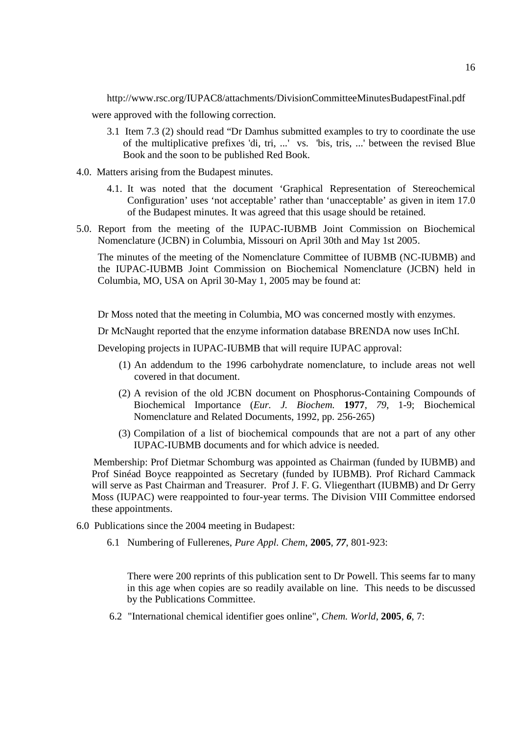http://www.rsc.org/IUPAC8/attachments/DivisionCommitteeMinutesBudapestFinal.pdf

were approved with the following correction.

- 3.1 Item 7.3 (2) should read "Dr Damhus submitted examples to try to coordinate the use of the multiplicative prefixes 'di, tri, ...' vs. 'bis, tris, ...' between the revised Blue Book and the soon to be published Red Book.
- 4.0. Matters arising from the Budapest minutes.
	- 4.1. It was noted that the document 'Graphical Representation of Stereochemical Configuration' uses 'not acceptable' rather than 'unacceptable' as given in item 17.0 of the Budapest minutes. It was agreed that this usage should be retained.
- 5.0. Report from the meeting of the IUPAC-IUBMB Joint Commission on Biochemical Nomenclature (JCBN) in Columbia, Missouri on April 30th and May 1st 2005.

The minutes of the meeting of the Nomenclature Committee of IUBMB (NC-IUBMB) and the IUPAC-IUBMB Joint Commission on Biochemical Nomenclature (JCBN) held in Columbia, MO, USA on April 30-May 1, 2005 may be found at:

Dr Moss noted that the meeting in Columbia, MO was concerned mostly with enzymes.

Dr McNaught reported that the enzyme information database BRENDA now uses InChI.

Developing projects in IUPAC-IUBMB that will require IUPAC approval:

- (1) An addendum to the 1996 carbohydrate nomenclature, to include areas not well covered in that document.
- (2) A revision of the old JCBN document on Phosphorus-Containing Compounds of Biochemical Importance (*Eur. J. Biochem.* **1977**, *79*, 1-9; Biochemical Nomenclature and Related Documents, 1992, pp. 256-265)
- (3) Compilation of a list of biochemical compounds that are not a part of any other IUPAC-IUBMB documents and for which advice is needed.

Membership: Prof Dietmar Schomburg was appointed as Chairman (funded by IUBMB) and Prof Sinéad Boyce reappointed as Secretary (funded by IUBMB). Prof Richard Cammack will serve as Past Chairman and Treasurer. Prof J. F. G. Vliegenthart (IUBMB) and Dr Gerry Moss (IUPAC) were reappointed to four-year terms. The Division VIII Committee endorsed these appointments.

- 6.0 Publications since the 2004 meeting in Budapest:
	- 6.1 Numbering of Fullerenes, *Pure Appl. Chem*, **2005**, *77*, 801-923:

There were 200 reprints of this publication sent to Dr Powell. This seems far to many in this age when copies are so readily available on line. This needs to be discussed by the Publications Committee.

6.2 "International chemical identifier goes online", *Chem. World*, **2005**, *6*, 7: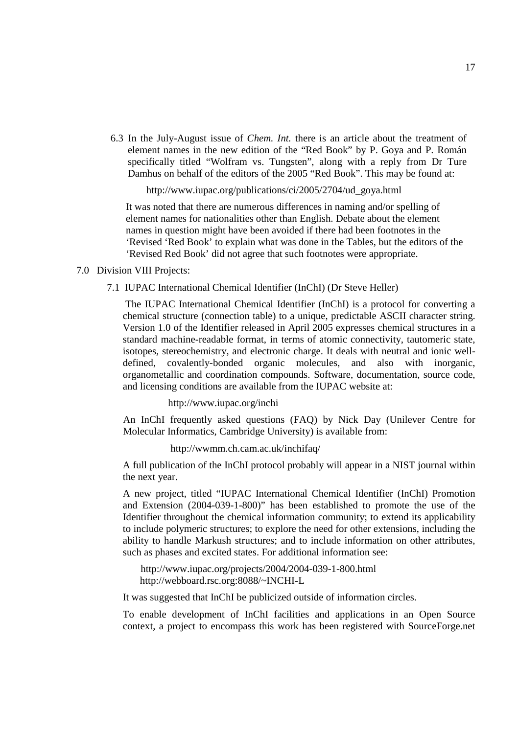6.3 In the July-August issue of *Chem. Int.* there is an article about the treatment of element names in the new edition of the "Red Book" by P. Goya and P. Román specifically titled "Wolfram vs. Tungsten", along with a reply from Dr Ture Damhus on behalf of the editors of the 2005 "Red Book". This may be found at:

http://www.iupac.org/publications/ci/2005/2704/ud\_goya.html

It was noted that there are numerous differences in naming and/or spelling of element names for nationalities other than English. Debate about the element names in question might have been avoided if there had been footnotes in the 'Revised 'Red Book' to explain what was done in the Tables, but the editors of the 'Revised Red Book' did not agree that such footnotes were appropriate.

#### 7.0 Division VIII Projects:

#### 7.1 IUPAC International Chemical Identifier (InChI) (Dr Steve Heller)

The IUPAC International Chemical Identifier (InChI) is a protocol for converting a chemical structure (connection table) to a unique, predictable ASCII character string. Version 1.0 of the Identifier released in April 2005 expresses chemical structures in a standard machine-readable format, in terms of atomic connectivity, tautomeric state, isotopes, stereochemistry, and electronic charge. It deals with neutral and ionic welldefined, covalently-bonded organic molecules, and also with inorganic, organometallic and coordination compounds. Software, documentation, source code, and licensing conditions are available from the IUPAC website at:

http://www.iupac.org/inchi

An InChI frequently asked questions (FAQ) by Nick Day (Unilever Centre for Molecular Informatics, Cambridge University) is available from:

http://wwmm.ch.cam.ac.uk/inchifaq/

A full publication of the InChI protocol probably will appear in a NIST journal within the next year.

A new project, titled "IUPAC International Chemical Identifier (InChI) Promotion and Extension (2004-039-1-800)" has been established to promote the use of the Identifier throughout the chemical information community; to extend its applicability to include polymeric structures; to explore the need for other extensions, including the ability to handle Markush structures; and to include information on other attributes, such as phases and excited states. For additional information see:

http://www.iupac.org/projects/2004/2004-039-1-800.html http://webboard.rsc.org:8088/~INCHI-L

It was suggested that InChI be publicized outside of information circles.

To enable development of InChI facilities and applications in an Open Source context, a project to encompass this work has been registered with SourceForge.net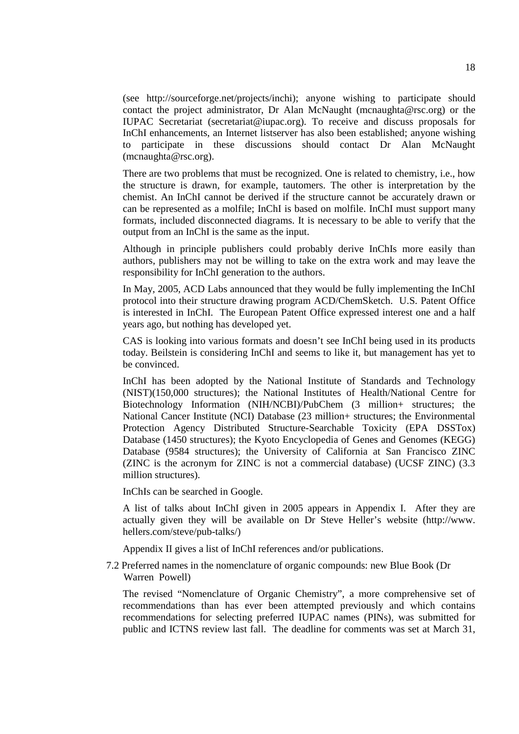(see http://sourceforge.net/projects/inchi); anyone wishing to participate should contact the project administrator, Dr Alan McNaught (mcnaughta@rsc.org) or the IUPAC Secretariat (secretariat@iupac.org). To receive and discuss proposals for InChI enhancements, an Internet listserver has also been established; anyone wishing to participate in these discussions should contact Dr Alan McNaught (mcnaughta@rsc.org).

There are two problems that must be recognized. One is related to chemistry, i.e., how the structure is drawn, for example, tautomers. The other is interpretation by the chemist. An InChI cannot be derived if the structure cannot be accurately drawn or can be represented as a molfile; InChI is based on molfile. InChI must support many formats, included disconnected diagrams. It is necessary to be able to verify that the output from an InChI is the same as the input.

Although in principle publishers could probably derive InChIs more easily than authors, publishers may not be willing to take on the extra work and may leave the responsibility for InChI generation to the authors.

In May, 2005, ACD Labs announced that they would be fully implementing the InChI protocol into their structure drawing program ACD/ChemSketch. U.S. Patent Office is interested in InChI. The European Patent Office expressed interest one and a half years ago, but nothing has developed yet.

CAS is looking into various formats and doesn't see InChI being used in its products today. Beilstein is considering InChI and seems to like it, but management has yet to be convinced.

InChI has been adopted by the National Institute of Standards and Technology (NIST)(150,000 structures); the National Institutes of Health/National Centre for Biotechnology Information (NIH/NCBI)/PubChem (3 million+ structures; the National Cancer Institute (NCI) Database (23 million+ structures; the Environmental Protection Agency Distributed Structure-Searchable Toxicity (EPA DSSTox) Database (1450 structures); the Kyoto Encyclopedia of Genes and Genomes (KEGG) Database (9584 structures); the University of California at San Francisco ZINC (ZINC is the acronym for ZINC is not a commercial database) (UCSF ZINC) (3.3 million structures).

InChIs can be searched in Google.

A list of talks about InChI given in 2005 appears in Appendix I. After they are actually given they will be available on Dr Steve Heller's website (http://www. hellers.com/steve/pub-talks/)

Appendix II gives a list of InChI references and/or publications.

7.2 Preferred names in the nomenclature of organic compounds: new Blue Book (Dr Warren Powell)

The revised "Nomenclature of Organic Chemistry", a more comprehensive set of recommendations than has ever been attempted previously and which contains recommendations for selecting preferred IUPAC names (PINs), was submitted for public and ICTNS review last fall. The deadline for comments was set at March 31,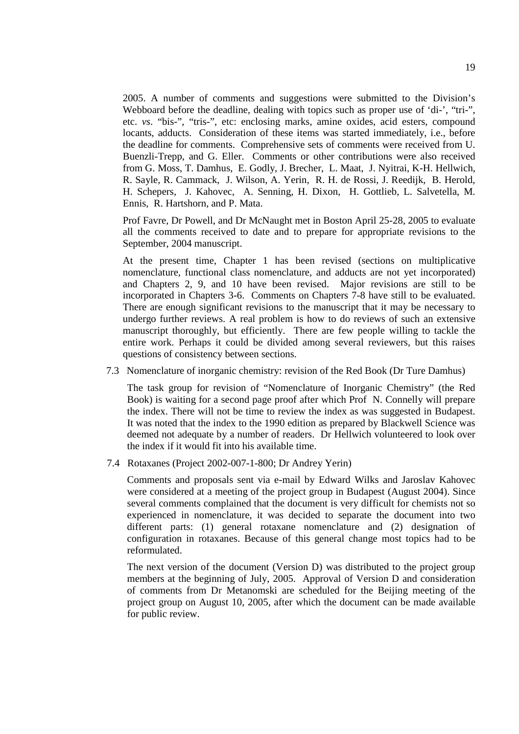2005. A number of comments and suggestions were submitted to the Division's Webboard before the deadline, dealing with topics such as proper use of 'di-', "tri-", etc. *vs*. "bis-", "tris-", etc: enclosing marks, amine oxides, acid esters, compound locants, adducts. Consideration of these items was started immediately, i.e., before the deadline for comments. Comprehensive sets of comments were received from U. Buenzli-Trepp, and G. Eller. Comments or other contributions were also received from G. Moss, T. Damhus, E. Godly, J. Brecher, L. Maat, J. Nyitrai, K-H. Hellwich, R. Sayle, R. Cammack, J. Wilson, A. Yerin, R. H. de Rossi, J. Reedijk, B. Herold, H. Schepers, J. Kahovec, A. Senning, H. Dixon, H. Gottlieb, L. Salvetella, M. Ennis, R. Hartshorn, and P. Mata.

Prof Favre, Dr Powell, and Dr McNaught met in Boston April 25-28, 2005 to evaluate all the comments received to date and to prepare for appropriate revisions to the September, 2004 manuscript.

At the present time, Chapter 1 has been revised (sections on multiplicative nomenclature, functional class nomenclature, and adducts are not yet incorporated) and Chapters 2, 9, and 10 have been revised. Major revisions are still to be incorporated in Chapters 3-6. Comments on Chapters 7-8 have still to be evaluated. There are enough significant revisions to the manuscript that it may be necessary to undergo further reviews. A real problem is how to do reviews of such an extensive manuscript thoroughly, but efficiently. There are few people willing to tackle the entire work. Perhaps it could be divided among several reviewers, but this raises questions of consistency between sections.

7.3 Nomenclature of inorganic chemistry: revision of the Red Book (Dr Ture Damhus)

The task group for revision of "Nomenclature of Inorganic Chemistry" (the Red Book) is waiting for a second page proof after which Prof N. Connelly will prepare the index. There will not be time to review the index as was suggested in Budapest. It was noted that the index to the 1990 edition as prepared by Blackwell Science was deemed not adequate by a number of readers. Dr Hellwich volunteered to look over the index if it would fit into his available time.

7.4 Rotaxanes (Project 2002-007-1-800; Dr Andrey Yerin)

Comments and proposals sent via e-mail by Edward Wilks and Jaroslav Kahovec were considered at a meeting of the project group in Budapest (August 2004). Since several comments complained that the document is very difficult for chemists not so experienced in nomenclature, it was decided to separate the document into two different parts: (1) general rotaxane nomenclature and (2) designation of configuration in rotaxanes. Because of this general change most topics had to be reformulated.

The next version of the document (Version D) was distributed to the project group members at the beginning of July, 2005. Approval of Version D and consideration of comments from Dr Metanomski are scheduled for the Beijing meeting of the project group on August 10, 2005, after which the document can be made available for public review.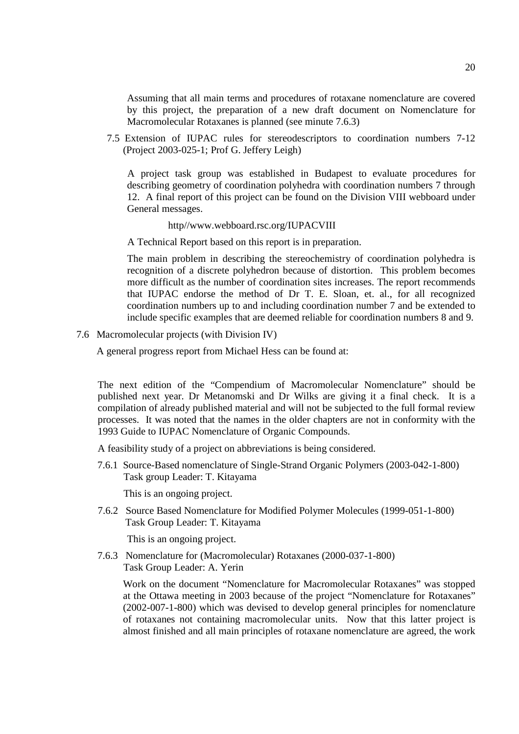Assuming that all main terms and procedures of rotaxane nomenclature are covered by this project, the preparation of a new draft document on Nomenclature for Macromolecular Rotaxanes is planned (see minute 7.6.3)

7.5 Extension of IUPAC rules for stereodescriptors to coordination numbers 7-12 (Project 2003-025-1; Prof G. Jeffery Leigh)

A project task group was established in Budapest to evaluate procedures for describing geometry of coordination polyhedra with coordination numbers 7 through 12. A final report of this project can be found on the Division VIII webboard under General messages.

http//www.webboard.rsc.org/IUPACVIII

A Technical Report based on this report is in preparation.

The main problem in describing the stereochemistry of coordination polyhedra is recognition of a discrete polyhedron because of distortion. This problem becomes more difficult as the number of coordination sites increases. The report recommends that IUPAC endorse the method of Dr T. E. Sloan, et. al., for all recognized coordination numbers up to and including coordination number 7 and be extended to include specific examples that are deemed reliable for coordination numbers 8 and 9.

7.6 Macromolecular projects (with Division IV)

A general progress report from Michael Hess can be found at:

The next edition of the "Compendium of Macromolecular Nomenclature" should be published next year. Dr Metanomski and Dr Wilks are giving it a final check. It is a compilation of already published material and will not be subjected to the full formal review processes. It was noted that the names in the older chapters are not in conformity with the 1993 Guide to IUPAC Nomenclature of Organic Compounds.

A feasibility study of a project on abbreviations is being considered.

7.6.1 Source-Based nomenclature of Single-Strand Organic Polymers (2003-042-1-800) Task group Leader: T. Kitayama

This is an ongoing project.

7.6.2 Source Based Nomenclature for Modified Polymer Molecules (1999-051-1-800) Task Group Leader: T. Kitayama

This is an ongoing project.

7.6.3 Nomenclature for (Macromolecular) Rotaxanes (2000-037-1-800) Task Group Leader: A. Yerin

Work on the document "Nomenclature for Macromolecular Rotaxanes" was stopped at the Ottawa meeting in 2003 because of the project "Nomenclature for Rotaxanes" (2002-007-1-800) which was devised to develop general principles for nomenclature of rotaxanes not containing macromolecular units. Now that this latter project is almost finished and all main principles of rotaxane nomenclature are agreed, the work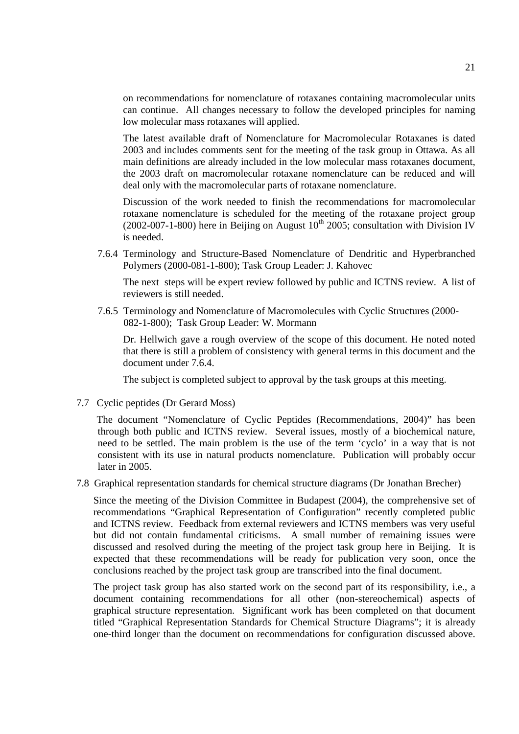on recommendations for nomenclature of rotaxanes containing macromolecular units can continue. All changes necessary to follow the developed principles for naming low molecular mass rotaxanes will applied.

The latest available draft of Nomenclature for Macromolecular Rotaxanes is dated 2003 and includes comments sent for the meeting of the task group in Ottawa. As all main definitions are already included in the low molecular mass rotaxanes document, the 2003 draft on macromolecular rotaxane nomenclature can be reduced and will deal only with the macromolecular parts of rotaxane nomenclature.

Discussion of the work needed to finish the recommendations for macromolecular rotaxane nomenclature is scheduled for the meeting of the rotaxane project group (2002-007-1-800) here in Beijing on August  $10^{th}$  2005; consultation with Division IV is needed.

7.6.4 Terminology and Structure-Based Nomenclature of Dendritic and Hyperbranched Polymers (2000-081-1-800); Task Group Leader: J. Kahovec

The next steps will be expert review followed by public and ICTNS review. A list of reviewers is still needed.

7.6.5 Terminology and Nomenclature of Macromolecules with Cyclic Structures (2000- 082-1-800); Task Group Leader: W. Mormann

Dr. Hellwich gave a rough overview of the scope of this document. He noted noted that there is still a problem of consistency with general terms in this document and the document under 7.6.4.

The subject is completed subject to approval by the task groups at this meeting.

7.7 Cyclic peptides (Dr Gerard Moss)

The document "Nomenclature of Cyclic Peptides (Recommendations, 2004)" has been through both public and ICTNS review. Several issues, mostly of a biochemical nature, need to be settled. The main problem is the use of the term 'cyclo' in a way that is not consistent with its use in natural products nomenclature. Publication will probably occur later in 2005.

7.8 Graphical representation standards for chemical structure diagrams (Dr Jonathan Brecher)

Since the meeting of the Division Committee in Budapest (2004), the comprehensive set of recommendations "Graphical Representation of Configuration" recently completed public and ICTNS review. Feedback from external reviewers and ICTNS members was very useful but did not contain fundamental criticisms. A small number of remaining issues were discussed and resolved during the meeting of the project task group here in Beijing. It is expected that these recommendations will be ready for publication very soon, once the conclusions reached by the project task group are transcribed into the final document.

The project task group has also started work on the second part of its responsibility, i.e., a document containing recommendations for all other (non-stereochemical) aspects of graphical structure representation. Significant work has been completed on that document titled "Graphical Representation Standards for Chemical Structure Diagrams"; it is already one-third longer than the document on recommendations for configuration discussed above.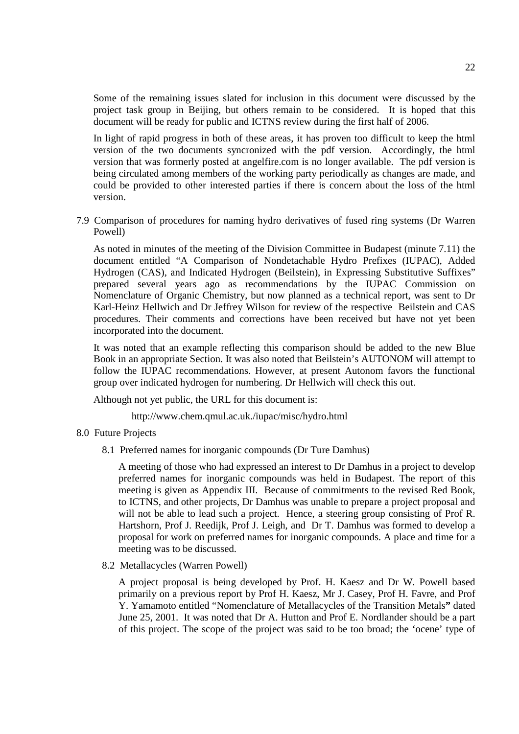Some of the remaining issues slated for inclusion in this document were discussed by the project task group in Beijing, but others remain to be considered. It is hoped that this document will be ready for public and ICTNS review during the first half of 2006.

In light of rapid progress in both of these areas, it has proven too difficult to keep the html version of the two documents syncronized with the pdf version. Accordingly, the html version that was formerly posted at angelfire.com is no longer available. The pdf version is being circulated among members of the working party periodically as changes are made, and could be provided to other interested parties if there is concern about the loss of the html version.

7.9 Comparison of procedures for naming hydro derivatives of fused ring systems (Dr Warren Powell)

As noted in minutes of the meeting of the Division Committee in Budapest (minute 7.11) the document entitled "A Comparison of Nondetachable Hydro Prefixes (IUPAC), Added Hydrogen (CAS), and Indicated Hydrogen (Beilstein), in Expressing Substitutive Suffixes" prepared several years ago as recommendations by the IUPAC Commission on Nomenclature of Organic Chemistry, but now planned as a technical report, was sent to Dr Karl-Heinz Hellwich and Dr Jeffrey Wilson for review of the respective Beilstein and CAS procedures. Their comments and corrections have been received but have not yet been incorporated into the document.

It was noted that an example reflecting this comparison should be added to the new Blue Book in an appropriate Section. It was also noted that Beilstein's AUTONOM will attempt to follow the IUPAC recommendations. However, at present Autonom favors the functional group over indicated hydrogen for numbering. Dr Hellwich will check this out.

Although not yet public, the URL for this document is:

http://www.chem.qmul.ac.uk./iupac/misc/hydro.html

- 8.0 Future Projects
	- 8.1 Preferred names for inorganic compounds (Dr Ture Damhus)

A meeting of those who had expressed an interest to Dr Damhus in a project to develop preferred names for inorganic compounds was held in Budapest. The report of this meeting is given as Appendix III. Because of commitments to the revised Red Book, to ICTNS, and other projects, Dr Damhus was unable to prepare a project proposal and will not be able to lead such a project. Hence, a steering group consisting of Prof R. Hartshorn, Prof J. Reedijk, Prof J. Leigh, and Dr T. Damhus was formed to develop a proposal for work on preferred names for inorganic compounds. A place and time for a meeting was to be discussed.

8.2 Metallacycles (Warren Powell)

A project proposal is being developed by Prof. H. Kaesz and Dr W. Powell based primarily on a previous report by Prof H. Kaesz, Mr J. Casey, Prof H. Favre, and Prof Y. Yamamoto entitled "Nomenclature of Metallacycles of the Transition Metals**"** dated June 25, 2001. It was noted that Dr A. Hutton and Prof E. Nordlander should be a part of this project. The scope of the project was said to be too broad; the 'ocene' type of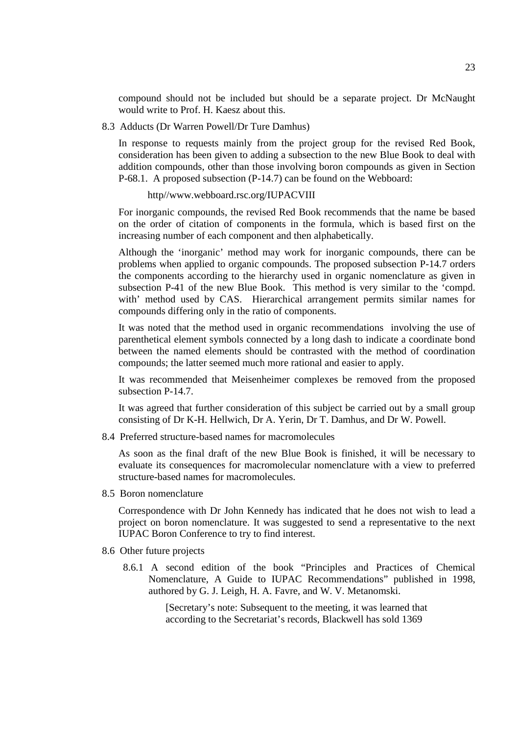compound should not be included but should be a separate project. Dr McNaught would write to Prof. H. Kaesz about this.

8.3 Adducts (Dr Warren Powell/Dr Ture Damhus)

In response to requests mainly from the project group for the revised Red Book, consideration has been given to adding a subsection to the new Blue Book to deal with addition compounds, other than those involving boron compounds as given in Section P-68.1. A proposed subsection (P-14.7) can be found on the Webboard:

#### http//www.webboard.rsc.org/IUPACVIII

For inorganic compounds, the revised Red Book recommends that the name be based on the order of citation of components in the formula, which is based first on the increasing number of each component and then alphabetically.

Although the 'inorganic' method may work for inorganic compounds, there can be problems when applied to organic compounds. The proposed subsection P-14.7 orders the components according to the hierarchy used in organic nomenclature as given in subsection P-41 of the new Blue Book. This method is very similar to the 'compd. with' method used by CAS. Hierarchical arrangement permits similar names for compounds differing only in the ratio of components.

It was noted that the method used in organic recommendations involving the use of parenthetical element symbols connected by a long dash to indicate a coordinate bond between the named elements should be contrasted with the method of coordination compounds; the latter seemed much more rational and easier to apply.

It was recommended that Meisenheimer complexes be removed from the proposed subsection P-14.7.

It was agreed that further consideration of this subject be carried out by a small group consisting of Dr K-H. Hellwich, Dr A. Yerin, Dr T. Damhus, and Dr W. Powell.

8.4 Preferred structure-based names for macromolecules

As soon as the final draft of the new Blue Book is finished, it will be necessary to evaluate its consequences for macromolecular nomenclature with a view to preferred structure-based names for macromolecules.

8.5 Boron nomenclature

Correspondence with Dr John Kennedy has indicated that he does not wish to lead a project on boron nomenclature. It was suggested to send a representative to the next IUPAC Boron Conference to try to find interest.

- 8.6 Other future projects
	- 8.6.1 A second edition of the book "Principles and Practices of Chemical Nomenclature, A Guide to IUPAC Recommendations" published in 1998, authored by G. J. Leigh, H. A. Favre, and W. V. Metanomski.

[Secretary's note: Subsequent to the meeting, it was learned that according to the Secretariat's records, Blackwell has sold 1369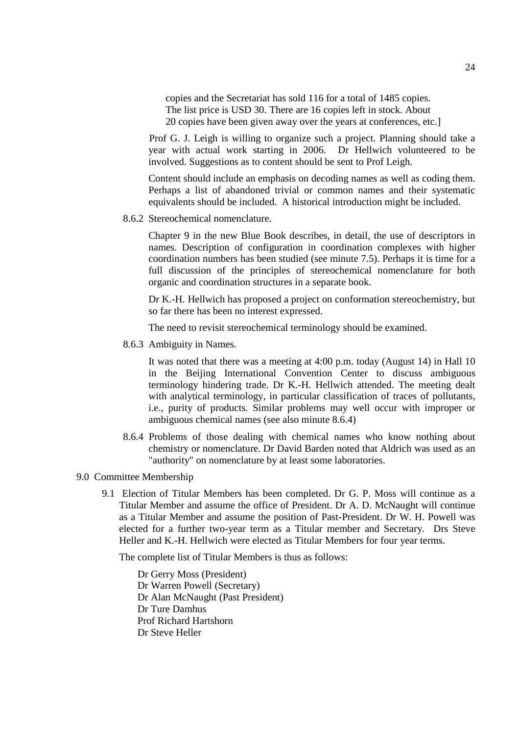copies and the Secretariat has sold 116 for a total of 1485 copies. The list price is USD 30. There are 16 copies left in stock. About 20 copies have been given away over the years at conferences, etc.]

Prof G. J. Leigh is willing to organize such a project. Planning should take a year with actual work starting in 2006. Dr Hellwich volunteered to be involved. Suggestions as to content should be sent to Prof Leigh.

Content should include an emphasis on decoding names as well as coding them. Perhaps a list of abandoned trivial or common names and their systematic equivalents should be included. A historical introduction might be included.

8.6.2 Stereochemical nomenclature.

Chapter 9 in the new Blue Book describes, in detail, the use of descriptors in names. Description of configuration in coordination complexes with higher coordination numbers has been studied (see minute 7.5). Perhaps it is time for a full discussion of the principles of stereochemical nomenclature for both organic and coordination structures in a separate book.

Dr K.-H. Hellwich has proposed a project on conformation stereochemistry, but so far there has been no interest expressed.

The need to revisit stereochemical terminology should be examined.

8.6.3 Ambiguity in Names.

It was noted that there was a meeting at 4:00 p.m. today (August 14) in Hall 10 in the Beijing International Convention Center to discuss ambiguous terminology hindering trade. Dr K.-H. Hellwich attended. The meeting dealt with analytical terminology, in particular classification of traces of pollutants, i.e., purity of products. Similar problems may well occur with improper or ambiguous chemical names (see also minute 8.6.4)

- 8.6.4 Problems of those dealing with chemical names who know nothing about chemistry or nomenclature. Dr David Barden noted that Aldrich was used as an "authority" on nomenclature by at least some laboratories.
- 9.0 Committee Membership
	- 9.1 Election of Titular Members has been completed. Dr G. P. Moss will continue as a Titular Member and assume the office of President. Dr A. D. McNaught will continue as a Titular Member and assume the position of Past-President. Dr W. H. Powell was elected for a further two-year term as a Titular member and Secretary. Drs Steve Heller and K.-H. Hellwich were elected as Titular Members for four year terms.

The complete list of Titular Members is thus as follows:

Dr Gerry Moss (President) Dr Warren Powell (Secretary) Dr Alan McNaught (Past President) Dr Ture Damhus Prof Richard Hartshorn Dr Steve Heller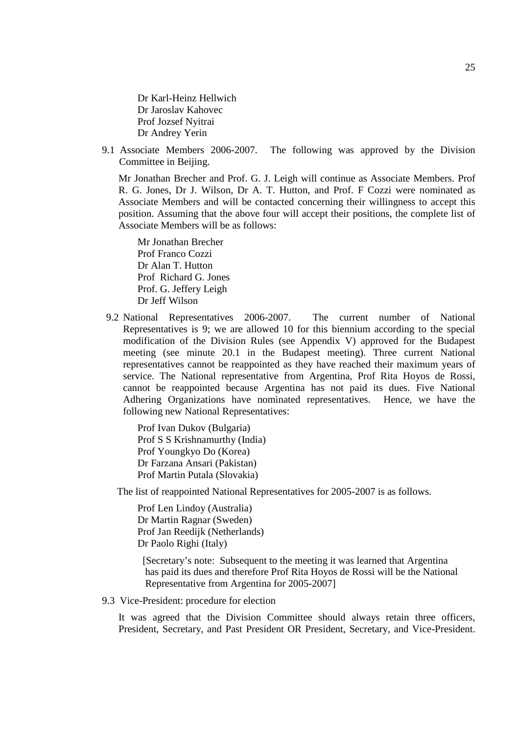Dr Karl-Heinz Hellwich Dr Jaroslav Kahovec Prof Jozsef Nyitrai Dr Andrey Yerin

9.1 Associate Members 2006-2007. The following was approved by the Division Committee in Beijing.

Mr Jonathan Brecher and Prof. G. J. Leigh will continue as Associate Members. Prof R. G. Jones, Dr J. Wilson, Dr A. T. Hutton, and Prof. F Cozzi were nominated as Associate Members and will be contacted concerning their willingness to accept this position. Assuming that the above four will accept their positions, the complete list of Associate Members will be as follows:

Mr Jonathan Brecher Prof Franco Cozzi Dr Alan T. Hutton Prof Richard G. Jones Prof. G. Jeffery Leigh Dr Jeff Wilson

9.2 National Representatives 2006-2007. The current number of National Representatives is 9; we are allowed 10 for this biennium according to the special modification of the Division Rules (see Appendix V) approved for the Budapest meeting (see minute 20.1 in the Budapest meeting). Three current National representatives cannot be reappointed as they have reached their maximum years of service. The National representative from Argentina, Prof Rita Hoyos de Rossi, cannot be reappointed because Argentina has not paid its dues. Five National Adhering Organizations have nominated representatives. Hence, we have the following new National Representatives:

Prof Ivan Dukov (Bulgaria) Prof S S Krishnamurthy (India) Prof Youngkyo Do (Korea) Dr Farzana Ansari (Pakistan) Prof Martin Putala (Slovakia)

The list of reappointed National Representatives for 2005-2007 is as follows.

Prof Len Lindoy (Australia) Dr Martin Ragnar (Sweden) Prof Jan Reedijk (Netherlands) Dr Paolo Righi (Italy)

[Secretary's note: Subsequent to the meeting it was learned that Argentina has paid its dues and therefore Prof Rita Hoyos de Rossi will be the National Representative from Argentina for 2005-2007]

9.3 Vice-President: procedure for election

It was agreed that the Division Committee should always retain three officers, President, Secretary, and Past President OR President, Secretary, and Vice-President.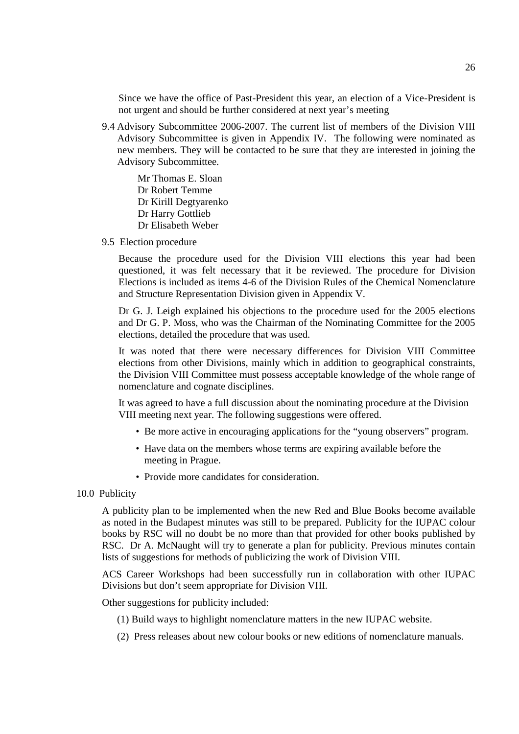Since we have the office of Past-President this year, an election of a Vice-President is not urgent and should be further considered at next year's meeting

9.4 Advisory Subcommittee 2006-2007. The current list of members of the Division VIII Advisory Subcommittee is given in Appendix IV. The following were nominated as new members. They will be contacted to be sure that they are interested in joining the Advisory Subcommittee.

Mr Thomas E. Sloan Dr Robert Temme Dr Kirill Degtyarenko Dr Harry Gottlieb Dr Elisabeth Weber

9.5 Election procedure

Because the procedure used for the Division VIII elections this year had been questioned, it was felt necessary that it be reviewed. The procedure for Division Elections is included as items 4-6 of the Division Rules of the Chemical Nomenclature and Structure Representation Division given in Appendix V.

Dr G. J. Leigh explained his objections to the procedure used for the 2005 elections and Dr G. P. Moss, who was the Chairman of the Nominating Committee for the 2005 elections, detailed the procedure that was used.

It was noted that there were necessary differences for Division VIII Committee elections from other Divisions, mainly which in addition to geographical constraints, the Division VIII Committee must possess acceptable knowledge of the whole range of nomenclature and cognate disciplines.

It was agreed to have a full discussion about the nominating procedure at the Division VIII meeting next year. The following suggestions were offered.

- Be more active in encouraging applications for the "young observers" program.
- Have data on the members whose terms are expiring available before the meeting in Prague.
- Provide more candidates for consideration.

#### 10.0 Publicity

A publicity plan to be implemented when the new Red and Blue Books become available as noted in the Budapest minutes was still to be prepared. Publicity for the IUPAC colour books by RSC will no doubt be no more than that provided for other books published by RSC. Dr A. McNaught will try to generate a plan for publicity. Previous minutes contain lists of suggestions for methods of publicizing the work of Division VIII.

ACS Career Workshops had been successfully run in collaboration with other IUPAC Divisions but don't seem appropriate for Division VIII.

Other suggestions for publicity included:

- (1) Build ways to highlight nomenclature matters in the new IUPAC website.
- (2) Press releases about new colour books or new editions of nomenclature manuals.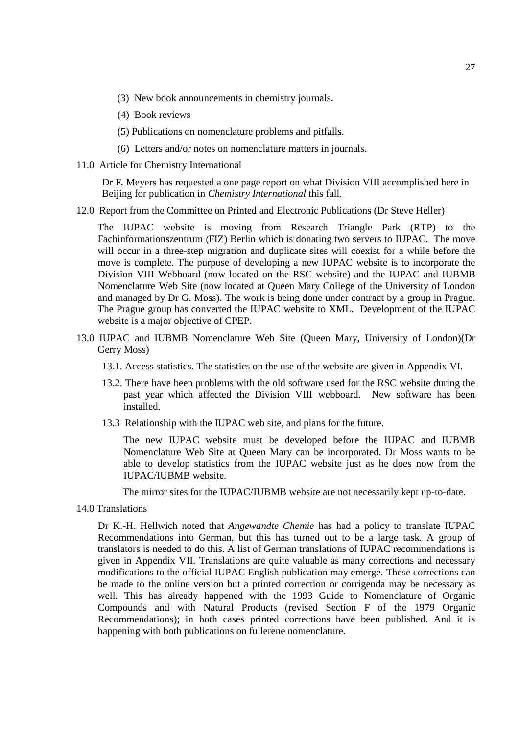- (3) New book announcements in chemistry journals.
- (4) Book reviews
- (5) Publications on nomenclature problems and pitfalls.
- (6) Letters and/or notes on nomenclature matters in journals.
- 11.0 Article for Chemistry International

Dr F. Meyers has requested a one page report on what Division VIII accomplished here in Beijing for publication in *Chemistry International* this fall.

12.0 Report from the Committee on Printed and Electronic Publications (Dr Steve Heller)

The IUPAC website is moving from Research Triangle Park (RTP) to the Fachinformationszentrum (FIZ) Berlin which is donating two servers to IUPAC. The move will occur in a three-step migration and duplicate sites will coexist for a while before the move is complete. The purpose of developing a new IUPAC website is to incorporate the Division VIII Webboard (now located on the RSC website) and the IUPAC and IUBMB Nomenclature Web Site (now located at Queen Mary College of the University of London and managed by Dr G. Moss). The work is being done under contract by a group in Prague. The Prague group has converted the IUPAC website to XML. Development of the IUPAC website is a major objective of CPEP.

- 13.0 IUPAC and IUBMB Nomenclature Web Site (Queen Mary, University of London)(Dr Gerry Moss)
	- 13.1. Access statistics. The statistics on the use of the website are given in Appendix VI.
	- 13.2. There have been problems with the old software used for the RSC website during the past year which affected the Division VIII webboard. New software has been installed.
	- 13.3 Relationship with the IUPAC web site, and plans for the future.

The new IUPAC website must be developed before the IUPAC and IUBMB Nomenclature Web Site at Queen Mary can be incorporated. Dr Moss wants to be able to develop statistics from the IUPAC website just as he does now from the IUPAC/IUBMB website.

The mirror sites for the IUPAC/IUBMB website are not necessarily kept up-to-date.

14.0 Translations

Dr K.-H. Hellwich noted that *Angewandte Chemie* has had a policy to translate IUPAC Recommendations into German, but this has turned out to be a large task. A group of translators is needed to do this. A list of German translations of IUPAC recommendations is given in Appendix VII. Translations are quite valuable as many corrections and necessary modifications to the official IUPAC English publication may emerge. These corrections can be made to the online version but a printed correction or corrigenda may be necessary as well. This has already happened with the 1993 Guide to Nomenclature of Organic Compounds and with Natural Products (revised Section F of the 1979 Organic Recommendations); in both cases printed corrections have been published. And it is happening with both publications on fullerene nomenclature.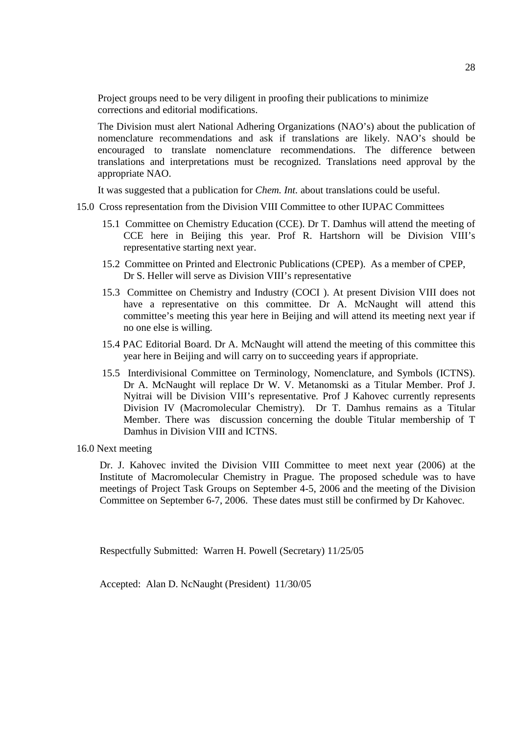Project groups need to be very diligent in proofing their publications to minimize corrections and editorial modifications.

The Division must alert National Adhering Organizations (NAO's) about the publication of nomenclature recommendations and ask if translations are likely. NAO's should be encouraged to translate nomenclature recommendations. The difference between translations and interpretations must be recognized. Translations need approval by the appropriate NAO.

It was suggested that a publication for *Chem. Int.* about translations could be useful.

- 15.0 Cross representation from the Division VIII Committee to other IUPAC Committees
	- 15.1 Committee on Chemistry Education (CCE). Dr T. Damhus will attend the meeting of CCE here in Beijing this year. Prof R. Hartshorn will be Division VIII's representative starting next year.
	- 15.2 Committee on Printed and Electronic Publications (CPEP). As a member of CPEP, Dr S. Heller will serve as Division VIII's representative
	- 15.3 Committee on Chemistry and Industry (COCI ). At present Division VIII does not have a representative on this committee. Dr A. McNaught will attend this committee's meeting this year here in Beijing and will attend its meeting next year if no one else is willing.
	- 15.4 PAC Editorial Board. Dr A. McNaught will attend the meeting of this committee this year here in Beijing and will carry on to succeeding years if appropriate.
	- 15.5 Interdivisional Committee on Terminology, Nomenclature, and Symbols (ICTNS). Dr A. McNaught will replace Dr W. V. Metanomski as a Titular Member. Prof J. Nyitrai will be Division VIII's representative. Prof J Kahovec currently represents Division IV (Macromolecular Chemistry). Dr T. Damhus remains as a Titular Member. There was discussion concerning the double Titular membership of T Damhus in Division VIII and ICTNS.
- 16.0 Next meeting

Dr. J. Kahovec invited the Division VIII Committee to meet next year (2006) at the Institute of Macromolecular Chemistry in Prague. The proposed schedule was to have meetings of Project Task Groups on September 4-5, 2006 and the meeting of the Division Committee on September 6-7, 2006. These dates must still be confirmed by Dr Kahovec.

Respectfully Submitted: Warren H. Powell (Secretary) 11/25/05

Accepted: Alan D. NcNaught (President) 11/30/05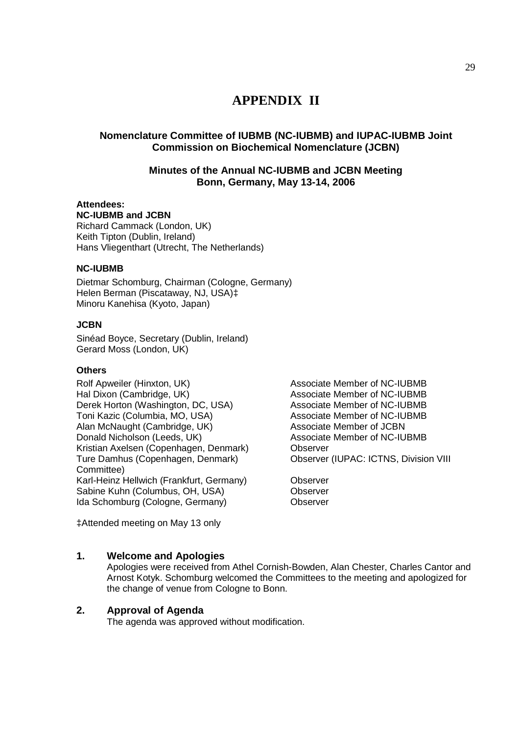# **APPENDIX II**

# **Nomenclature Committee of IUBMB (NC-IUBMB) and IUPAC-IUBMB Joint Commission on Biochemical Nomenclature (JCBN)**

# **Minutes of the Annual NC-IUBMB and JCBN Meeting Bonn, Germany, May 13-14, 2006**

# **Attendees:**

**NC-IUBMB and JCBN** Richard Cammack (London, UK) Keith Tipton (Dublin, Ireland) Hans Vliegenthart (Utrecht, The Netherlands)

# **NC-IUBMB**

Dietmar Schomburg, Chairman (Cologne, Germany) Helen Berman (Piscataway, NJ, USA)‡ Minoru Kanehisa (Kyoto, Japan)

## **JCBN**

Sinéad Boyce, Secretary (Dublin, Ireland) Gerard Moss (London, UK)

## **Others**

Rolf Apweiler (Hinxton, UK) Associate Member of NC-IUBMB Hal Dixon (Cambridge, UK) <br>
Derek Horton (Washington, DC, USA) Associate Member of NC-IUBMB Derek Horton (Washington, DC, USA) Toni Kazic (Columbia, MO, USA) Associate Member of NC-IUBMB Alan McNaught (Cambridge, UK) Associate Member of JCBN Donald Nicholson (Leeds, UK) Associate Member of NC-IUBMB Kristian Axelsen (Copenhagen, Denmark) Observer Ture Damhus (Copenhagen, Denmark) Observer (IUPAC: ICTNS, Division VIII Committee) Karl-Heinz Hellwich (Frankfurt, Germany) Observer<br>Sabine Kuhn (Columbus, OH. USA) Observer Sabine Kuhn (Columbus, OH, USA) Ida Schomburg (Cologne, Germany) Observer

‡Attended meeting on May 13 only

# **1. Welcome and Apologies**

Apologies were received from Athel Cornish-Bowden, Alan Chester, Charles Cantor and Arnost Kotyk. Schomburg welcomed the Committees to the meeting and apologized for the change of venue from Cologne to Bonn.

# **2. Approval of Agenda**

The agenda was approved without modification.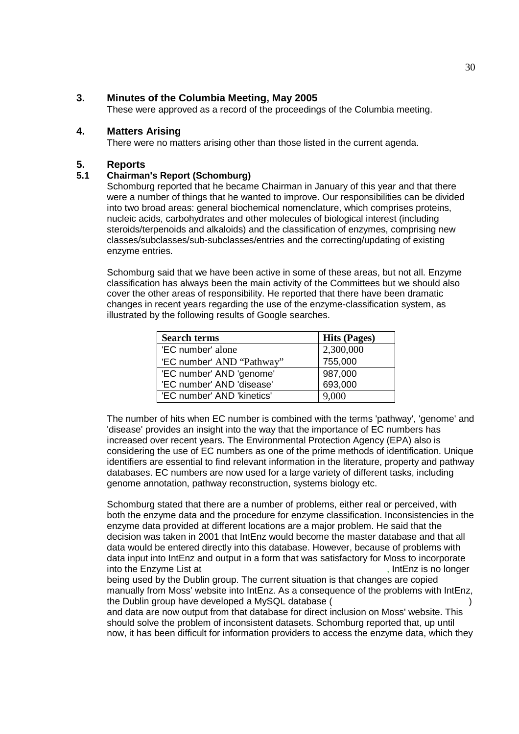# **3. Minutes of the Columbia Meeting, May 2005**

These were approved as a record of the proceedings of the Columbia meeting.

# **4. Matters Arising**

There were no matters arising other than those listed in the current agenda.

#### **5. Reports**

#### **5.1 Chairman's Report (Schomburg)**

Schomburg reported that he became Chairman in January of this year and that there were a number of things that he wanted to improve. Our responsibilities can be divided into two broad areas: general biochemical nomenclature, which comprises proteins, nucleic acids, carbohydrates and other molecules of biological interest (including steroids/terpenoids and alkaloids) and the classification of enzymes, comprising new classes/subclasses/sub-subclasses/entries and the correcting/updating of existing enzyme entries.

Schomburg said that we have been active in some of these areas, but not all. Enzyme classification has always been the main activity of the Committees but we should also cover the other areas of responsibility. He reported that there have been dramatic changes in recent years regarding the use of the enzyme-classification system, as illustrated by the following results of Google searches.

| <b>Search terms</b>        | <b>Hits (Pages)</b> |
|----------------------------|---------------------|
| 'EC number' alone          | 2,300,000           |
| 'EC number' AND "Pathway"  | 755,000             |
| 'EC number' AND 'genome'   | 987,000             |
| 'EC number' AND 'disease'  | 693,000             |
| 'EC number' AND 'kinetics' | 9,000               |

The number of hits when EC number is combined with the terms 'pathway', 'genome' and 'disease' provides an insight into the way that the importance of EC numbers has increased over recent years. The Environmental Protection Agency (EPA) also is considering the use of EC numbers as one of the prime methods of identification. Unique identifiers are essential to find relevant information in the literature, property and pathway databases. EC numbers are now used for a large variety of different tasks, including genome annotation, pathway reconstruction, systems biology etc.

Schomburg stated that there are a number of problems, either real or perceived, with both the enzyme data and the procedure for enzyme classification. Inconsistencies in the enzyme data provided at different locations are a major problem. He said that the decision was taken in 2001 that IntEnz would become the master database and that all data would be entered directly into this database. However, because of problems with data input into IntEnz and output in a form that was satisfactory for Moss to incorporate into the Enzyme List at http://www.chem.qmul.ac.uk/iubmb/enzyme/, IntEnz is no longer being used by the Dublin group. The current situation is that changes are copied manually from Moss' website into IntEnz. As a consequence of the problems with IntEnz,

the Dublin group have developed a MySQL database ( and data are now output from that database for direct inclusion on Moss' website. This should solve the problem of inconsistent datasets. Schomburg reported that, up until now, it has been difficult for information providers to access the enzyme data, which they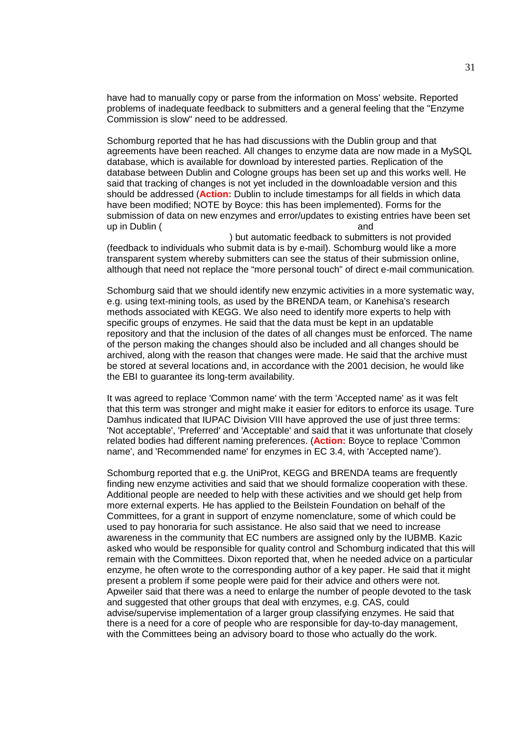have had to manually copy or parse from the information on Moss' website. Reported problems of inadequate feedback to submitters and a general feeling that the "Enzyme Commission is slow" need to be addressed.

Schomburg reported that he has had discussions with the Dublin group and that agreements have been reached. All changes to enzyme data are now made in a MySQL database, which is available for download by interested parties. Replication of the database between Dublin and Cologne groups has been set up and this works well. He said that tracking of changes is not yet included in the downloadable version and this should be addressed (**Action:** Dublin to include timestamps for all fields in which data have been modified; NOTE by Boyce: this has been implemented). Forms for the submission of data on new enzymes and error/updates to existing entries have been set up in Dublin (http://www.enzyme-database.org/news/me-database.org/news/me-

) but automatic feedback to submitters is not provided (feedback to individuals who submit data is by e-mail). Schomburg would like a more transparent system whereby submitters can see the status of their submission online, although that need not replace the "more personal touch" of direct e-mail communication.

Schomburg said that we should identify new enzymic activities in a more systematic way, e.g. using text-mining tools, as used by the BRENDA team, or Kanehisa's research methods associated with KEGG. We also need to identify more experts to help with specific groups of enzymes. He said that the data must be kept in an updatable repository and that the inclusion of the dates of all changes must be enforced. The name of the person making the changes should also be included and all changes should be archived, along with the reason that changes were made. He said that the archive must be stored at several locations and, in accordance with the 2001 decision, he would like the EBI to quarantee its long-term availability.

It was agreed to replace 'Common name' with the term 'Accepted name' as it was felt that this term was stronger and might make it easier for editors to enforce its usage. Ture Damhus indicated that IUPAC Division VIII have approved the use of just three terms: 'Not acceptable', 'Preferred' and 'Acceptable' and said that it was unfortunate that closely related bodies had different naming preferences. (**Action:** Boyce to replace 'Common name', and 'Recommended name' for enzymes in EC 3.4, with 'Accepted name').

Schomburg reported that e.g. the UniProt, KEGG and BRENDA teams are frequently finding new enzyme activities and said that we should formalize cooperation with these. Additional people are needed to help with these activities and we should get help from more external experts. He has applied to the Beilstein Foundation on behalf of the Committees, for a grant in support of enzyme nomenclature, some of which could be used to pay honoraria for such assistance. He also said that we need to increase awareness in the community that EC numbers are assigned only by the IUBMB. Kazic asked who would be responsible for quality control and Schomburg indicated that this will remain with the Committees. Dixon reported that, when he needed advice on a particular enzyme, he often wrote to the corresponding author of a key paper. He said that it might present a problem if some people were paid for their advice and others were not. Apweiler said that there was a need to enlarge the number of people devoted to the task and suggested that other groups that deal with enzymes, e.g. CAS, could advise/supervise implementation of a larger group classifying enzymes. He said that there is a need for a core of people who are responsible for day-to-day management, with the Committees being an advisory board to those who actually do the work.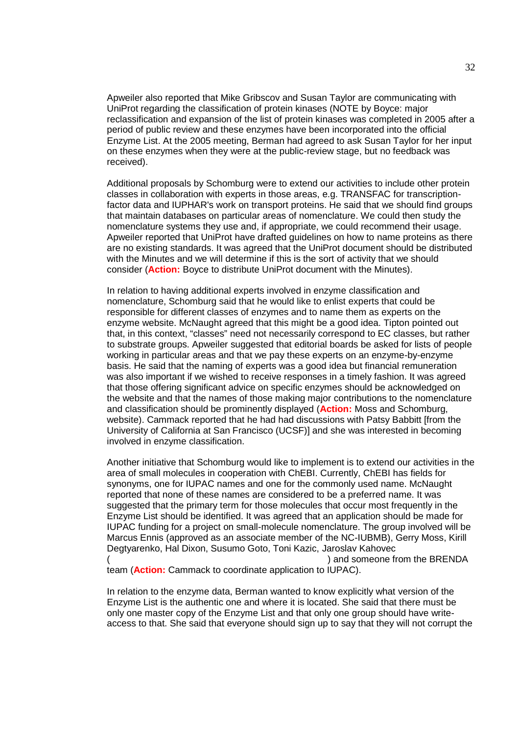Apweiler also reported that Mike Gribscov and Susan Taylor are communicating with UniProt regarding the classification of protein kinases (NOTE by Boyce: major reclassification and expansion of the list of protein kinases was completed in 2005 after a period of public review and these enzymes have been incorporated into the official Enzyme List. At the 2005 meeting, Berman had agreed to ask Susan Taylor for her input on these enzymes when they were at the public-review stage, but no feedback was received).

Additional proposals by Schomburg were to extend our activities to include other protein classes in collaboration with experts in those areas, e.g. TRANSFAC for transcriptionfactor data and IUPHAR's work on transport proteins. He said that we should find groups that maintain databases on particular areas of nomenclature. We could then study the nomenclature systems they use and, if appropriate, we could recommend their usage. Apweiler reported that UniProt have drafted guidelines on how to name proteins as there are no existing standards. It was agreed that the UniProt document should be distributed with the Minutes and we will determine if this is the sort of activity that we should consider (**Action:** Boyce to distribute UniProt document with the Minutes).

In relation to having additional experts involved in enzyme classification and nomenclature, Schomburg said that he would like to enlist experts that could be responsible for different classes of enzymes and to name them as experts on the enzyme website. McNaught agreed that this might be a good idea. Tipton pointed out that, in this context, "classes" need not necessarily correspond to EC classes, but rather to substrate groups. Apweiler suggested that editorial boards be asked for lists of people working in particular areas and that we pay these experts on an enzyme-by-enzyme basis. He said that the naming of experts was a good idea but financial remuneration was also important if we wished to receive responses in a timely fashion. It was agreed that those offering significant advice on specific enzymes should be acknowledged on the website and that the names of those making major contributions to the nomenclature and classification should be prominently displayed (**Action:** Moss and Schomburg, website). Cammack reported that he had had discussions with Patsy Babbitt [from the University of California at San Francisco (UCSF)] and she was interested in becoming involved in enzyme classification.

Another initiative that Schomburg would like to implement is to extend our activities in the area of small molecules in cooperation with ChEBI. Currently, ChEBI has fields for synonyms, one for IUPAC names and one for the commonly used name. McNaught reported that none of these names are considered to be a preferred name. It was suggested that the primary term for those molecules that occur most frequently in the Enzyme List should be identified. It was agreed that an application should be made for IUPAC funding for a project on small-molecule nomenclature. The group involved will be Marcus Ennis (approved as an associate member of the NC-IUBMB), Gerry Moss, Kirill Degtyarenko, Hal Dixon, Susumo Goto, Toni Kazic, Jaroslav Kahovec ) and someone from the BRENDA team (**Action:** Cammack to coordinate application to IUPAC).

In relation to the enzyme data, Berman wanted to know explicitly what version of the Enzyme List is the authentic one and where it is located. She said that there must be only one master copy of the Enzyme List and that only one group should have writeaccess to that. She said that everyone should sign up to say that they will not corrupt the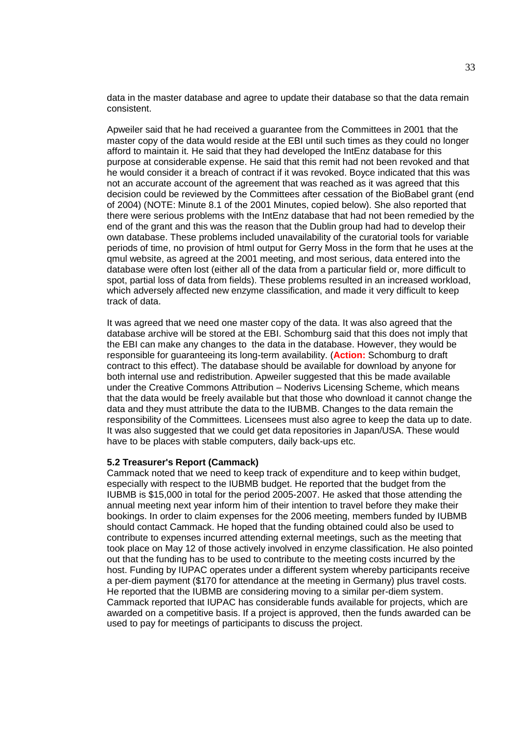data in the master database and agree to update their database so that the data remain consistent.

Apweiler said that he had received a guarantee from the Committees in 2001 that the master copy of the data would reside at the EBI until such times as they could no longer afford to maintain it. He said that they had developed the IntEnz database for this purpose at considerable expense. He said that this remit had not been revoked and that he would consider it a breach of contract if it was revoked. Boyce indicated that this was not an accurate account of the agreement that was reached as it was agreed that this decision could be reviewed by the Committees after cessation of the BioBabel grant (end of 2004) (NOTE: Minute 8.1 of the 2001 Minutes, copied below). She also reported that there were serious problems with the IntEnz database that had not been remedied by the end of the grant and this was the reason that the Dublin group had had to develop their own database. These problems included unavailability of the curatorial tools for variable periods of time, no provision of html output for Gerry Moss in the form that he uses at the qmul website, as agreed at the 2001 meeting, and most serious, data entered into the database were often lost (either all of the data from a particular field or, more difficult to spot, partial loss of data from fields). These problems resulted in an increased workload, which adversely affected new enzyme classification, and made it very difficult to keep track of data.

It was agreed that we need one master copy of the data. It was also agreed that the database archive will be stored at the EBI. Schomburg said that this does not imply that the EBI can make any changes to the data in the database. However, they would be responsible for guaranteeing its long-term availability. (**Action:** Schomburg to draft contract to this effect). The database should be available for download by anyone for both internal use and redistribution. Apweiler suggested that this be made available under the Creative Commons Attribution – Noderivs Licensing Scheme, which means that the data would be freely available but that those who download it cannot change the data and they must attribute the data to the IUBMB. Changes to the data remain the responsibility of the Committees. Licensees must also agree to keep the data up to date. It was also suggested that we could get data repositories in Japan/USA. These would have to be places with stable computers, daily back-ups etc.

#### **5.2 Treasurer's Report (Cammack)**

Cammack noted that we need to keep track of expenditure and to keep within budget, especially with respect to the IUBMB budget. He reported that the budget from the IUBMB is \$15,000 in total for the period 2005-2007. He asked that those attending the annual meeting next year inform him of their intention to travel before they make their bookings. In order to claim expenses for the 2006 meeting, members funded by IUBMB should contact Cammack. He hoped that the funding obtained could also be used to contribute to expenses incurred attending external meetings, such as the meeting that took place on May 12 of those actively involved in enzyme classification. He also pointed out that the funding has to be used to contribute to the meeting costs incurred by the host. Funding by IUPAC operates under a different system whereby participants receive a per-diem payment (\$170 for attendance at the meeting in Germany) plus travel costs. He reported that the IUBMB are considering moving to a similar per-diem system. Cammack reported that IUPAC has considerable funds available for projects, which are awarded on a competitive basis. If a project is approved, then the funds awarded can be used to pay for meetings of participants to discuss the project.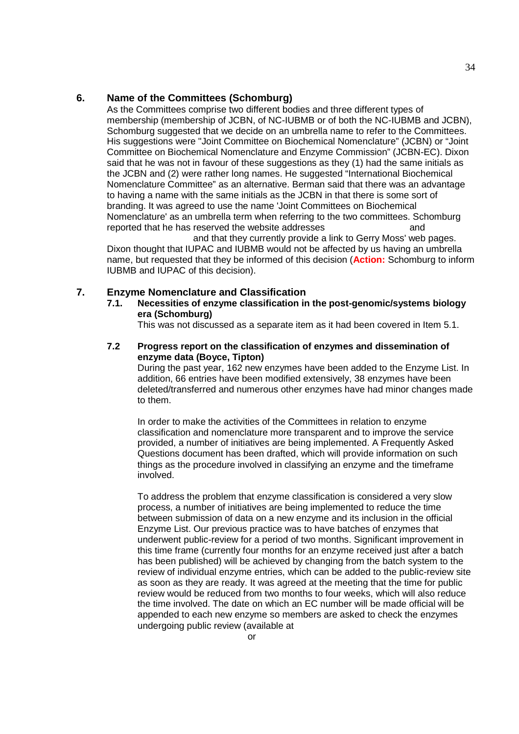As the Committees comprise two different bodies and three different types of membership (membership of JCBN, of NC-IUBMB or of both the NC-IUBMB and JCBN), Schomburg suggested that we decide on an umbrella name to refer to the Committees. His suggestions were "Joint Committee on Biochemical Nomenclature" (JCBN) or "Joint Committee on Biochemical Nomenclature and Enzyme Commission" (JCBN-EC). Dixon said that he was not in favour of these suggestions as they (1) had the same initials as the JCBN and (2) were rather long names. He suggested "International Biochemical Nomenclature Committee" as an alternative. Berman said that there was an advantage to having a name with the same initials as the JCBN in that there is some sort of branding. It was agreed to use the name 'Joint Committees on Biochemical Nomenclature' as an umbrella term when referring to the two committees. Schomburg reported that he has reserved the website addresses http://www.jcbn.org and

and that they currently provide a link to Gerry Moss' web pages. Dixon thought that IUPAC and IUBMB would not be affected by us having an umbrella name, but requested that they be informed of this decision (**Action:** Schomburg to inform IUBMB and IUPAC of this decision).

#### **7. Enzyme Nomenclature and Classification**

**7.1. Necessities of enzyme classification in the post-genomic/systems biology era (Schomburg)**

This was not discussed as a separate item as it had been covered in Item 5.1.

**7.2 Progress report on the classification of enzymes and dissemination of enzyme data (Boyce, Tipton)**

During the past year, 162 new enzymes have been added to the Enzyme List. In addition, 66 entries have been modified extensively, 38 enzymes have been deleted/transferred and numerous other enzymes have had minor changes made to them.

In order to make the activities of the Committees in relation to enzyme classification and nomenclature more transparent and to improve the service provided, a number of initiatives are being implemented. A Frequently Asked Questions document has been drafted, which will provide information on such things as the procedure involved in classifying an enzyme and the timeframe involved.

To address the problem that enzyme classification is considered a very slow process, a number of initiatives are being implemented to reduce the time between submission of data on a new enzyme and its inclusion in the official Enzyme List. Our previous practice was to have batches of enzymes that underwent public-review for a period of two months. Significant improvement in this time frame (currently four months for an enzyme received just after a batch has been published) will be achieved by changing from the batch system to the review of individual enzyme entries, which can be added to the public-review site as soon as they are ready. It was agreed at the meeting that the time for public review would be reduced from two months to four weeks, which will also reduce the time involved. The date on which an EC number will be made official will be appended to each new enzyme so members are asked to check the enzymes undergoing public review (available at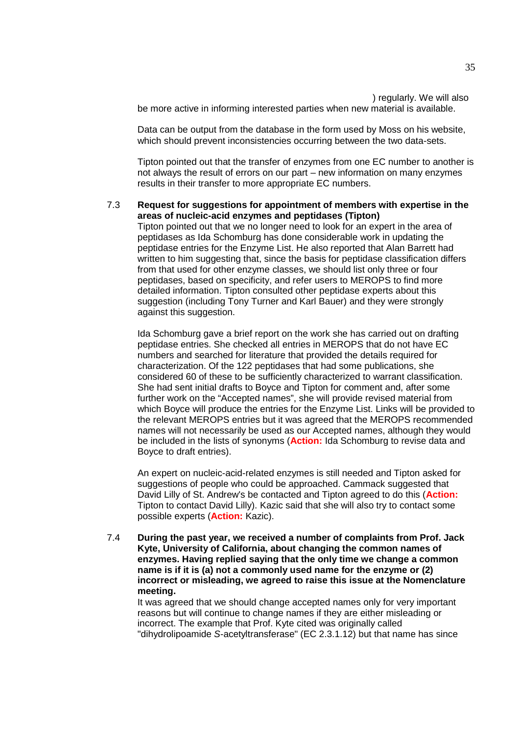) regularly. We will also. be more active in informing interested parties when new material is available.

Data can be output from the database in the form used by Moss on his website, which should prevent inconsistencies occurring between the two data-sets.

Tipton pointed out that the transfer of enzymes from one EC number to another is not always the result of errors on our part – new information on many enzymes results in their transfer to more appropriate EC numbers.

#### 7.3 **Request for suggestions for appointment of members with expertise in the areas of nucleic-acid enzymes and peptidases (Tipton)** Tipton pointed out that we no longer need to look for an expert in the area of peptidases as Ida Schomburg has done considerable work in updating the peptidase entries for the Enzyme List. He also reported that Alan Barrett had written to him suggesting that, since the basis for peptidase classification differs from that used for other enzyme classes, we should list only three or four peptidases, based on specificity, and refer users to MEROPS to find more detailed information. Tipton consulted other peptidase experts about this suggestion (including Tony Turner and Karl Bauer) and they were strongly against this suggestion.

Ida Schomburg gave a brief report on the work she has carried out on drafting peptidase entries. She checked all entries in MEROPS that do not have EC numbers and searched for literature that provided the details required for characterization. Of the 122 peptidases that had some publications, she considered 60 of these to be sufficiently characterized to warrant classification. She had sent initial drafts to Boyce and Tipton for comment and, after some further work on the "Accepted names", she will provide revised material from which Boyce will produce the entries for the Enzyme List. Links will be provided to the relevant MEROPS entries but it was agreed that the MEROPS recommended names will not necessarily be used as our Accepted names, although they would be included in the lists of synonyms (**Action:** Ida Schomburg to revise data and Boyce to draft entries).

An expert on nucleic-acid-related enzymes is still needed and Tipton asked for suggestions of people who could be approached. Cammack suggested that David Lilly of St. Andrew's be contacted and Tipton agreed to do this (**Action:** Tipton to contact David Lilly). Kazic said that she will also try to contact some possible experts (**Action:** Kazic).

7.4 **During the past year, we received a number of complaints from Prof. Jack Kyte, University of California, about changing the common names of enzymes. Having replied saying that the only time we change a common name is if it is (a) not a commonly used name for the enzyme or (2) incorrect or misleading, we agreed to raise this issue at the Nomenclature meeting.**

It was agreed that we should change accepted names only for very important reasons but will continue to change names if they are either misleading or incorrect. The example that Prof. Kyte cited was originally called "dihydrolipoamide *S*-acetyltransferase" (EC 2.3.1.12) but that name has since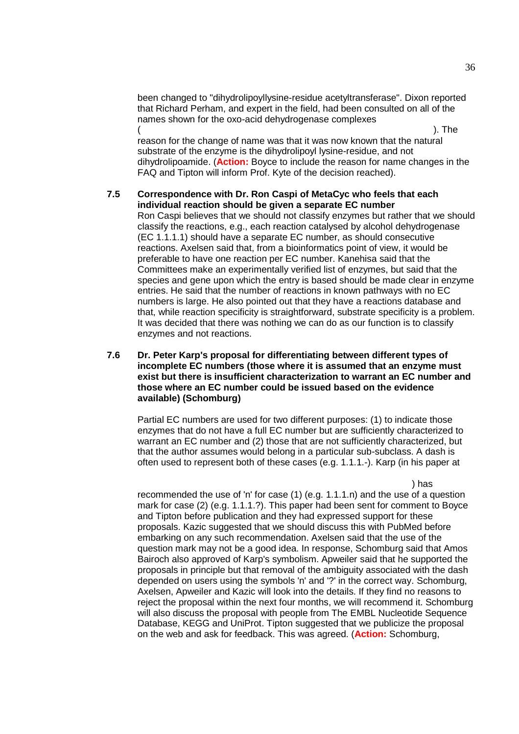been changed to "dihydrolipoyllysine-residue acetyltransferase". Dixon reported that Richard Perham, and expert in the field, had been consulted on all of the names shown for the oxo-acid dehydrogenase complexes (http://www.chem.qmul.ac.uk/iubmb/enzyme/reaction/misc/oxoacid.html). The

reason for the change of name was that it was now known that the natural substrate of the enzyme is the dihydrolipoyl lysine-residue, and not dihydrolipoamide. (**Action:** Boyce to include the reason for name changes in the FAQ and Tipton will inform Prof. Kyte of the decision reached).

## **7.5 Correspondence with Dr. Ron Caspi of MetaCyc who feels that each individual reaction should be given a separate EC number**

Ron Caspi believes that we should not classify enzymes but rather that we should classify the reactions, e.g., each reaction catalysed by alcohol dehydrogenase (EC 1.1.1.1) should have a separate EC number, as should consecutive reactions. Axelsen said that, from a bioinformatics point of view, it would be preferable to have one reaction per EC number. Kanehisa said that the Committees make an experimentally verified list of enzymes, but said that the species and gene upon which the entry is based should be made clear in enzyme entries. He said that the number of reactions in known pathways with no EC numbers is large. He also pointed out that they have a reactions database and that, while reaction specificity is straightforward, substrate specificity is a problem. It was decided that there was nothing we can do as our function is to classify enzymes and not reactions.

#### **7.6 Dr. Peter Karp's proposal for differentiating between different types of incomplete EC numbers (those where it is assumed that an enzyme must exist but there is insufficient characterization to warrant an EC number and those where an EC number could be issued based on the evidence available) (Schomburg)**

Partial EC numbers are used for two different purposes: (1) to indicate those enzymes that do not have a full EC number but are sufficiently characterized to warrant an EC number and (2) those that are not sufficiently characterized, but that the author assumes would belong in a particular sub-subclass. A dash is often used to represent both of these cases (e.g. 1.1.1.-). Karp (in his paper at

 $\qquad$ abstract $\qquad$ ol $\qquad$ recommended the use of 'n' for case (1) (e.g. 1.1.1.n) and the use of a question mark for case (2) (e.g. 1.1.1.?). This paper had been sent for comment to Boyce and Tipton before publication and they had expressed support for these proposals. Kazic suggested that we should discuss this with PubMed before embarking on any such recommendation. Axelsen said that the use of the question mark may not be a good idea. In response, Schomburg said that Amos Bairoch also approved of Karp's symbolism. Apweiler said that he supported the proposals in principle but that removal of the ambiguity associated with the dash depended on users using the symbols 'n' and '?' in the correct way. Schomburg, Axelsen, Apweiler and Kazic will look into the details. If they find no reasons to reject the proposal within the next four months, we will recommend it. Schomburg will also discuss the proposal with people from The EMBL Nucleotide Sequence Database, KEGG and UniProt. Tipton suggested that we publicize the proposal on the web and ask for feedback. This was agreed. (**Action:** Schomburg,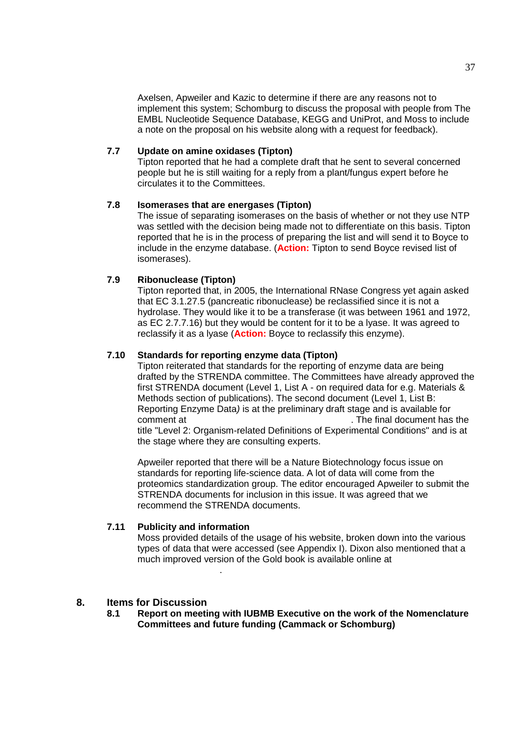Axelsen, Apweiler and Kazic to determine if there are any reasons not to implement this system; Schomburg to discuss the proposal with people from The EMBL Nucleotide Sequence Database, KEGG and UniProt, and Moss to include a note on the proposal on his website along with a request for feedback).

# **7.7 Update on amine oxidases (Tipton)**

Tipton reported that he had a complete draft that he sent to several concerned people but he is still waiting for a reply from a plant/fungus expert before he circulates it to the Committees.

### **7.8 Isomerases that are energases (Tipton)**

The issue of separating isomerases on the basis of whether or not they use NTP was settled with the decision being made not to differentiate on this basis. Tipton reported that he is in the process of preparing the list and will send it to Boyce to include in the enzyme database. (**Action:** Tipton to send Boyce revised list of isomerases).

## **7.9 Ribonuclease (Tipton)**

Tipton reported that, in 2005, the International RNase Congress yet again asked that EC 3.1.27.5 (pancreatic ribonuclease) be reclassified since it is not a hydrolase. They would like it to be a transferase (it was between 1961 and 1972, as EC 2.7.7.16) but they would be content for it to be a lyase. It was agreed to reclassify it as a lyase (**Action:** Boyce to reclassify this enzyme).

## **7.10 Standards for reporting enzyme data (Tipton)**

Tipton reiterated that standards for the reporting of enzyme data are being drafted by the STRENDA committee. The Committees have already approved the first STRENDA document (Level 1, List A - on required data for e.g. Materials & Methods section of publications). The second document (Level 1, List B: Reporting Enzyme Data*)* is at the preliminary draft stage and is available for comment at http://www.strenda.org/document has the final document has the title "Level 2: Organism-related Definitions of Experimental Conditions" and is at the stage where they are consulting experts.

Apweiler reported that there will be a Nature Biotechnology focus issue on standards for reporting life-science data. A lot of data will come from the proteomics standardization group. The editor encouraged Apweiler to submit the STRENDA documents for inclusion in this issue. It was agreed that we recommend the STRENDA documents.

#### **7.11 Publicity and information**

http://gold.zvon.org/.

Moss provided details of the usage of his website, broken down into the various types of data that were accessed (see Appendix I). Dixon also mentioned that a much improved version of the Gold book is available online at

#### **8. Items for Discussion**

**8.1 Report on meeting with IUBMB Executive on the work of the Nomenclature Committees and future funding (Cammack or Schomburg)**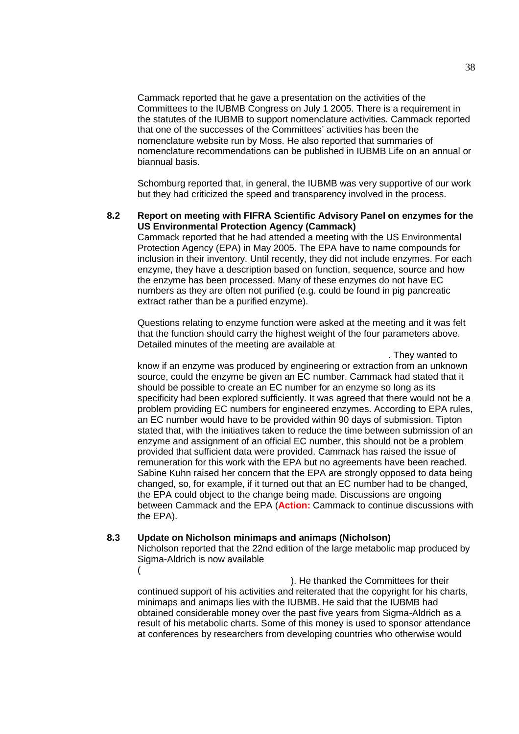Cammack reported that he gave a presentation on the activities of the Committees to the IUBMB Congress on July 1 2005. There is a requirement in the statutes of the IUBMB to support nomenclature activities. Cammack reported that one of the successes of the Committees' activities has been the nomenclature website run by Moss. He also reported that summaries of nomenclature recommendations can be published in IUBMB Life on an annual or biannual basis.

Schomburg reported that, in general, the IUBMB was very supportive of our work but they had criticized the speed and transparency involved in the process.

#### **8.2 Report on meeting with FIFRA Scientific Advisory Panel on enzymes for the US Environmental Protection Agency (Cammack)**

Cammack reported that he had attended a meeting with the US Environmental Protection Agency (EPA) in May 2005. The EPA have to name compounds for inclusion in their inventory. Until recently, they did not include enzymes. For each enzyme, they have a description based on function, sequence, source and how the enzyme has been processed. Many of these enzymes do not have EC numbers as they are often not purified (e.g. could be found in pig pancreatic extract rather than be a purified enzyme).

Questions relating to enzyme function were asked at the meeting and it was felt that the function should carry the highest weight of the four parameters above. Detailed minutes of the meeting are available at

. They wanted to know if an enzyme was produced by engineering or extraction from an unknown source, could the enzyme be given an EC number. Cammack had stated that it should be possible to create an EC number for an enzyme so long as its specificity had been explored sufficiently. It was agreed that there would not be a problem providing EC numbers for engineered enzymes. According to EPA rules, an EC number would have to be provided within 90 days of submission. Tipton stated that, with the initiatives taken to reduce the time between submission of an enzyme and assignment of an official EC number, this should not be a problem provided that sufficient data were provided. Cammack has raised the issue of remuneration for this work with the EPA but no agreements have been reached. Sabine Kuhn raised her concern that the EPA are strongly opposed to data being changed, so, for example, if it turned out that an EC number had to be changed, the EPA could object to the change being made. Discussions are ongoing between Cammack and the EPA (**Action:** Cammack to continue discussions with the EPA).

#### **8.3 Update on Nicholson minimaps and animaps (Nicholson)**

Nicholson reported that the 22nd edition of the large metabolic map produced by Sigma-Aldrich is now available (http://www.sigmaaldrich.com/Area $\sim$ 

). He thanked the Committees for their continued support of his activities and reiterated that the copyright for his charts, minimaps and animaps lies with the IUBMB. He said that the IUBMB had obtained considerable money over the past five years from Sigma-Aldrich as a result of his metabolic charts. Some of this money is used to sponsor attendance at conferences by researchers from developing countries who otherwise would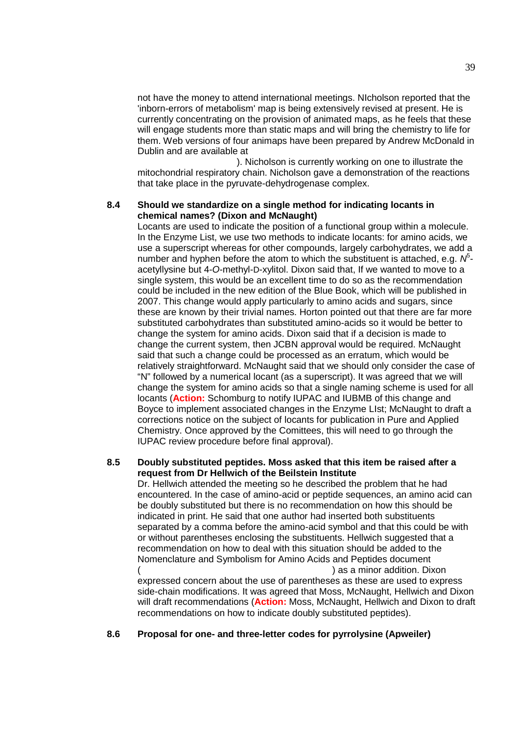not have the money to attend international meetings. NIcholson reported that the 'inborn-errors of metabolism' map is being extensively revised at present. He is currently concentrating on the provision of animated maps, as he feels that these will engage students more than static maps and will bring the chemistry to life for them. Web versions of four animaps have been prepared by Andrew McDonald in Dublin and are available at

). Nicholson is currently working on one to illustrate the mitochondrial respiratory chain. Nicholson gave a demonstration of the reactions that take place in the pyruvate-dehydrogenase complex.

#### **8.4 Should we standardize on a single method for indicating locants in chemical names? (Dixon and McNaught)**

Locants are used to indicate the position of a functional group within a molecule. In the Enzyme List, we use two methods to indicate locants: for amino acids, we use a superscript whereas for other compounds, largely carbohydrates, we add a number and hyphen before the atom to which the substituent is attached, e.g. N<sup>5</sup>acetyllysine but 4-*O*-methyl-D-xylitol. Dixon said that, If we wanted to move to a single system, this would be an excellent time to do so as the recommendation could be included in the new edition of the Blue Book, which will be published in 2007. This change would apply particularly to amino acids and sugars, since these are known by their trivial names. Horton pointed out that there are far more substituted carbohydrates than substituted amino-acids so it would be better to change the system for amino acids. Dixon said that if a decision is made to change the current system, then JCBN approval would be required. McNaught said that such a change could be processed as an erratum, which would be relatively straightforward. McNaught said that we should only consider the case of "N" followed by a numerical locant (as a superscript). It was agreed that we will change the system for amino acids so that a single naming scheme is used for all locants (**Action:** Schomburg to notify IUPAC and IUBMB of this change and Boyce to implement associated changes in the Enzyme LIst; McNaught to draft a corrections notice on the subject of locants for publication in Pure and Applied Chemistry. Once approved by the Comittees, this will need to go through the IUPAC review procedure before final approval).

## **8.5 Doubly substituted peptides. Moss asked that this item be raised after a request from Dr Hellwich of the Beilstein Institute**

Dr. Hellwich attended the meeting so he described the problem that he had encountered. In the case of amino-acid or peptide sequences, an amino acid can be doubly substituted but there is no recommendation on how this should be indicated in print. He said that one author had inserted both substituents separated by a comma before the amino-acid symbol and that this could be with or without parentheses enclosing the substituents. Hellwich suggested that a recommendation on how to deal with this situation should be added to the Nomenclature and Symbolism for Amino Acids and Peptides document ) as a minor addition. Dixon.

expressed concern about the use of parentheses as these are used to express side-chain modifications. It was agreed that Moss, McNaught, Hellwich and Dixon will draft recommendations (**Action:** Moss, McNaught, Hellwich and Dixon to draft recommendations on how to indicate doubly substituted peptides).

#### **8.6 Proposal for one- and three-letter codes for pyrrolysine (Apweiler)**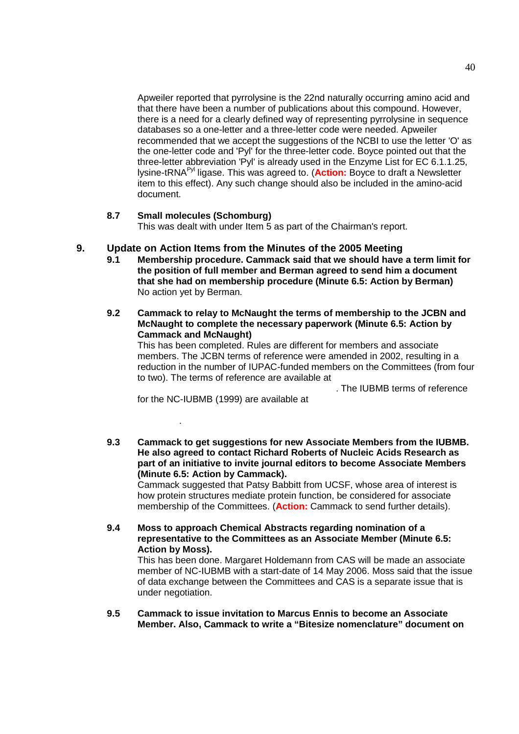Apweiler reported that pyrrolysine is the 22nd naturally occurring amino acid and that there have been a number of publications about this compound. However, there is a need for a clearly defined way of representing pyrrolysine in sequence databases so a one-letter and a three-letter code were needed. Apweiler recommended that we accept the suggestions of the NCBI to use the letter 'O' as the one-letter code and 'Pyl' for the three-letter code. Boyce pointed out that the three-letter abbreviation 'Pyl' is already used in the Enzyme List for EC 6.1.1.25, lysine-tRNAPyl ligase. This was agreed to. (**Action:** Boyce to draft a Newsletter item to this effect). Any such change should also be included in the amino-acid document.

#### **8.7 Small molecules (Schomburg)**

This was dealt with under Item 5 as part of the Chairman's report.

# **9. Update on Action Items from the Minutes of the 2005 Meeting**

- **9.1 Membership procedure. Cammack said that we should have a term limit for the position of full member and Berman agreed to send him a document that she had on membership procedure (Minute 6.5: Action by Berman)** No action yet by Berman.
- **9.2 Cammack to relay to McNaught the terms of membership to the JCBN and McNaught to complete the necessary paperwork (Minute 6.5: Action by Cammack and McNaught)**

This has been completed. Rules are different for members and associate members. The JCBN terms of reference were amended in 2002, resulting in a reduction in the number of IUPAC-funded members on the Committees (from four to two). The terms of reference are available at

The IUBMB terms of reference

for the NC-IUBMB (1999) are available at

lature.htm.

**9.3 Cammack to get suggestions for new Associate Members from the IUBMB. He also agreed to contact Richard Roberts of Nucleic Acids Research as part of an initiative to invite journal editors to become Associate Members (Minute 6.5: Action by Cammack).**

Cammack suggested that Patsy Babbitt from UCSF, whose area of interest is how protein structures mediate protein function, be considered for associate membership of the Committees. (**Action:** Cammack to send further details).

**9.4 Moss to approach Chemical Abstracts regarding nomination of a representative to the Committees as an Associate Member (Minute 6.5: Action by Moss).**

This has been done. Margaret Holdemann from CAS will be made an associate member of NC-IUBMB with a start-date of 14 May 2006. Moss said that the issue of data exchange between the Committees and CAS is a separate issue that is under negotiation.

**9.5 Cammack to issue invitation to Marcus Ennis to become an Associate Member. Also, Cammack to write a "Bitesize nomenclature" document on**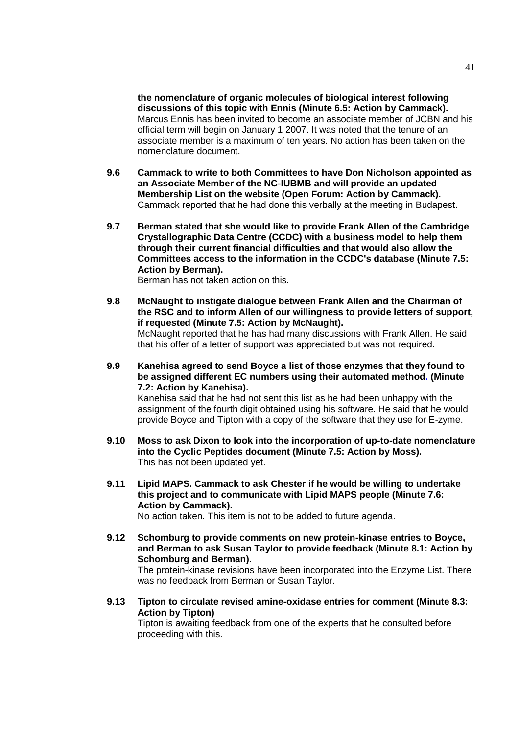**the nomenclature of organic molecules of biological interest following discussions of this topic with Ennis (Minute 6.5: Action by Cammack).** Marcus Ennis has been invited to become an associate member of JCBN and his official term will begin on January 1 2007. It was noted that the tenure of an associate member is a maximum of ten years. No action has been taken on the nomenclature document.

- **9.6 Cammack to write to both Committees to have Don Nicholson appointed as an Associate Member of the NC-IUBMB and will provide an updated Membership List on the website (Open Forum: Action by Cammack).** Cammack reported that he had done this verbally at the meeting in Budapest.
- **9.7 Berman stated that she would like to provide Frank Allen of the Cambridge Crystallographic Data Centre (CCDC) with a business model to help them through their current financial difficulties and that would also allow the Committees access to the information in the CCDC's database (Minute 7.5: Action by Berman).**

Berman has not taken action on this.

- **9.8 McNaught to instigate dialogue between Frank Allen and the Chairman of the RSC and to inform Allen of our willingness to provide letters of support, if requested (Minute 7.5: Action by McNaught).** McNaught reported that he has had many discussions with Frank Allen. He said that his offer of a letter of support was appreciated but was not required.
- **9.9 Kanehisa agreed to send Boyce a list of those enzymes that they found to be assigned different EC numbers using their automated method. (Minute 7.2: Action by Kanehisa).**

Kanehisa said that he had not sent this list as he had been unhappy with the assignment of the fourth digit obtained using his software. He said that he would provide Boyce and Tipton with a copy of the software that they use for E-zyme.

- **9.10 Moss to ask Dixon to look into the incorporation of up-to-date nomenclature into the Cyclic Peptides document (Minute 7.5: Action by Moss).** This has not been updated yet.
- **9.11 Lipid MAPS. Cammack to ask Chester if he would be willing to undertake this project and to communicate with Lipid MAPS people (Minute 7.6: Action by Cammack).** No action taken. This item is not to be added to future agenda.

**9.12 Schomburg to provide comments on new protein-kinase entries to Boyce, and Berman to ask Susan Taylor to provide feedback (Minute 8.1: Action by Schomburg and Berman).**

The protein-kinase revisions have been incorporated into the Enzyme List. There was no feedback from Berman or Susan Taylor.

**9.13 Tipton to circulate revised amine-oxidase entries for comment (Minute 8.3: Action by Tipton)**

Tipton is awaiting feedback from one of the experts that he consulted before proceeding with this.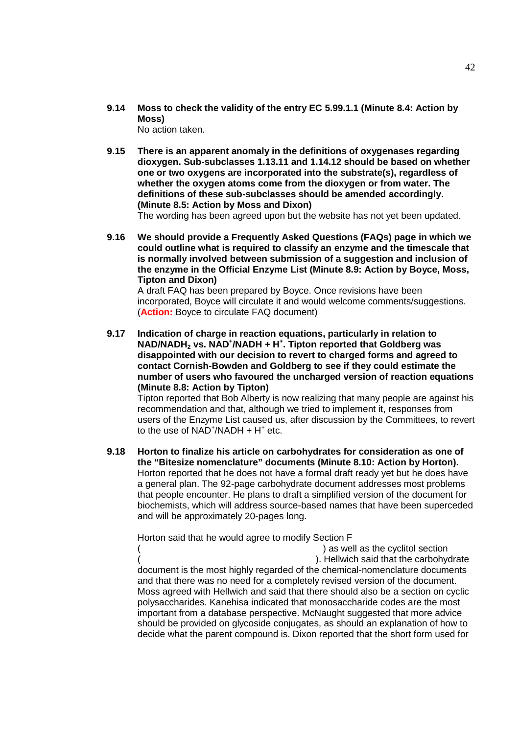- **9.14 Moss to check the validity of the entry EC 5.99.1.1 (Minute 8.4: Action by Moss)** No action taken.
- **9.15 There is an apparent anomaly in the definitions of oxygenases regarding dioxygen. Sub-subclasses 1.13.11 and 1.14.12 should be based on whether one or two oxygens are incorporated into the substrate(s), regardless of whether the oxygen atoms come from the dioxygen or from water. The definitions of these sub-subclasses should be amended accordingly. (Minute 8.5: Action by Moss and Dixon)**

The wording has been agreed upon but the website has not yet been updated.

**9.16 We should provide a Frequently Asked Questions (FAQs) page in which we could outline what is required to classify an enzyme and the timescale that is normally involved between submission of a suggestion and inclusion of the enzyme in the Official Enzyme List (Minute 8.9: Action by Boyce, Moss, Tipton and Dixon)**

A draft FAQ has been prepared by Boyce. Once revisions have been incorporated, Boyce will circulate it and would welcome comments/suggestions. (**Action:** Boyce to circulate FAQ document)

**9.17 Indication of charge in reaction equations, particularly in relation to NAD/NADH<sup>2</sup> vs. NAD<sup>+</sup> /NADH + H<sup>+</sup> . Tipton reported that Goldberg was disappointed with our decision to revert to charged forms and agreed to contact Cornish-Bowden and Goldberg to see if they could estimate the number of users who favoured the uncharged version of reaction equations (Minute 8.8: Action by Tipton)**

Tipton reported that Bob Alberty is now realizing that many people are against his recommendation and that, although we tried to implement it, responses from users of the Enzyme List caused us, after discussion by the Committees, to revert to the use of  $NAD^+/NADH + H^+$  etc.

**9.18 Horton to finalize his article on carbohydrates for consideration as one of the "Bitesize nomenclature" documents (Minute 8.10: Action by Horton).** Horton reported that he does not have a formal draft ready yet but he does have a general plan. The 92-page carbohydrate document addresses most problems that people encounter. He plans to draft a simplified version of the document for biochemists, which will address source-based names that have been superceded and will be approximately 20-pages long.

Horton said that he would agree to modify Section F

) as well as the cyclitol section ). Hellwich said that the carbohydrate document is the most highly regarded of the chemical-nomenclature documents and that there was no need for a completely revised version of the document. Moss agreed with Hellwich and said that there should also be a section on cyclic polysaccharides. Kanehisa indicated that monosaccharide codes are the most important from a database perspective. McNaught suggested that more advice should be provided on glycoside conjugates, as should an explanation of how to decide what the parent compound is. Dixon reported that the short form used for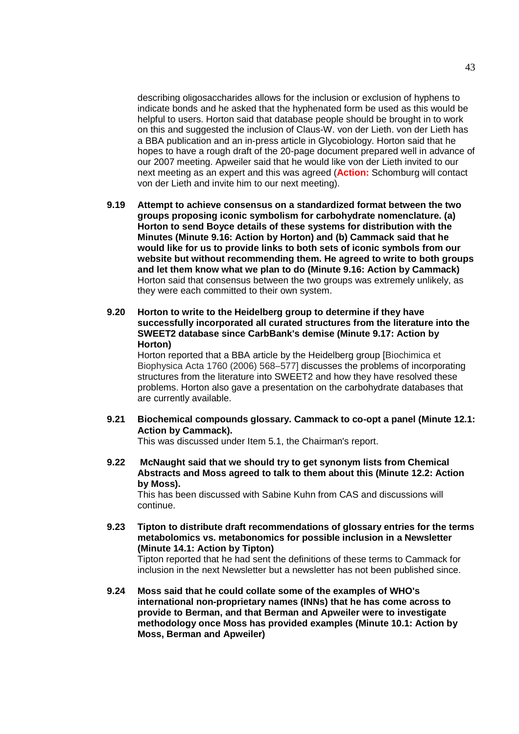describing oligosaccharides allows for the inclusion or exclusion of hyphens to indicate bonds and he asked that the hyphenated form be used as this would be helpful to users. Horton said that database people should be brought in to work on this and suggested the inclusion of Claus-W. von der Lieth. von der Lieth has a BBA publication and an in-press article in Glycobiology. Horton said that he hopes to have a rough draft of the 20-page document prepared well in advance of our 2007 meeting. Apweiler said that he would like von der Lieth invited to our next meeting as an expert and this was agreed (**Action:** Schomburg will contact von der Lieth and invite him to our next meeting).

- **9.19 Attempt to achieve consensus on a standardized format between the two groups proposing iconic symbolism for carbohydrate nomenclature. (a) Horton to send Boyce details of these systems for distribution with the Minutes (Minute 9.16: Action by Horton) and (b) Cammack said that he would like for us to provide links to both sets of iconic symbols from our website but without recommending them. He agreed to write to both groups and let them know what we plan to do (Minute 9.16: Action by Cammack)** Horton said that consensus between the two groups was extremely unlikely, as they were each committed to their own system.
- **9.20 Horton to write to the Heidelberg group to determine if they have successfully incorporated all curated structures from the literature into the SWEET2 database since CarbBank's demise (Minute 9.17: Action by Horton)**

Horton reported that a BBA article by the Heidelberg group [Biochimica et Biophysica Acta 1760 (2006) 568–577] discusses the problems of incorporating structures from the literature into SWEET2 and how they have resolved these problems. Horton also gave a presentation on the carbohydrate databases that are currently available.

**9.21 Biochemical compounds glossary. Cammack to co-opt a panel (Minute 12.1: Action by Cammack).**

This was discussed under Item 5.1, the Chairman's report.

**9.22 McNaught said that we should try to get synonym lists from Chemical Abstracts and Moss agreed to talk to them about this (Minute 12.2: Action by Moss).**

This has been discussed with Sabine Kuhn from CAS and discussions will continue.

**9.23 Tipton to distribute draft recommendations of glossary entries for the terms metabolomics vs. metabonomics for possible inclusion in a Newsletter (Minute 14.1: Action by Tipton)**

Tipton reported that he had sent the definitions of these terms to Cammack for inclusion in the next Newsletter but a newsletter has not been published since.

**9.24 Moss said that he could collate some of the examples of WHO's international non-proprietary names (INNs) that he has come across to provide to Berman, and that Berman and Apweiler were to investigate methodology once Moss has provided examples (Minute 10.1: Action by Moss, Berman and Apweiler)**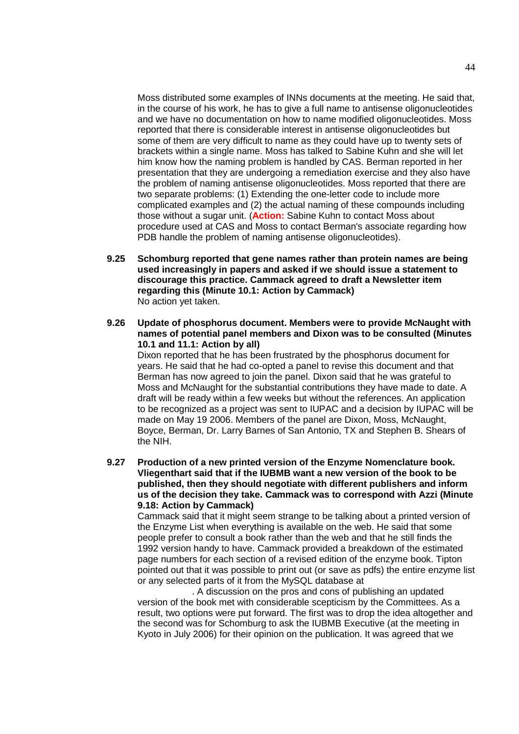Moss distributed some examples of INNs documents at the meeting. He said that, in the course of his work, he has to give a full name to antisense oligonucleotides and we have no documentation on how to name modified oligonucleotides. Moss reported that there is considerable interest in antisense oligonucleotides but some of them are very difficult to name as they could have up to twenty sets of brackets within a single name. Moss has talked to Sabine Kuhn and she will let him know how the naming problem is handled by CAS. Berman reported in her presentation that they are undergoing a remediation exercise and they also have the problem of naming antisense oligonucleotides. Moss reported that there are two separate problems: (1) Extending the one-letter code to include more complicated examples and (2) the actual naming of these compounds including those without a sugar unit. (**Action:** Sabine Kuhn to contact Moss about procedure used at CAS and Moss to contact Berman's associate regarding how PDB handle the problem of naming antisense oligonucleotides).

- **9.25 Schomburg reported that gene names rather than protein names are being used increasingly in papers and asked if we should issue a statement to discourage this practice. Cammack agreed to draft a Newsletter item regarding this (Minute 10.1: Action by Cammack)** No action yet taken.
- **9.26 Update of phosphorus document. Members were to provide McNaught with names of potential panel members and Dixon was to be consulted (Minutes 10.1 and 11.1: Action by all)**

Dixon reported that he has been frustrated by the phosphorus document for years. He said that he had co-opted a panel to revise this document and that Berman has now agreed to join the panel. Dixon said that he was grateful to Moss and McNaught for the substantial contributions they have made to date. A draft will be ready within a few weeks but without the references. An application to be recognized as a project was sent to IUPAC and a decision by IUPAC will be made on May 19 2006. Members of the panel are Dixon, Moss, McNaught, Boyce, Berman, Dr. Larry Barnes of San Antonio, TX and Stephen B. Shears of the NIH.

**9.27 Production of a new printed version of the Enzyme Nomenclature book. Vliegenthart said that if the IUBMB want a new version of the book to be published, then they should negotiate with different publishers and inform us of the decision they take. Cammack was to correspond with Azzi (Minute 9.18: Action by Cammack)**

Cammack said that it might seem strange to be talking about a printed version of the Enzyme List when everything is available on the web. He said that some people prefer to consult a book rather than the web and that he still finds the 1992 version handy to have. Cammack provided a breakdown of the estimated page numbers for each section of a revised edition of the enzyme book. Tipton pointed out that it was possible to print out (or save as pdfs) the entire enzyme list or any selected parts of it from the MySQL database at

. A discussion on the pros and cons of publishing an updated version of the book met with considerable scepticism by the Committees. As a result, two options were put forward. The first was to drop the idea altogether and the second was for Schomburg to ask the IUBMB Executive (at the meeting in Kyoto in July 2006) for their opinion on the publication. It was agreed that we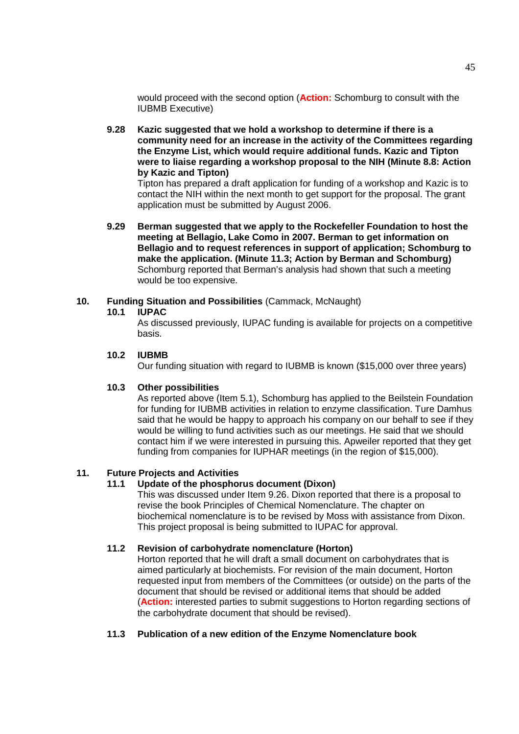would proceed with the second option (**Action:** Schomburg to consult with the IUBMB Executive)

**9.28 Kazic suggested that we hold a workshop to determine if there is a community need for an increase in the activity of the Committees regarding the Enzyme List, which would require additional funds. Kazic and Tipton were to liaise regarding a workshop proposal to the NIH (Minute 8.8: Action by Kazic and Tipton)**

Tipton has prepared a draft application for funding of a workshop and Kazic is to contact the NIH within the next month to get support for the proposal. The grant application must be submitted by August 2006.

**9.29 Berman suggested that we apply to the Rockefeller Foundation to host the meeting at Bellagio, Lake Como in 2007. Berman to get information on Bellagio and to request references in support of application; Schomburg to make the application. (Minute 11.3; Action by Berman and Schomburg)** Schomburg reported that Berman's analysis had shown that such a meeting would be too expensive.

## **10. Funding Situation and Possibilities** (Cammack, McNaught)

#### **10.1 IUPAC**

As discussed previously, IUPAC funding is available for projects on a competitive basis.

## **10.2 IUBMB**

Our funding situation with regard to IUBMB is known (\$15,000 over three years)

#### **10.3 Other possibilities**

As reported above (Item 5.1), Schomburg has applied to the Beilstein Foundation for funding for IUBMB activities in relation to enzyme classification. Ture Damhus said that he would be happy to approach his company on our behalf to see if they would be willing to fund activities such as our meetings. He said that we should contact him if we were interested in pursuing this. Apweiler reported that they get funding from companies for IUPHAR meetings (in the region of \$15,000).

# **11. Future Projects and Activities**

#### **11.1 Update of the phosphorus document (Dixon)**

This was discussed under Item 9.26. Dixon reported that there is a proposal to revise the book Principles of Chemical Nomenclature. The chapter on biochemical nomenclature is to be revised by Moss with assistance from Dixon. This project proposal is being submitted to IUPAC for approval.

#### **11.2 Revision of carbohydrate nomenclature (Horton)**

Horton reported that he will draft a small document on carbohydrates that is aimed particularly at biochemists. For revision of the main document, Horton requested input from members of the Committees (or outside) on the parts of the document that should be revised or additional items that should be added (**Action:** interested parties to submit suggestions to Horton regarding sections of the carbohydrate document that should be revised).

# **11.3 Publication of a new edition of the Enzyme Nomenclature book**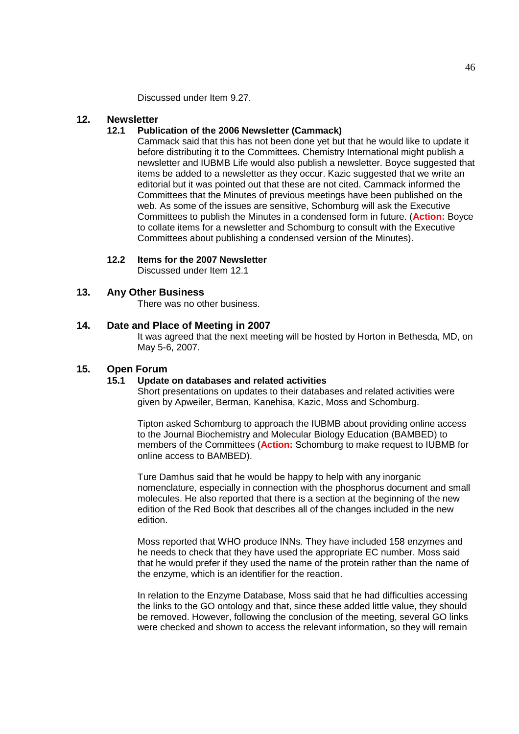Discussed under Item 9.27.

## **12. Newsletter**

#### **12.1 Publication of the 2006 Newsletter (Cammack)**

Cammack said that this has not been done yet but that he would like to update it before distributing it to the Committees. Chemistry International might publish a newsletter and IUBMB Life would also publish a newsletter. Boyce suggested that items be added to a newsletter as they occur. Kazic suggested that we write an editorial but it was pointed out that these are not cited. Cammack informed the Committees that the Minutes of previous meetings have been published on the web. As some of the issues are sensitive, Schomburg will ask the Executive Committees to publish the Minutes in a condensed form in future. (**Action:** Boyce to collate items for a newsletter and Schomburg to consult with the Executive Committees about publishing a condensed version of the Minutes).

## **12.2 Items for the 2007 Newsletter**

Discussed under Item 12.1

#### **13. Any Other Business**

There was no other business.

## **14. Date and Place of Meeting in 2007**

It was agreed that the next meeting will be hosted by Horton in Bethesda, MD, on May 5-6, 2007.

#### **15. Open Forum**

#### **15.1 Update on databases and related activities**

Short presentations on updates to their databases and related activities were given by Apweiler, Berman, Kanehisa, Kazic, Moss and Schomburg.

Tipton asked Schomburg to approach the IUBMB about providing online access to the Journal Biochemistry and Molecular Biology Education (BAMBED) to members of the Committees (**Action:** Schomburg to make request to IUBMB for online access to BAMBED).

Ture Damhus said that he would be happy to help with any inorganic nomenclature, especially in connection with the phosphorus document and small molecules. He also reported that there is a section at the beginning of the new edition of the Red Book that describes all of the changes included in the new edition.

Moss reported that WHO produce INNs. They have included 158 enzymes and he needs to check that they have used the appropriate EC number. Moss said that he would prefer if they used the name of the protein rather than the name of the enzyme, which is an identifier for the reaction.

In relation to the Enzyme Database, Moss said that he had difficulties accessing the links to the GO ontology and that, since these added little value, they should be removed. However, following the conclusion of the meeting, several GO links were checked and shown to access the relevant information, so they will remain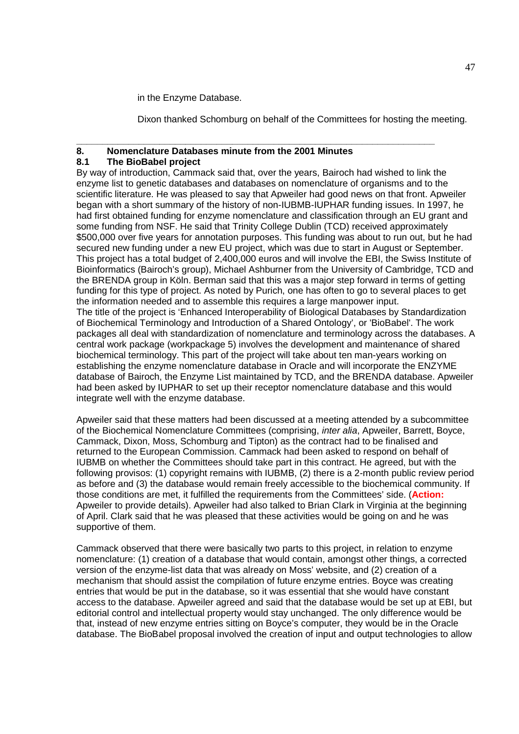in the Enzyme Database.

Dixon thanked Schomburg on behalf of the Committees for hosting the meeting.

#### **\_\_\_\_\_\_\_\_\_\_\_\_\_\_\_\_\_\_\_\_\_\_\_\_\_\_\_\_\_\_\_\_\_\_\_\_\_\_\_\_\_\_\_\_\_\_\_\_\_\_\_\_\_\_\_\_\_\_\_\_\_\_\_\_\_\_\_\_\_ 8. Nomenclature Databases minute from the 2001 Minutes**

#### **8.1 The BioBabel project**

By way of introduction, Cammack said that, over the years, Bairoch had wished to link the enzyme list to genetic databases and databases on nomenclature of organisms and to the scientific literature. He was pleased to say that Apweiler had good news on that front. Apweiler began with a short summary of the history of non-IUBMB-IUPHAR funding issues. In 1997, he had first obtained funding for enzyme nomenclature and classification through an EU grant and some funding from NSF. He said that Trinity College Dublin (TCD) received approximately \$500,000 over five years for annotation purposes. This funding was about to run out, but he had secured new funding under a new EU project, which was due to start in August or September. This project has a total budget of 2,400,000 euros and will involve the EBI, the Swiss Institute of Bioinformatics (Bairoch's group), Michael Ashburner from the University of Cambridge, TCD and the BRENDA group in Köln. Berman said that this was a major step forward in terms of getting funding for this type of project. As noted by Purich, one has often to go to several places to get the information needed and to assemble this requires a large manpower input. The title of the project is 'Enhanced Interoperability of Biological Databases by Standardization of Biochemical Terminology and Introduction of a Shared Ontology', or 'BioBabel'. The work packages all deal with standardization of nomenclature and terminology across the databases. A central work package (workpackage 5) involves the development and maintenance of shared biochemical terminology. This part of the project will take about ten man-years working on establishing the enzyme nomenclature database in Oracle and will incorporate the ENZYME database of Bairoch, the Enzyme List maintained by TCD, and the BRENDA database. Apweiler had been asked by IUPHAR to set up their receptor nomenclature database and this would integrate well with the enzyme database.

Apweiler said that these matters had been discussed at a meeting attended by a subcommittee of the Biochemical Nomenclature Committees (comprising, *inter alia*, Apweiler, Barrett, Boyce, Cammack, Dixon, Moss, Schomburg and Tipton) as the contract had to be finalised and returned to the European Commission. Cammack had been asked to respond on behalf of IUBMB on whether the Committees should take part in this contract. He agreed, but with the following provisos: (1) copyright remains with IUBMB, (2) there is a 2-month public review period as before and (3) the database would remain freely accessible to the biochemical community. If those conditions are met, it fulfilled the requirements from the Committees' side. (**Action:** Apweiler to provide details). Apweiler had also talked to Brian Clark in Virginia at the beginning of April. Clark said that he was pleased that these activities would be going on and he was supportive of them.

Cammack observed that there were basically two parts to this project, in relation to enzyme nomenclature: (1) creation of a database that would contain, amongst other things, a corrected version of the enzyme-list data that was already on Moss' website, and (2) creation of a mechanism that should assist the compilation of future enzyme entries. Boyce was creating entries that would be put in the database, so it was essential that she would have constant access to the database. Apweiler agreed and said that the database would be set up at EBI, but editorial control and intellectual property would stay unchanged. The only difference would be that, instead of new enzyme entries sitting on Boyce's computer, they would be in the Oracle database. The BioBabel proposal involved the creation of input and output technologies to allow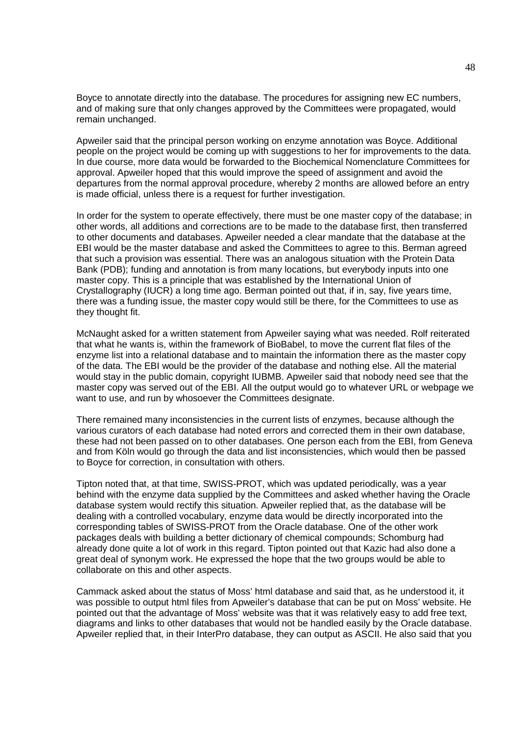Boyce to annotate directly into the database. The procedures for assigning new EC numbers, and of making sure that only changes approved by the Committees were propagated, would remain unchanged.

Apweiler said that the principal person working on enzyme annotation was Boyce. Additional people on the project would be coming up with suggestions to her for improvements to the data. In due course, more data would be forwarded to the Biochemical Nomenclature Committees for approval. Apweiler hoped that this would improve the speed of assignment and avoid the departures from the normal approval procedure, whereby 2 months are allowed before an entry is made official, unless there is a request for further investigation.

In order for the system to operate effectively, there must be one master copy of the database; in other words, all additions and corrections are to be made to the database first, then transferred to other documents and databases. Apweiler needed a clear mandate that the database at the EBI would be the master database and asked the Committees to agree to this. Berman agreed that such a provision was essential. There was an analogous situation with the Protein Data Bank (PDB); funding and annotation is from many locations, but everybody inputs into one master copy. This is a principle that was established by the International Union of Crystallography (IUCR) a long time ago. Berman pointed out that, if in, say, five years time, there was a funding issue, the master copy would still be there, for the Committees to use as they thought fit.

McNaught asked for a written statement from Apweiler saying what was needed. Rolf reiterated that what he wants is, within the framework of BioBabel, to move the current flat files of the enzyme list into a relational database and to maintain the information there as the master copy of the data. The EBI would be the provider of the database and nothing else. All the material would stay in the public domain, copyright IUBMB. Apweiler said that nobody need see that the master copy was served out of the EBI. All the output would go to whatever URL or webpage we want to use, and run by whosoever the Committees designate.

There remained many inconsistencies in the current lists of enzymes, because although the various curators of each database had noted errors and corrected them in their own database, these had not been passed on to other databases. One person each from the EBI, from Geneva and from Köln would go through the data and list inconsistencies, which would then be passed to Boyce for correction, in consultation with others.

Tipton noted that, at that time, SWISS-PROT, which was updated periodically, was a year behind with the enzyme data supplied by the Committees and asked whether having the Oracle database system would rectify this situation. Apweiler replied that, as the database will be dealing with a controlled vocabulary, enzyme data would be directly incorporated into the corresponding tables of SWISS-PROT from the Oracle database. One of the other work packages deals with building a better dictionary of chemical compounds; Schomburg had already done quite a lot of work in this regard. Tipton pointed out that Kazic had also done a great deal of synonym work. He expressed the hope that the two groups would be able to collaborate on this and other aspects.

Cammack asked about the status of Moss' html database and said that, as he understood it, it was possible to output html files from Apweiler's database that can be put on Moss' website. He pointed out that the advantage of Moss' website was that it was relatively easy to add free text, diagrams and links to other databases that would not be handled easily by the Oracle database. Apweiler replied that, in their InterPro database, they can output as ASCII. He also said that you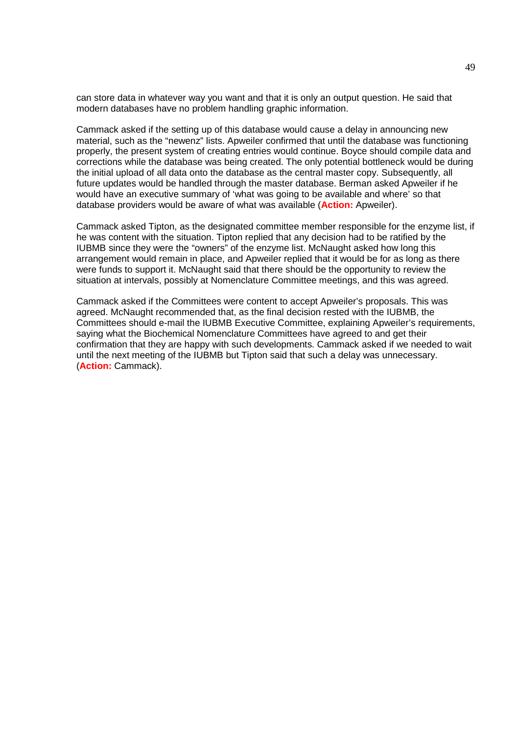can store data in whatever way you want and that it is only an output question. He said that modern databases have no problem handling graphic information.

Cammack asked if the setting up of this database would cause a delay in announcing new material, such as the "newenz" lists. Apweiler confirmed that until the database was functioning properly, the present system of creating entries would continue. Boyce should compile data and corrections while the database was being created. The only potential bottleneck would be during the initial upload of all data onto the database as the central master copy. Subsequently, all future updates would be handled through the master database. Berman asked Apweiler if he would have an executive summary of 'what was going to be available and where' so that database providers would be aware of what was available (**Action:** Apweiler).

Cammack asked Tipton, as the designated committee member responsible for the enzyme list, if he was content with the situation. Tipton replied that any decision had to be ratified by the IUBMB since they were the "owners" of the enzyme list. McNaught asked how long this arrangement would remain in place, and Apweiler replied that it would be for as long as there were funds to support it. McNaught said that there should be the opportunity to review the situation at intervals, possibly at Nomenclature Committee meetings, and this was agreed.

Cammack asked if the Committees were content to accept Apweiler's proposals. This was agreed. McNaught recommended that, as the final decision rested with the IUBMB, the Committees should e-mail the IUBMB Executive Committee, explaining Apweiler's requirements, saying what the Biochemical Nomenclature Committees have agreed to and get their confirmation that they are happy with such developments. Cammack asked if we needed to wait until the next meeting of the IUBMB but Tipton said that such a delay was unnecessary. (**Action:** Cammack).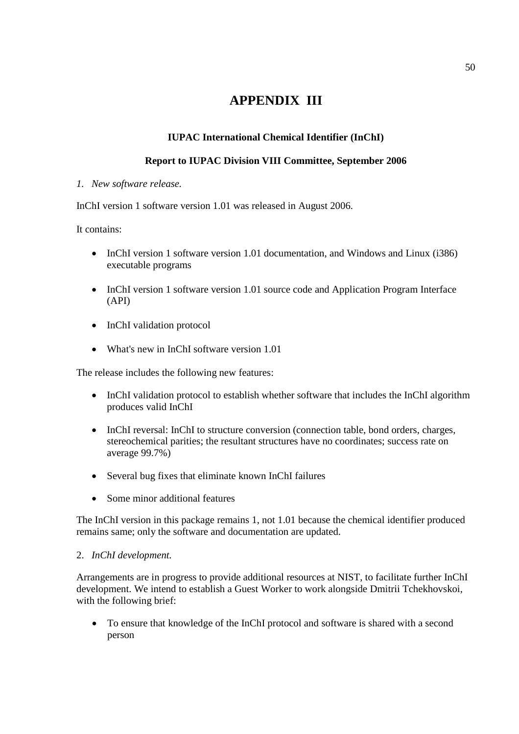# **APPENDIX III**

# **IUPAC International Chemical Identifier (InChI)**

# **Report to IUPAC Division VIII Committee, September 2006**

*1. New software release.*

InChI version 1 software version 1.01 was released in August 2006.

It contains:

- InChI version 1 software version 1.01 documentation, and Windows and Linux (i386) executable programs
- InChI version 1 software version 1.01 source code and Application Program Interface (API)
- InChI validation protocol
- What's new in InChI software version 1.01

The release includes the following new features:

- InChI validation protocol to establish whether software that includes the InChI algorithm produces valid InChI
- InChI reversal: InChI to structure conversion (connection table, bond orders, charges, stereochemical parities; the resultant structures have no coordinates; success rate on average 99.7%)
- Several bug fixes that eliminate known InChI failures
- Some minor additional features

The InChI version in this package remains 1, not 1.01 because the chemical identifier produced remains same; only the software and documentation are updated.

# 2. *InChI development.*

Arrangements are in progress to provide additional resources at NIST, to facilitate further InChI development. We intend to establish a Guest Worker to work alongside Dmitrii Tchekhovskoi, with the following brief:

 To ensure that knowledge of the InChI protocol and software is shared with a second person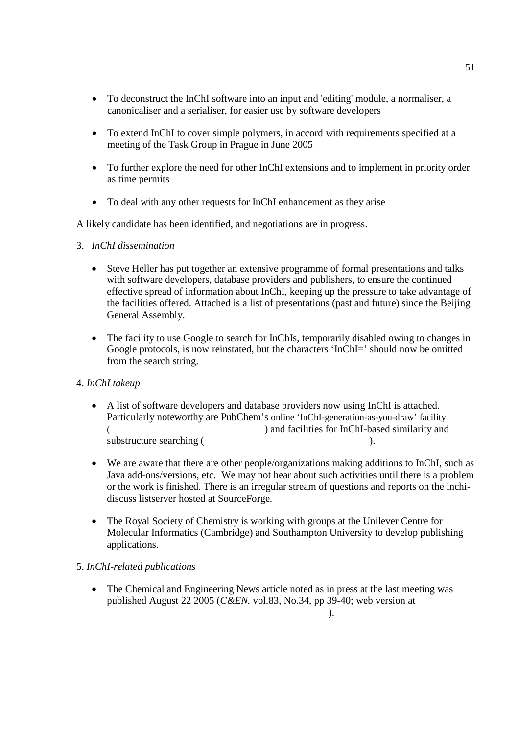- To deconstruct the InChI software into an input and 'editing' module, a normaliser, a canonicaliser and a serialiser, for easier use by software developers
- To extend InChI to cover simple polymers, in accord with requirements specified at a meeting of the Task Group in Prague in June 2005
- To further explore the need for other InChI extensions and to implement in priority order as time permits
- To deal with any other requests for InChI enhancement as they arise

A likely candidate has been identified, and negotiations are in progress.

- 3. *InChI dissemination*
	- Steve Heller has put together an extensive programme of formal presentations and talks with software developers, database providers and publishers, to ensure the continued effective spread of information about InChI, keeping up the pressure to take advantage of the facilities offered. Attached is a list of presentations (past and future) since the Beijing General Assembly.
	- The facility to use Google to search for InChIs, temporarily disabled owing to changes in Google protocols, is now reinstated, but the characters 'InChI=' should now be omitted from the search string.

# 4. *InChI takeup*

- A list of software developers and database providers now using InChI is attached. Particularly noteworthy are PubChem's online 'InChI-generation-as-you-draw' facility ) and facilities for InChI-based similarity and substructure searching (http://pubchem.nih.nih.gov/searching (http://pubchem.nih.gov/search/index.nih.gov/search/index.nih.gov/searching (http://pubchem.nih.gov/searching (http://pubchem.nih.gov/searching (http://pubchem.n
- We are aware that there are other people/organizations making additions to InChI, such as Java add-ons/versions, etc. We may not hear about such activities until there is a problem or the work is finished. There is an irregular stream of questions and reports on the inchidiscuss listserver hosted at SourceForge.
- The Royal Society of Chemistry is working with groups at the Unilever Centre for Molecular Informatics (Cambridge) and Southampton University to develop publishing applications.

# 5. *InChI-related publications*

 The Chemical and Engineering News article noted as in press at the last meeting was published August 22 2005 (*C&EN.* vol.83, No.34, pp 39-40; web version at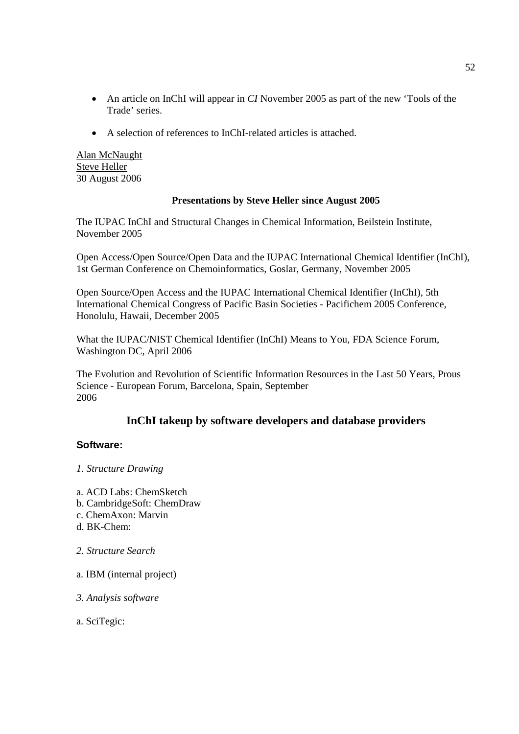- An article on InChI will appear in *CI* November 2005 as part of the new 'Tools of the Trade' series.
- A selection of references to InChI-related articles is attached.

Alan McNaught Steve Heller 30 August 2006

# **Presentations by Steve Heller since August 2005**

The IUPAC InChI and Structural Changes in Chemical Information, Beilstein Institute, November 2005

Open Access/Open Source/Open Data and the IUPAC International Chemical Identifier (InChI), 1st German Conference on Chemoinformatics, Goslar, Germany, November 2005

Open Source/Open Access and the IUPAC International Chemical Identifier (InChI), 5th International Chemical Congress of Pacific Basin Societies - Pacifichem 2005 Conference, Honolulu, Hawaii, December 2005

What the IUPAC/NIST Chemical Identifier (InChI) Means to You, FDA Science Forum, Washington DC, April 2006

The Evolution and Revolution of Scientific Information Resources in the Last 50 Years, Prous Science - European Forum, Barcelona, Spain, September 2006

# **InChI takeup by software developers and database providers**

# **Software:**

# *1. Structure Drawing*

- a. ACD Labs: ChemSketch
- b. CambridgeSoft: ChemDraw
- c. ChemAxon: Marvin
- d. BK-Chem $\cdot$
- *2. Structure Search*
- a. IBM (internal project)
- *3. Analysis software*

a. SciTegic: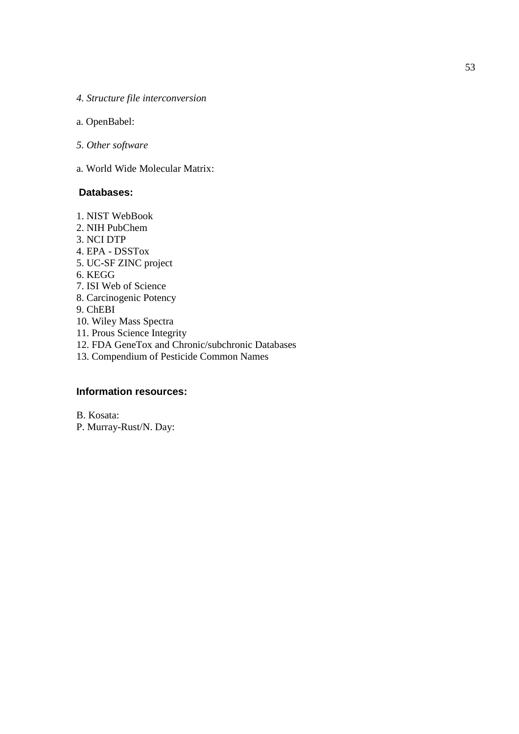- *4. Structure file interconversion*
- a. OpenBabel:
- *5. Other software*
- a. World Wide Molecular Matrix:

## **Databases:**

1. NIST WebBook 2. NIH PubChem. 3. NCI DTP 4. EPA - DSSTox 5. UC-SF ZINC project  $6.$  KEGG 7. ISI Web of Science 8. Carcinogenic Potency 9. ChEBI 10. Wiley Mass Spectra 11. Prous Science Integrity 12. FDA GeneTox and Chronic/subchronic Databases 13. Compendium of Pesticide Common Names

# **Information resources:**

B. Kosata: P. Murray-Rust/N. Day: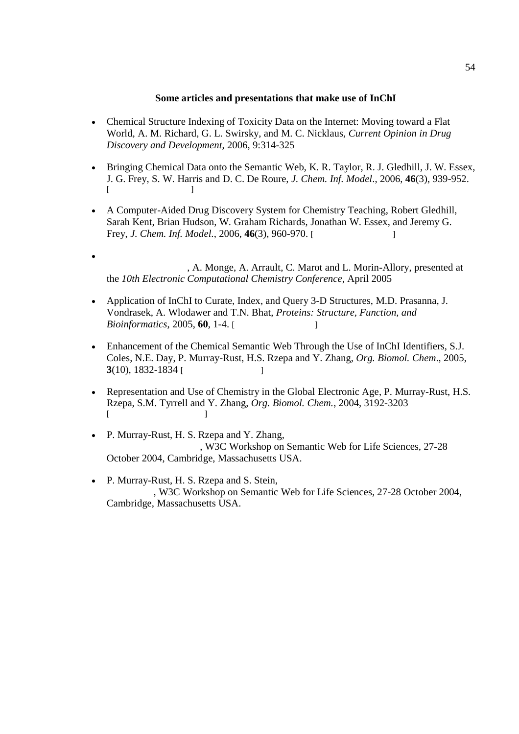#### **Some articles and presentations that make use of InChI**

- Chemical Structure Indexing of Toxicity Data on the Internet: Moving toward a Flat World, A. M. Richard, G. L. Swirsky, and M. C. Nicklaus, *Current Opinion in Drug Discovery and Development*, 2006, 9:314-325
- Bringing Chemical Data onto the Semantic Web, K. R. Taylor, R. J. Gledhill, J. W. Essex, J. G. Frey, S. W. Harris and D. C. De Roure, *J. Chem. Inf. Model*., 2006, **46**(3), 939-952.  $[$
- A Computer-Aided Drug Discovery System for Chemistry Teaching, Robert Gledhill, Sarah Kent, Brian Hudson, W. Graham Richards, Jonathan W. Essex, and Jeremy G. Frey, *J. Chem. Inf. Model.*, 2006, **46**(3), 960-970. [doi:10.1021/ci050383]
- $\bullet$  Analysis of 2.6 Million Unique Compounds gathered from the Libraries of 322  $\pm$ , A. Monge, A. Arrault, C. Marot and L. Morin-Allory, presented at the *10th Electronic Computational Chemistry Conference*, April 2005
- Application of InChI to Curate, Index, and Query 3-D Structures, M.D. Prasanna, J. Vondrasek, A. Wlodawer and T.N. Bhat, *Proteins: Structure, Function, and Bioinformatics*, 2005, **60**, 1-4.
- Enhancement of the Chemical Semantic Web Through the Use of InChI Identifiers, S.J. Coles, N.E. Day, P. Murray-Rust, H.S. Rzepa and Y. Zhang, *Org. Biomol. Chem*., 2005, **3**(10), 1832-1834 [doi:10039]
- Representation and Use of Chemistry in the Global Electronic Age, P. Murray-Rust, H.S. Rzepa, S.M. Tyrrell and Y. Zhang, *Org. Biomol. Chem.*, 2004, 3192-3203  $[$
- $\bullet$  P. Murray-Rust, H. S. Rzepa and Y. Zhang, , W3C Workshop on Semantic Web for Life Sciences, 27-28 October 2004, Cambridge, Massachusetts USA.
- P. Murray-Rust, H. S. Rzepa and S. Stein, , W3C Workshop on Semantic Web for Life Sciences, 27-28 October 2004, Cambridge, Massachusetts USA.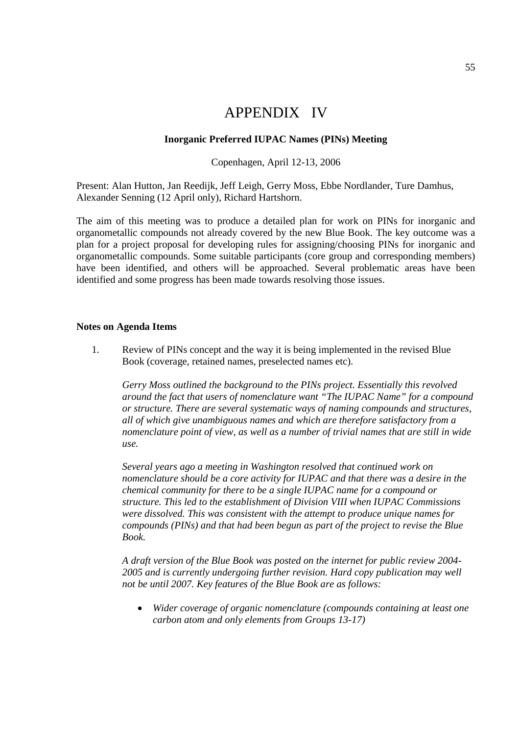# APPENDIX IV

#### **Inorganic Preferred IUPAC Names (PINs) Meeting**

#### Copenhagen, April 12-13, 2006

Present: Alan Hutton, Jan Reedijk, Jeff Leigh, Gerry Moss, Ebbe Nordlander, Ture Damhus, Alexander Senning (12 April only), Richard Hartshorn.

The aim of this meeting was to produce a detailed plan for work on PINs for inorganic and organometallic compounds not already covered by the new Blue Book. The key outcome was a plan for a project proposal for developing rules for assigning/choosing PINs for inorganic and organometallic compounds. Some suitable participants (core group and corresponding members) have been identified, and others will be approached. Several problematic areas have been identified and some progress has been made towards resolving those issues.

#### **Notes on Agenda Items**

1. Review of PINs concept and the way it is being implemented in the revised Blue Book (coverage, retained names, preselected names etc).

*Gerry Moss outlined the background to the PINs project. Essentially this revolved around the fact that users of nomenclature want "The IUPAC Name" for a compound or structure. There are several systematic ways of naming compounds and structures, all of which give unambiguous names and which are therefore satisfactory from a nomenclature point of view, as well as a number of trivial names that are still in wide use.*

*Several years ago a meeting in Washington resolved that continued work on nomenclature should be a core activity for IUPAC and that there was a desire in the chemical community for there to be a single IUPAC name for a compound or structure. This led to the establishment of Division VIII when IUPAC Commissions were dissolved. This was consistent with the attempt to produce unique names for compounds (PINs) and that had been begun as part of the project to revise the Blue Book.*

*A draft version of the Blue Book was posted on the internet for public review 2004- 2005 and is currently undergoing further revision. Hard copy publication may well not be until 2007. Key features of the Blue Book are as follows:*

 *Wider coverage of organic nomenclature (compounds containing at least one carbon atom and only elements from Groups 13-17)*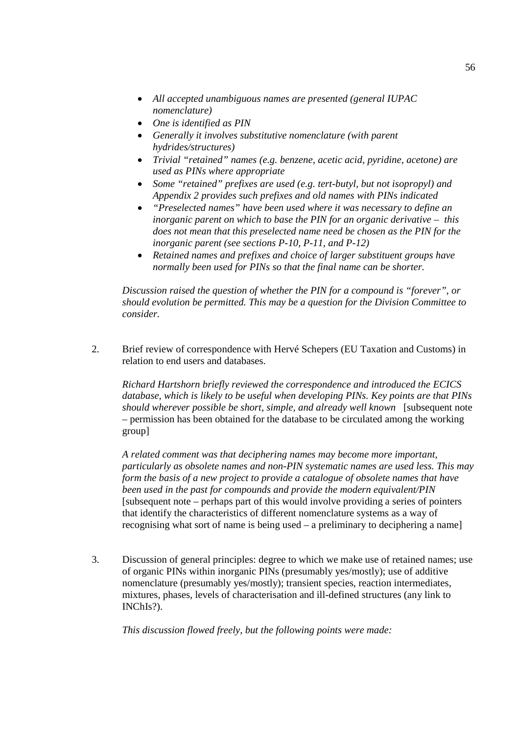- *All accepted unambiguous names are presented (general IUPAC nomenclature)*
- *One is identified as PIN*
- *Generally it involves substitutive nomenclature (with parent hydrides/structures)*
- *Trivial "retained" names (e.g. benzene, acetic acid, pyridine, acetone) are used as PINs where appropriate*
- *Some "retained" prefixes are used (e.g. tert-butyl, but not isopropyl) and Appendix 2 provides such prefixes and old names with PINs indicated*
- *"Preselected names" have been used where it was necessary to define an inorganic parent on which to base the PIN for an organic derivative – this does not mean that this preselected name need be chosen as the PIN for the inorganic parent (see sections P-10, P-11, and P-12)*
- *Retained names and prefixes and choice of larger substituent groups have normally been used for PINs so that the final name can be shorter.*

*Discussion raised the question of whether the PIN for a compound is "forever", or should evolution be permitted. This may be a question for the Division Committee to consider.*

2. Brief review of correspondence with Hervé Schepers (EU Taxation and Customs) in relation to end users and databases.

*Richard Hartshorn briefly reviewed the correspondence and introduced the ECICS database, which is likely to be useful when developing PINs. Key points are that PINs should wherever possible be short, simple, and already well known* [subsequent note – permission has been obtained for the database to be circulated among the working group]

*A related comment was that deciphering names may become more important, particularly as obsolete names and non-PIN systematic names are used less. This may form the basis of a new project to provide a catalogue of obsolete names that have been used in the past for compounds and provide the modern equivalent/PIN* [subsequent note – perhaps part of this would involve providing a series of pointers that identify the characteristics of different nomenclature systems as a way of recognising what sort of name is being used – a preliminary to deciphering a name]

3. Discussion of general principles: degree to which we make use of retained names; use of organic PINs within inorganic PINs (presumably yes/mostly); use of additive nomenclature (presumably yes/mostly); transient species, reaction intermediates, mixtures, phases, levels of characterisation and ill-defined structures (any link to INChIs?).

*This discussion flowed freely, but the following points were made:*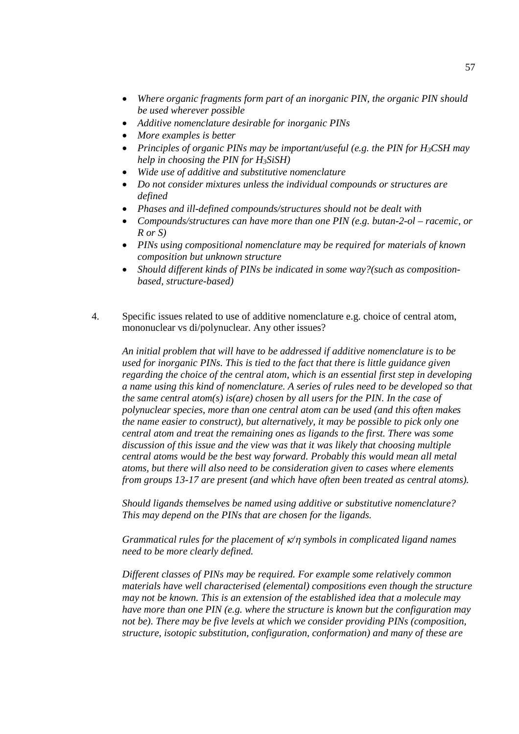- *Where organic fragments form part of an inorganic PIN, the organic PIN should be used wherever possible*
- *Additive nomenclature desirable for inorganic PINs*
- *More examples is better*
- *Principles of organic PINs may be important/useful (e.g. the PIN for H3CSH may help in choosing the PIN for H3SiSH)*
- *Wide use of additive and substitutive nomenclature*
- *Do not consider mixtures unless the individual compounds or structures are defined*
- *Phases and ill-defined compounds/structures should not be dealt with*
- *Compounds/structures can have more than one PIN (e.g. butan-2-ol – racemic, or R or S)*
- *PINs using compositional nomenclature may be required for materials of known composition but unknown structure*
- *Should different kinds of PINs be indicated in some way?(such as compositionbased, structure-based)*
- 4. Specific issues related to use of additive nomenclature e.g. choice of central atom, mononuclear vs di/polynuclear. Any other issues?

*An initial problem that will have to be addressed if additive nomenclature is to be used for inorganic PINs. This is tied to the fact that there is little guidance given regarding the choice of the central atom, which is an essential first step in developing a name using this kind of nomenclature. A series of rules need to be developed so that the same central atom(s) is(are) chosen by all users for the PIN. In the case of polynuclear species, more than one central atom can be used (and this often makes the name easier to construct), but alternatively, it may be possible to pick only one central atom and treat the remaining ones as ligands to the first. There was some discussion of this issue and the view was that it was likely that choosing multiple central atoms would be the best way forward. Probably this would mean all metal atoms, but there will also need to be consideration given to cases where elements from groups 13-17 are present (and which have often been treated as central atoms).*

*Should ligands themselves be named using additive or substitutive nomenclature? This may depend on the PINs that are chosen for the ligands.*

*Grammatical rules for the placement of*  $\kappa$ / $\eta$  *symbols in complicated ligand names need to be more clearly defined.*

*Different classes of PINs may be required. For example some relatively common materials have well characterised (elemental) compositions even though the structure may not be known. This is an extension of the established idea that a molecule may have more than one PIN (e.g. where the structure is known but the configuration may not be). There may be five levels at which we consider providing PINs (composition, structure, isotopic substitution, configuration, conformation) and many of these are*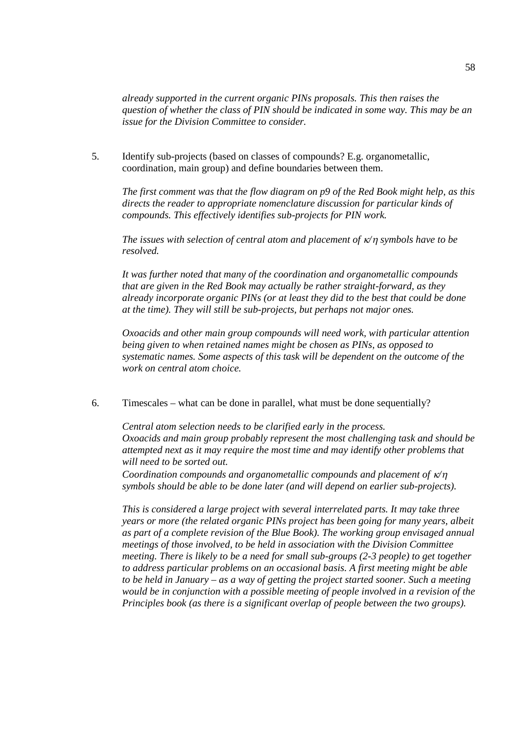*already supported in the current organic PINs proposals. This then raises the question of whether the class of PIN should be indicated in some way. This may be an issue for the Division Committee to consider.*

5. Identify sub-projects (based on classes of compounds? E.g. organometallic, coordination, main group) and define boundaries between them.

*The first comment was that the flow diagram on p9 of the Red Book might help, as this directs the reader to appropriate nomenclature discussion for particular kinds of compounds. This effectively identifies sub-projects for PIN work.*

*The issues with selection of central atom and placement of*  $\kappa$ /*n symbols have to be resolved.*

*It was further noted that many of the coordination and organometallic compounds that are given in the Red Book may actually be rather straight-forward, as they already incorporate organic PINs (or at least they did to the best that could be done at the time). They will still be sub-projects, but perhaps not major ones.*

*Oxoacids and other main group compounds will need work, with particular attention being given to when retained names might be chosen as PINs, as opposed to systematic names. Some aspects of this task will be dependent on the outcome of the work on central atom choice.*

6. Timescales – what can be done in parallel, what must be done sequentially?

*Central atom selection needs to be clarified early in the process. Oxoacids and main group probably represent the most challenging task and should be attempted next as it may require the most time and may identify other problems that will need to be sorted out.*

*Coordination compounds and organometallic compounds and placement of*  $\kappa/n$ *symbols should be able to be done later (and will depend on earlier sub-projects).*

*This is considered a large project with several interrelated parts. It may take three years or more (the related organic PINs project has been going for many years, albeit as part of a complete revision of the Blue Book). The working group envisaged annual meetings of those involved, to be held in association with the Division Committee meeting. There is likely to be a need for small sub-groups (2-3 people) to get together to address particular problems on an occasional basis. A first meeting might be able to be held in January – as a way of getting the project started sooner. Such a meeting would be in conjunction with a possible meeting of people involved in a revision of the Principles book (as there is a significant overlap of people between the two groups).*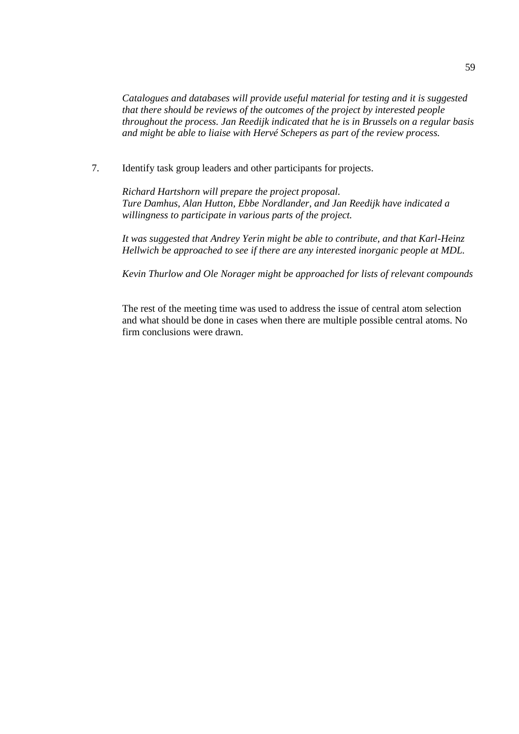*Catalogues and databases will provide useful material for testing and it is suggested that there should be reviews of the outcomes of the project by interested people throughout the process. Jan Reedijk indicated that he is in Brussels on a regular basis and might be able to liaise with Hervé Schepers as part of the review process.*

7. Identify task group leaders and other participants for projects.

*Richard Hartshorn will prepare the project proposal. Ture Damhus, Alan Hutton, Ebbe Nordlander, and Jan Reedijk have indicated a willingness to participate in various parts of the project.*

*It was suggested that Andrey Yerin might be able to contribute, and that Karl-Heinz Hellwich be approached to see if there are any interested inorganic people at MDL.*

*Kevin Thurlow and Ole Norager might be approached for lists of relevant compounds*

The rest of the meeting time was used to address the issue of central atom selection and what should be done in cases when there are multiple possible central atoms. No firm conclusions were drawn.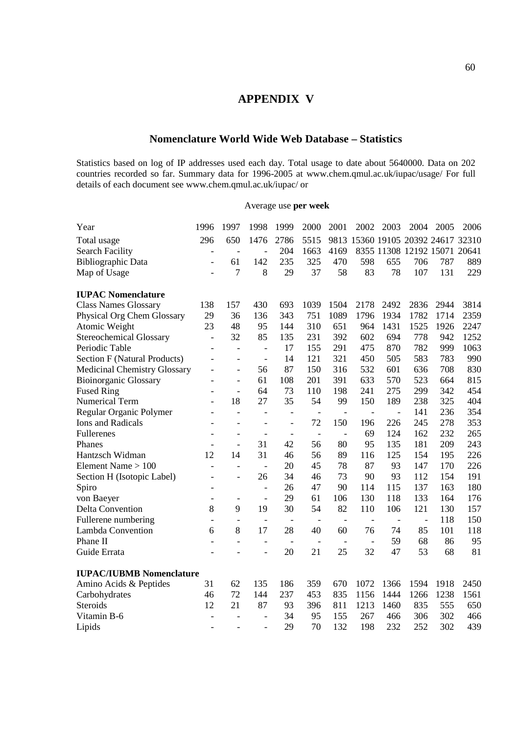# **APPENDIX V**

# **Nomenclature World Wide Web Database – Statistics**

Statistics based on log of IP addresses used each day. Total usage to date about 5640000. Data on 202 countries recorded so far. Summary data for 1996-2005 at www.chem.qmul.ac.uk/iupac/usage/ For full details of each document see www.chem.qmul.ac.uk/iupac/ or

#### Average use **per week**

| Year                                | 1996                     | 1997                     | 1998                     | 1999                     | 2000                     | 2001                     | 2002                     | 2003                     | 2004                               | 2005 | 2006 |
|-------------------------------------|--------------------------|--------------------------|--------------------------|--------------------------|--------------------------|--------------------------|--------------------------|--------------------------|------------------------------------|------|------|
| Total usage                         | 296                      | 650                      | 1476                     | 2786                     | 5515                     |                          |                          |                          | 9813 15360 19105 20392 24617 32310 |      |      |
| <b>Search Facility</b>              | -                        | $\overline{a}$           | $\overline{a}$           | 204                      | 1663                     | 4169                     |                          |                          | 8355 11308 12192 15071 20641       |      |      |
| <b>Bibliographic Data</b>           |                          | 61                       | 142                      | 235                      | 325                      | 470                      | 598                      | 655                      | 706                                | 787  | 889  |
| Map of Usage                        |                          | 7                        | 8                        | 29                       | 37                       | 58                       | 83                       | 78                       | 107                                | 131  | 229  |
| <b>IUPAC Nomenclature</b>           |                          |                          |                          |                          |                          |                          |                          |                          |                                    |      |      |
| <b>Class Names Glossary</b>         | 138                      | 157                      | 430                      | 693                      | 1039                     | 1504                     | 2178                     | 2492                     | 2836                               | 2944 | 3814 |
| Physical Org Chem Glossary          | 29                       | 36                       | 136                      | 343                      | 751                      | 1089                     | 1796                     | 1934                     | 1782                               | 1714 | 2359 |
| Atomic Weight                       | 23                       | 48                       | 95                       | 144                      | 310                      | 651                      | 964                      | 1431                     | 1525                               | 1926 | 2247 |
| <b>Stereochemical Glossary</b>      | $\overline{a}$           | 32                       | 85                       | 135                      | 231                      | 392                      | 602                      | 694                      | 778                                | 942  | 1252 |
| Periodic Table                      | $\overline{a}$           | $\frac{1}{2}$            | $\overline{\phantom{a}}$ | 17                       | 155                      | 291                      | 475                      | 870                      | 782                                | 999  | 1063 |
| <b>Section F (Natural Products)</b> | $\overline{a}$           | $\overline{a}$           | $\overline{\phantom{a}}$ | 14                       | 121                      | 321                      | 450                      | 505                      | 583                                | 783  | 990  |
| <b>Medicinal Chemistry Glossary</b> | $\overline{a}$           | $\overline{\phantom{0}}$ | 56                       | 87                       | 150                      | 316                      | 532                      | 601                      | 636                                | 708  | 830  |
| <b>Bioinorganic Glossary</b>        | $\overline{a}$           |                          | 61                       | 108                      | 201                      | 391                      | 633                      | 570                      | 523                                | 664  | 815  |
| <b>Fused Ring</b>                   | $\overline{a}$           | $\overline{a}$           | 64                       | 73                       | 110                      | 198                      | 241                      | 275                      | 299                                | 342  | 454  |
| Numerical Term                      | $\overline{a}$           | 18                       | 27                       | 35                       | 54                       | 99                       | 150                      | 189                      | 238                                | 325  | 404  |
| Regular Organic Polymer             | $\overline{a}$           | $\overline{a}$           | $\overline{\phantom{a}}$ | $\overline{\phantom{a}}$ | $\overline{\phantom{a}}$ | $\frac{1}{2}$            | $\overline{\phantom{m}}$ | $\frac{1}{2}$            | 141                                | 236  | 354  |
| <b>Ions and Radicals</b>            |                          |                          | $\overline{\phantom{a}}$ | $\overline{\phantom{a}}$ | 72                       | 150                      | 196                      | 226                      | 245                                | 278  | 353  |
| Fullerenes                          |                          | $\overline{a}$           | $\overline{\phantom{a}}$ | $\qquad \qquad -$        | $\qquad \qquad -$        | $\overline{\phantom{a}}$ | 69                       | 124                      | 162                                | 232  | 265  |
| Phanes                              | $\overline{a}$           | $\overline{a}$           | 31                       | 42                       | 56                       | 80                       | 95                       | 135                      | 181                                | 209  | 243  |
| Hantzsch Widman                     | 12                       | 14                       | 31                       | 46                       | 56                       | 89                       | 116                      | 125                      | 154                                | 195  | 226  |
| Element Name $> 100$                | $\overline{a}$           | $\overline{a}$           | $\frac{1}{2}$            | 20                       | 45                       | 78                       | 87                       | 93                       | 147                                | 170  | 226  |
| Section H (Isotopic Label)          | $\overline{a}$           |                          | 26                       | 34                       | 46                       | 73                       | 90                       | 93                       | 112                                | 154  | 191  |
| Spiro                               |                          |                          | $\overline{\phantom{a}}$ | 26                       | 47                       | 90                       | 114                      | 115                      | 137                                | 163  | 180  |
| von Baeyer                          | $\overline{\phantom{0}}$ | $\overline{\phantom{a}}$ | $\frac{1}{2}$            | 29                       | 61                       | 106                      | 130                      | 118                      | 133                                | 164  | 176  |
| <b>Delta Convention</b>             | 8                        | 9                        | 19                       | 30                       | 54                       | 82                       | 110                      | 106                      | 121                                | 130  | 157  |
| Fullerene numbering                 | $\overline{a}$           | $\overline{a}$           | $\overline{\phantom{0}}$ | $\overline{\phantom{a}}$ | $\overline{\phantom{a}}$ | $\overline{\phantom{a}}$ | $\overline{a}$           | $\overline{\phantom{a}}$ | $\overline{a}$                     | 118  | 150  |
| Lambda Convention                   | 6                        | 8                        | 17                       | 28                       | 40                       | 60                       | 76                       | 74                       | 85                                 | 101  | 118  |
| Phane II                            | $\overline{a}$           | $\overline{a}$           | $\overline{\phantom{0}}$ | $\qquad \qquad -$        | $\qquad \qquad -$        | $\overline{\phantom{m}}$ | $\overline{a}$           | 59                       | 68                                 | 86   | 95   |
| Guide Errata                        |                          |                          |                          | 20                       | 21                       | 25                       | 32                       | 47                       | 53                                 | 68   | 81   |
| <b>IUPAC/IUBMB Nomenclature</b>     |                          |                          |                          |                          |                          |                          |                          |                          |                                    |      |      |
| Amino Acids & Peptides              | 31                       | 62                       | 135                      | 186                      | 359                      | 670                      | 1072                     | 1366                     | 1594                               | 1918 | 2450 |
| Carbohydrates                       | 46                       | 72                       | 144                      | 237                      | 453                      | 835                      | 1156                     | 1444                     | 1266                               | 1238 | 1561 |
| Steroids                            | 12                       | 21                       | 87                       | 93                       | 396                      | 811                      | 1213                     | 1460                     | 835                                | 555  | 650  |
| Vitamin B-6                         | $\overline{a}$           |                          | $\overline{a}$           | 34                       | 95                       | 155                      | 267                      | 466                      | 306                                | 302  | 466  |
| Lipids                              | $\overline{a}$           |                          | $\overline{\phantom{a}}$ | 29                       | 70                       | 132                      | 198                      | 232                      | 252                                | 302  | 439  |